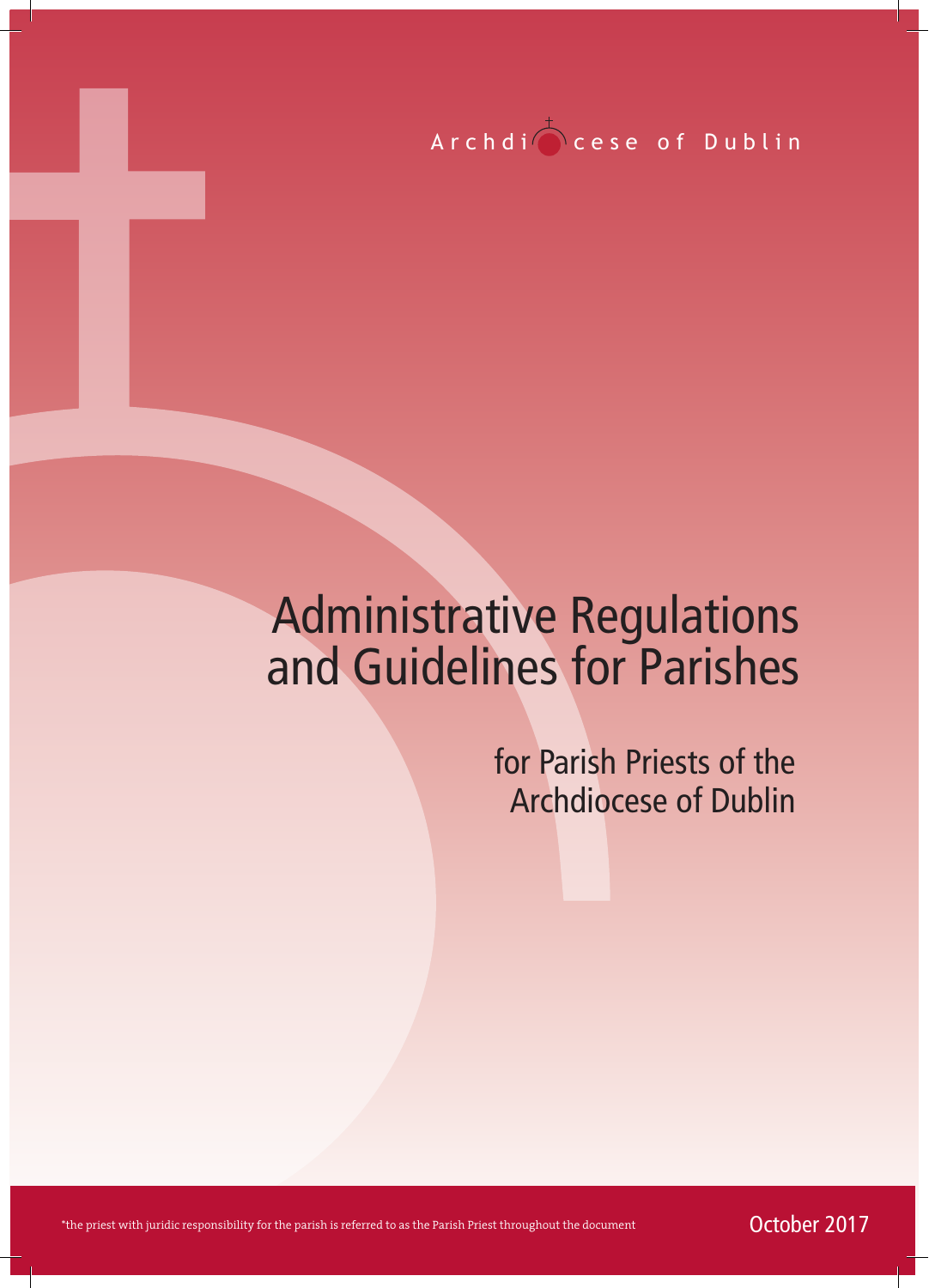$Archdi$  cese of Dublin

# Administrative Regulations and Guidelines for Parishes

for Parish Priests of the Archdiocese of Dublin

\*the priest with juridic responsibility for the parish is referred to as the Parish Priest throughout the document  $October~2017$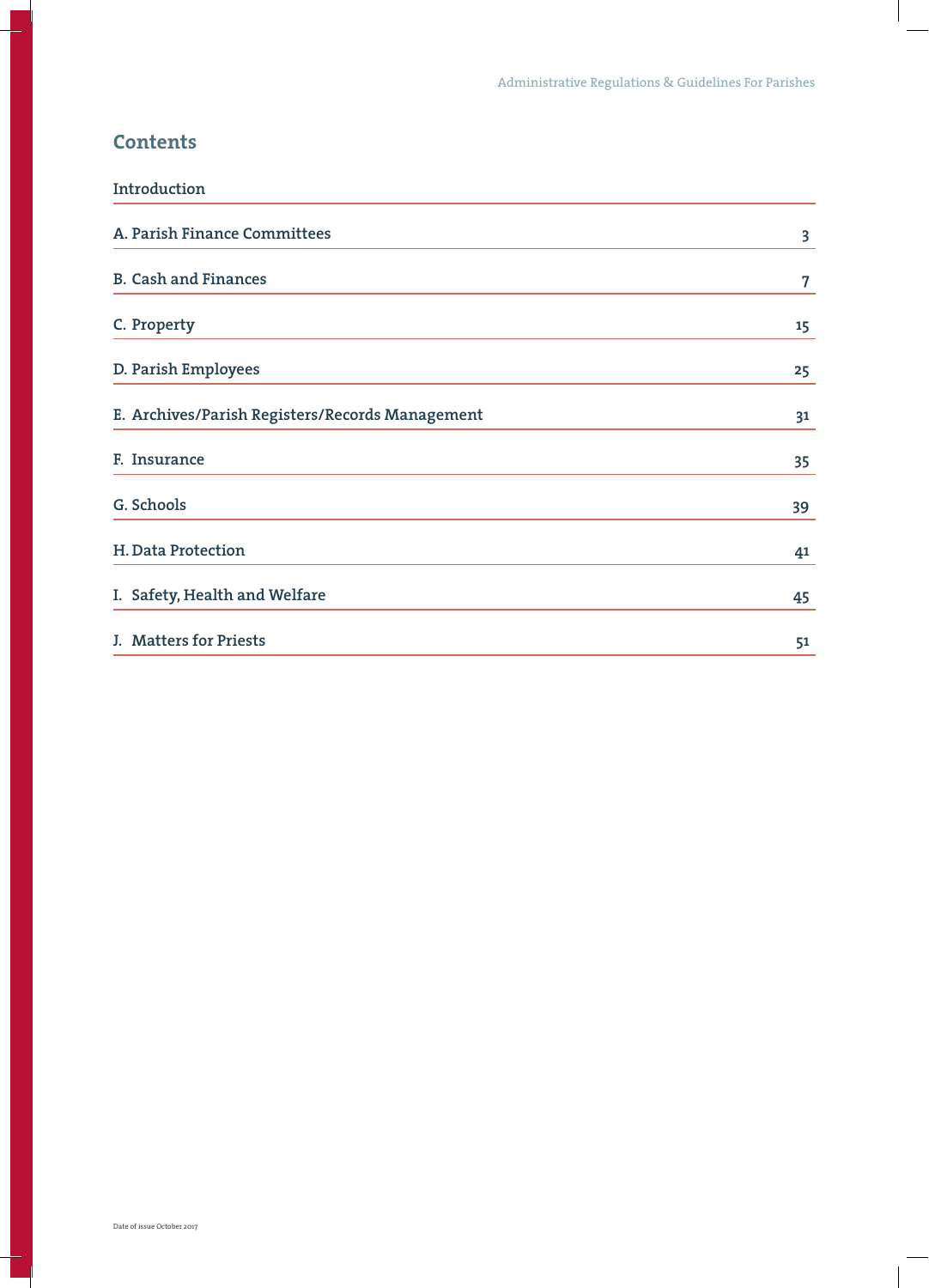## **Contents**

| Introduction                                    |    |
|-------------------------------------------------|----|
| A. Parish Finance Committees                    | 3  |
| <b>B. Cash and Finances</b>                     | 7  |
| C. Property                                     | 15 |
| D. Parish Employees                             | 25 |
| E. Archives/Parish Registers/Records Management | 31 |
| F. Insurance                                    | 35 |
| G. Schools                                      | 39 |
| H. Data Protection                              | 41 |
| I. Safety, Health and Welfare                   | 45 |
| J. Matters for Priests                          | 51 |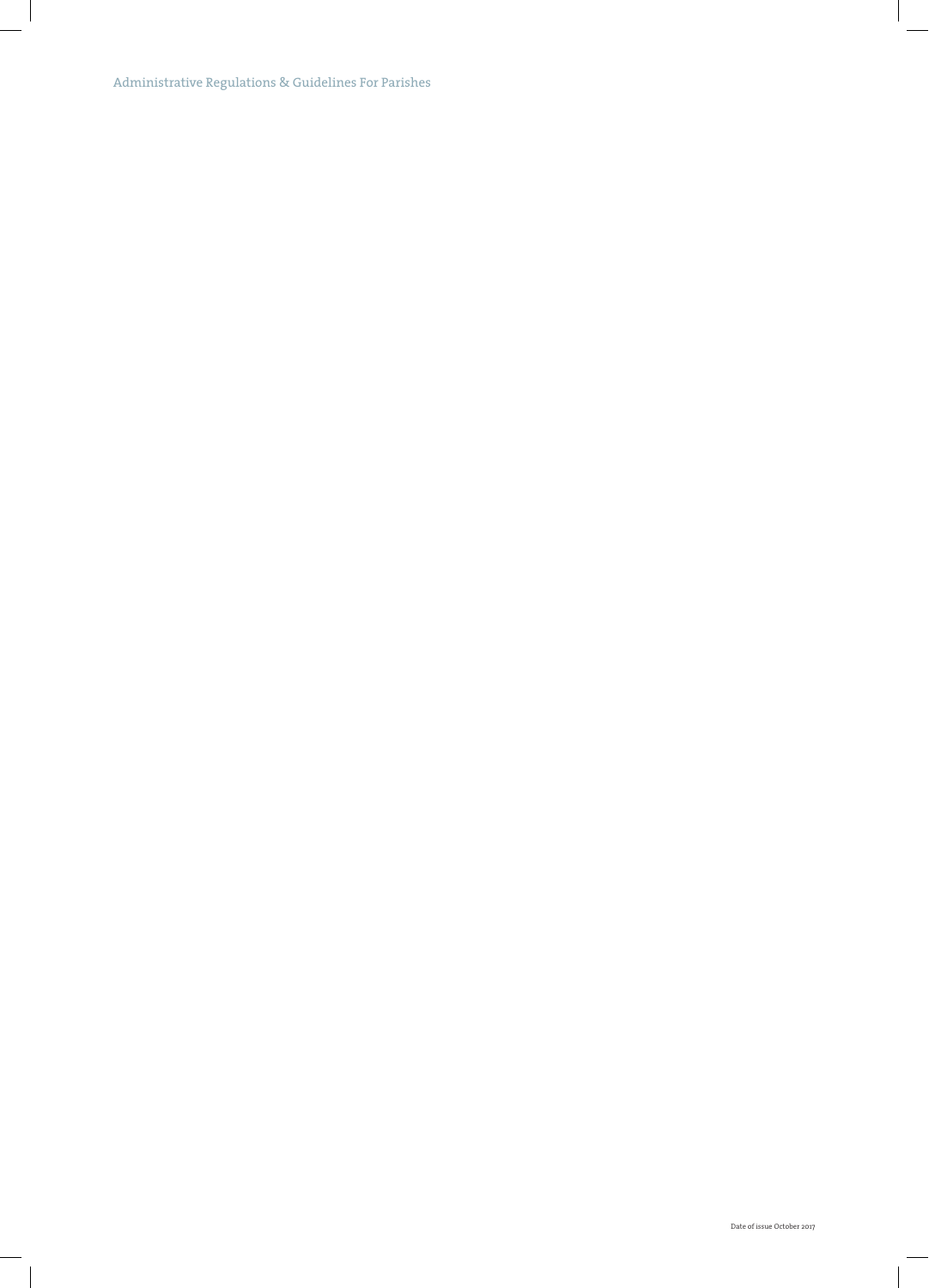Administrative Regulations & Guidelines For Parishes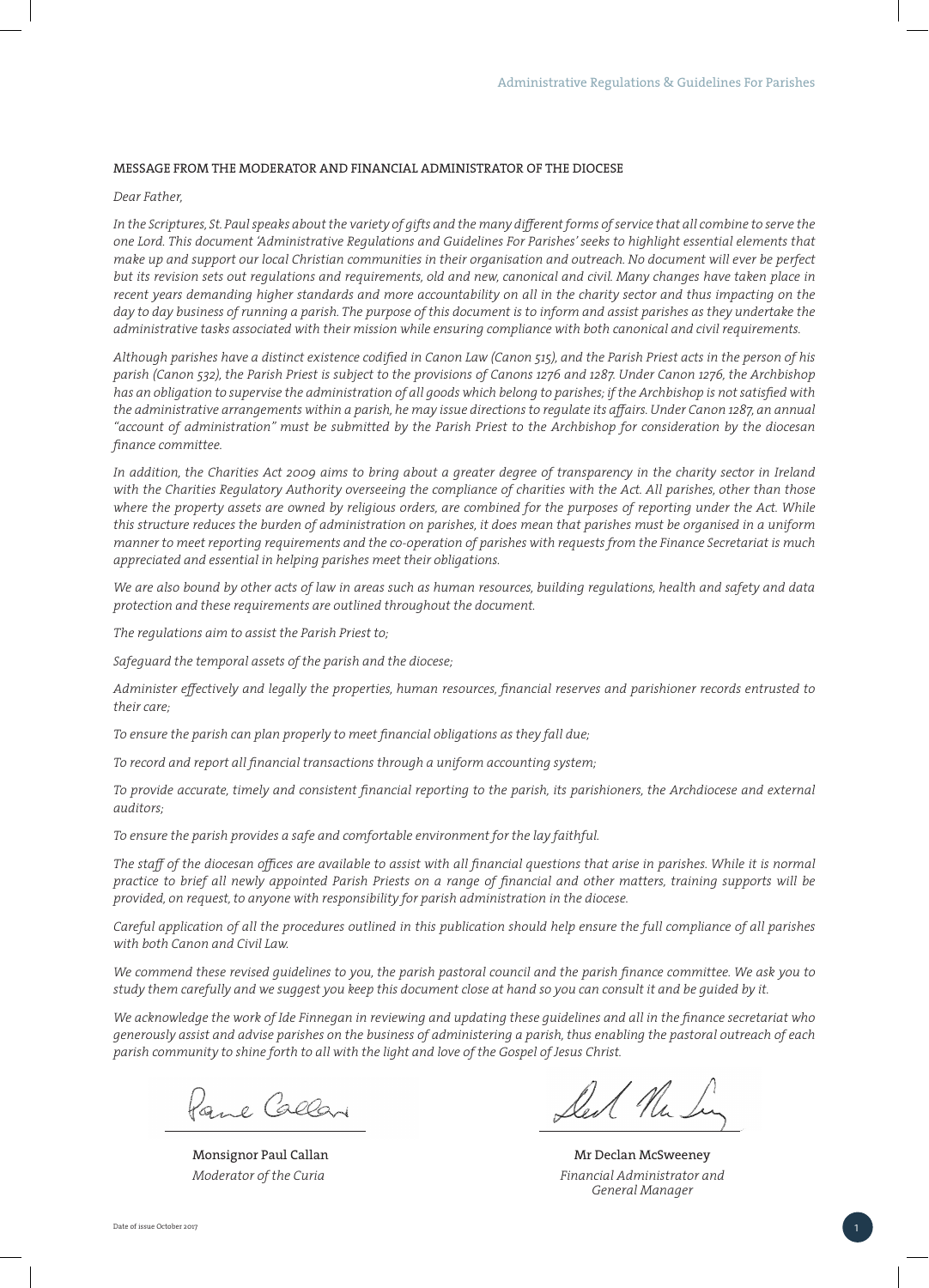#### MESSAGE FROM THE MODERATOR AND FINANCIAL ADMINISTRATOR OF THE DIOCESE

#### *Dear Father,*

*In the Scriptures, St. Paul speaks about the variety of gifts and the many different forms of service that all combine to serve the one Lord. This document 'Administrative Regulations and Guidelines For Parishes' seeks to highlight essential elements that make up and support our local Christian communities in their organisation and outreach. No document will ever be perfect but its revision sets out regulations and requirements, old and new, canonical and civil. Many changes have taken place in recent years demanding higher standards and more accountability on all in the charity sector and thus impacting on the day to day business of running a parish. The purpose of this document is to inform and assist parishes as they undertake the administrative tasks associated with their mission while ensuring compliance with both canonical and civil requirements.*

*Although parishes have a distinct existence codified in Canon Law (Canon 515), and the Parish Priest acts in the person of his parish (Canon 532), the Parish Priest is subject to the provisions of Canons 1276 and 1287. Under Canon 1276, the Archbishop has an obligation to supervise the administration of all goods which belong to parishes; if the Archbishop is not satisfied with the administrative arrangements within a parish, he may issue directions to regulate its affairs. Under Canon 1287, an annual "account of administration" must be submitted by the Parish Priest to the Archbishop for consideration by the diocesan finance committee.*

*In addition, the Charities Act 2009 aims to bring about a greater degree of transparency in the charity sector in Ireland with the Charities Regulatory Authority overseeing the compliance of charities with the Act. All parishes, other than those where the property assets are owned by religious orders, are combined for the purposes of reporting under the Act. While this structure reduces the burden of administration on parishes, it does mean that parishes must be organised in a uniform manner to meet reporting requirements and the co-operation of parishes with requests from the Finance Secretariat is much appreciated and essential in helping parishes meet their obligations.*

*We are also bound by other acts of law in areas such as human resources, building regulations, health and safety and data protection and these requirements are outlined throughout the document.* 

*The regulations aim to assist the Parish Priest to;*

*Safeguard the temporal assets of the parish and the diocese;*

*Administer effectively and legally the properties, human resources, financial reserves and parishioner records entrusted to their care;*

*To ensure the parish can plan properly to meet financial obligations as they fall due;*

*To record and report all financial transactions through a uniform accounting system;*

*To provide accurate, timely and consistent financial reporting to the parish, its parishioners, the Archdiocese and external auditors;*

*To ensure the parish provides a safe and comfortable environment for the lay faithful.*

*The staff of the diocesan offices are available to assist with all financial questions that arise in parishes. While it is normal practice to brief all newly appointed Parish Priests on a range of financial and other matters, training supports will be provided, on request, to anyone with responsibility for parish administration in the diocese.*

*Careful application of all the procedures outlined in this publication should help ensure the full compliance of all parishes with both Canon and Civil Law.*

*We commend these revised guidelines to you, the parish pastoral council and the parish finance committee. We ask you to study them carefully and we suggest you keep this document close at hand so you can consult it and be guided by it.* 

*We acknowledge the work of Ide Finnegan in reviewing and updating these guidelines and all in the finance secretariat who generously assist and advise parishes on the business of administering a parish, thus enabling the pastoral outreach of each parish community to shine forth to all with the light and love of the Gospel of Jesus Christ.*

Pane Callar

Monsignor Paul Callan *Moderator of the Curia*

Mr Declan McSweeney *Financial Administrator and General Manager*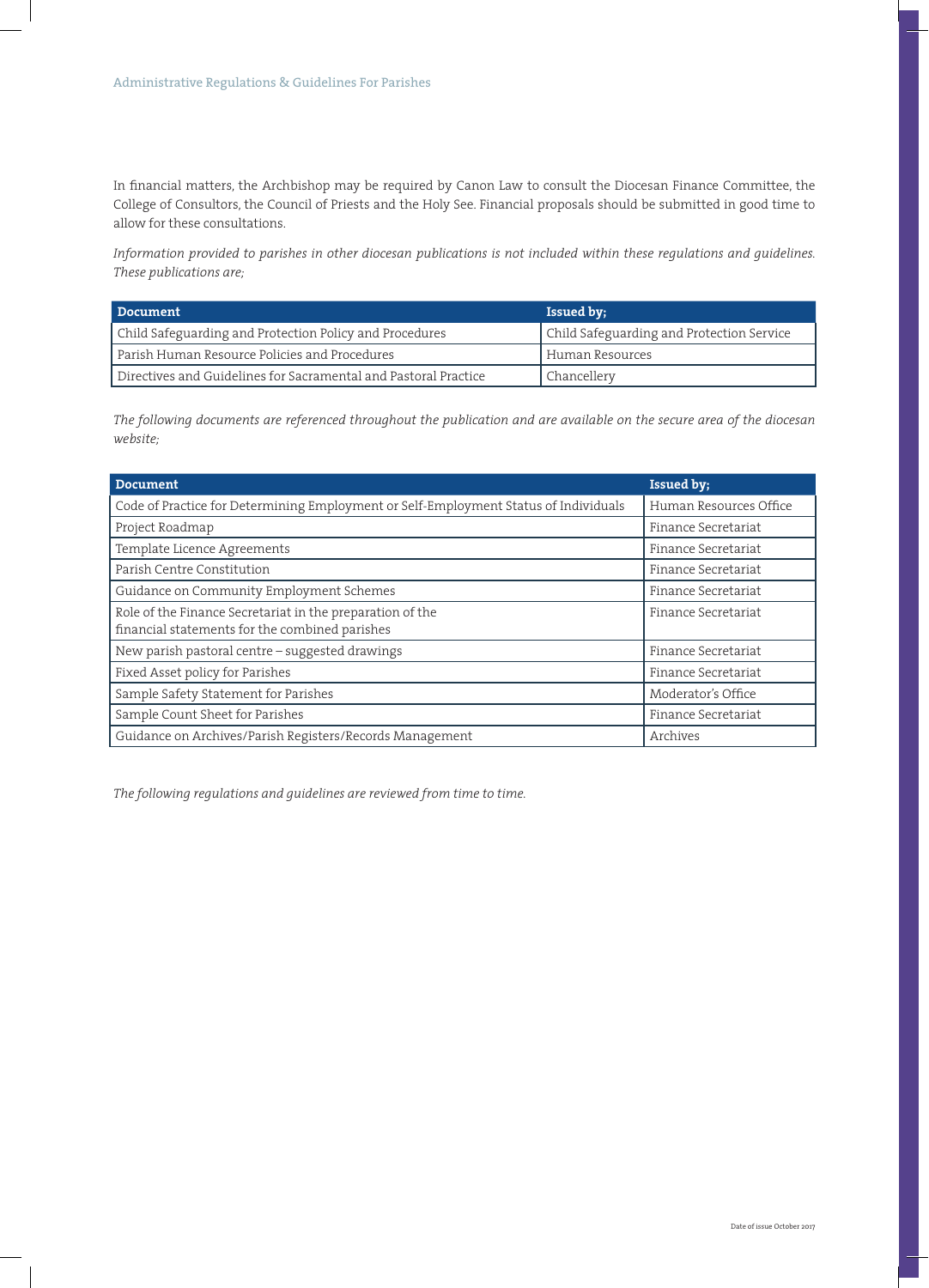In financial matters, the Archbishop may be required by Canon Law to consult the Diocesan Finance Committee, the College of Consultors, the Council of Priests and the Holy See. Financial proposals should be submitted in good time to allow for these consultations.

*Information provided to parishes in other diocesan publications is not included within these regulations and guidelines. These publications are;*

| Document                                                        | <b>Issued by:</b>                         |
|-----------------------------------------------------------------|-------------------------------------------|
| Child Safeguarding and Protection Policy and Procedures         | Child Safeguarding and Protection Service |
| Parish Human Resource Policies and Procedures                   | Human Resources                           |
| Directives and Guidelines for Sacramental and Pastoral Practice | ' Chancellery                             |

*The following documents are referenced throughout the publication and are available on the secure area of the diocesan website;*

| <b>Document</b>                                                                      | <b>Issued by;</b>      |
|--------------------------------------------------------------------------------------|------------------------|
| Code of Practice for Determining Employment or Self-Employment Status of Individuals | Human Resources Office |
| Project Roadmap                                                                      | Finance Secretariat    |
| Template Licence Agreements                                                          | Finance Secretariat    |
| Parish Centre Constitution                                                           | Finance Secretariat    |
| Guidance on Community Employment Schemes                                             | Finance Secretariat    |
| Role of the Finance Secretariat in the preparation of the                            | Finance Secretariat    |
| financial statements for the combined parishes                                       |                        |
| New parish pastoral centre - suggested drawings                                      | Finance Secretariat    |
| Fixed Asset policy for Parishes                                                      | Finance Secretariat    |
| Sample Safety Statement for Parishes                                                 | Moderator's Office     |
| Sample Count Sheet for Parishes                                                      | Finance Secretariat    |
| Guidance on Archives/Parish Registers/Records Management                             | Archives               |

*The following regulations and guidelines are reviewed from time to time.*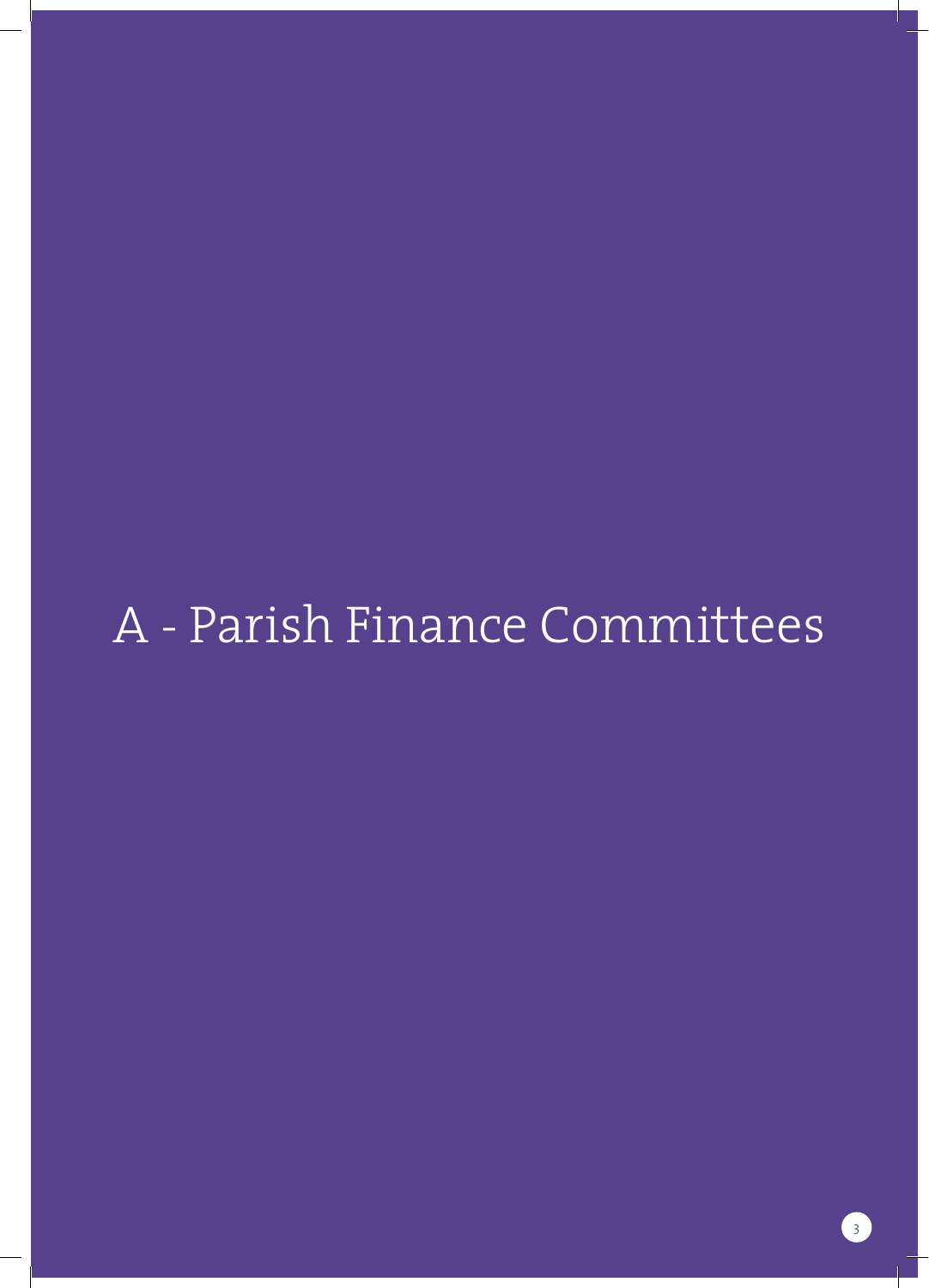# A - Parish Finance Committees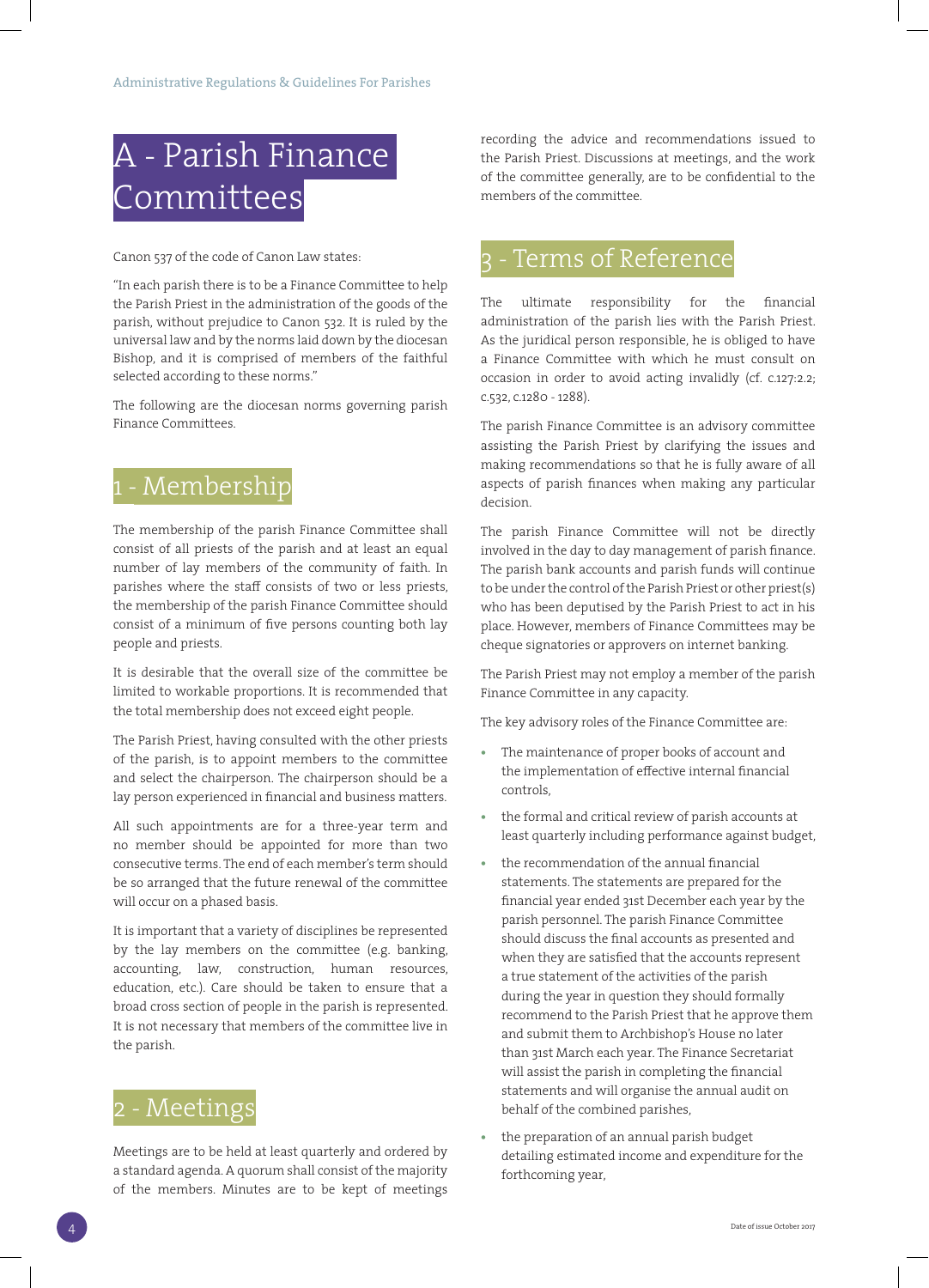# A - Parish Finance **Committees**

Canon 537 of the code of Canon Law states:

"In each parish there is to be a Finance Committee to help the Parish Priest in the administration of the goods of the parish, without prejudice to Canon 532. It is ruled by the universal law and by the norms laid down by the diocesan Bishop, and it is comprised of members of the faithful selected according to these norms."

The following are the diocesan norms governing parish Finance Committees.

# - Membership

The membership of the parish Finance Committee shall consist of all priests of the parish and at least an equal number of lay members of the community of faith. In parishes where the staff consists of two or less priests, the membership of the parish Finance Committee should consist of a minimum of five persons counting both lay people and priests.

It is desirable that the overall size of the committee be limited to workable proportions. It is recommended that the total membership does not exceed eight people.

The Parish Priest, having consulted with the other priests of the parish, is to appoint members to the committee and select the chairperson. The chairperson should be a lay person experienced in financial and business matters.

All such appointments are for a three-year term and no member should be appointed for more than two consecutive terms. The end of each member's term should be so arranged that the future renewal of the committee will occur on a phased basis.

It is important that a variety of disciplines be represented by the lay members on the committee (e.g. banking, accounting, law, construction, human resources, education, etc.). Care should be taken to ensure that a broad cross section of people in the parish is represented. It is not necessary that members of the committee live in the parish.

# Meetings

Meetings are to be held at least quarterly and ordered by a standard agenda. A quorum shall consist of the majority of the members. Minutes are to be kept of meetings

recording the advice and recommendations issued to the Parish Priest. Discussions at meetings, and the work of the committee generally, are to be confidential to the members of the committee.

# Terms of Reference

The ultimate responsibility for the financial administration of the parish lies with the Parish Priest. As the juridical person responsible, he is obliged to have a Finance Committee with which he must consult on occasion in order to avoid acting invalidly (cf. c.127:2.2; c.532, c.1280 - 1288).

The parish Finance Committee is an advisory committee assisting the Parish Priest by clarifying the issues and making recommendations so that he is fully aware of all aspects of parish finances when making any particular decision.

The parish Finance Committee will not be directly involved in the day to day management of parish finance. The parish bank accounts and parish funds will continue to be under the control of the Parish Priest or other priest(s) who has been deputised by the Parish Priest to act in his place. However, members of Finance Committees may be cheque signatories or approvers on internet banking.

The Parish Priest may not employ a member of the parish Finance Committee in any capacity.

The key advisory roles of the Finance Committee are:

- **•** The maintenance of proper books of account and the implementation of effective internal financial controls,
- **•** the formal and critical review of parish accounts at least quarterly including performance against budget,
- **•** the recommendation of the annual financial statements. The statements are prepared for the financial year ended 31st December each year by the parish personnel. The parish Finance Committee should discuss the final accounts as presented and when they are satisfied that the accounts represent a true statement of the activities of the parish during the year in question they should formally recommend to the Parish Priest that he approve them and submit them to Archbishop's House no later than 31st March each year. The Finance Secretariat will assist the parish in completing the financial statements and will organise the annual audit on behalf of the combined parishes,
- **•** the preparation of an annual parish budget detailing estimated income and expenditure for the forthcoming year,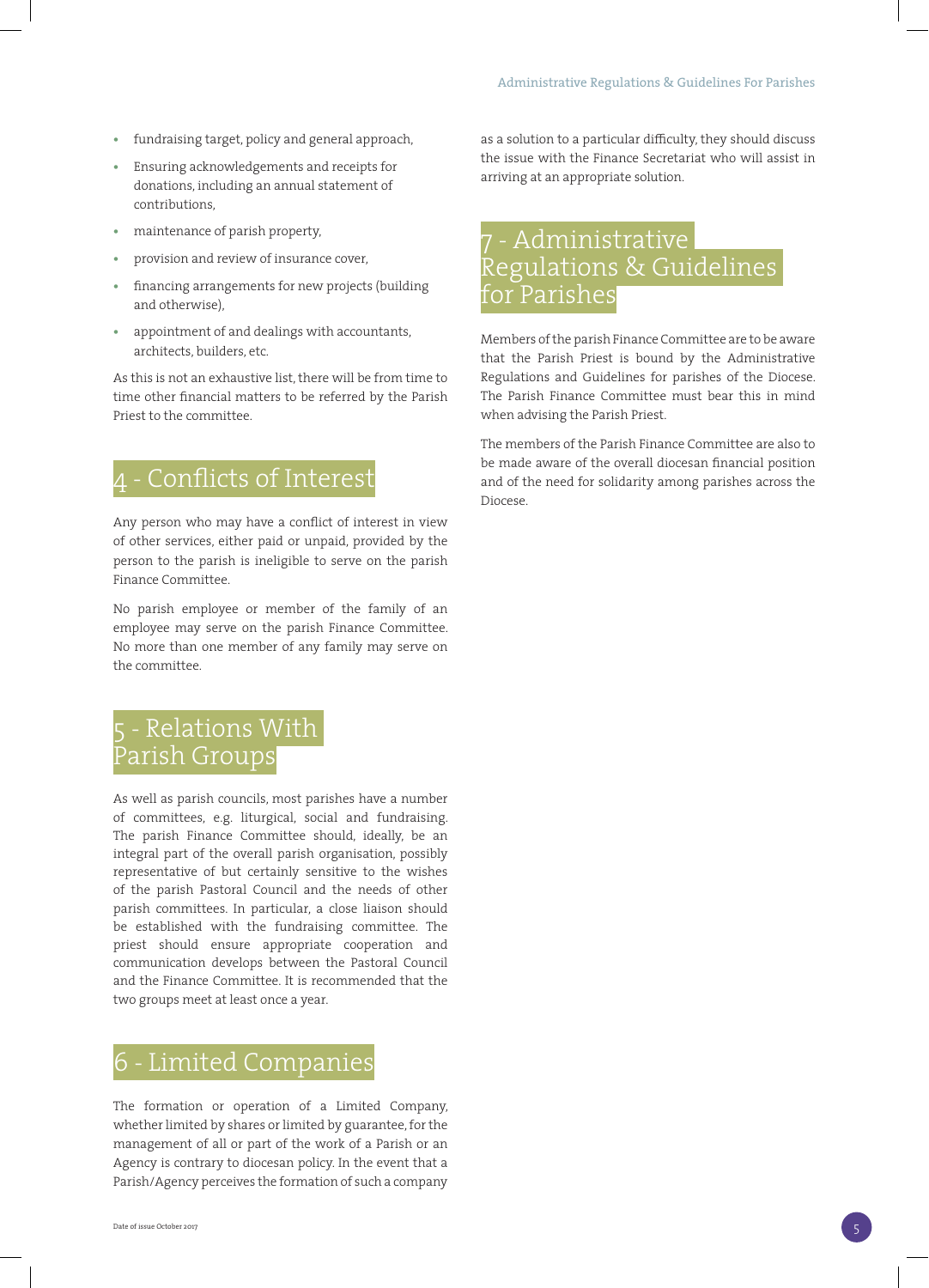- **•** fundraising target, policy and general approach,
- **•** Ensuring acknowledgements and receipts for donations, including an annual statement of contributions,
- **•** maintenance of parish property,
- **•** provision and review of insurance cover,
- **•** financing arrangements for new projects (building and otherwise),
- **•** appointment of and dealings with accountants, architects, builders, etc.

As this is not an exhaustive list, there will be from time to time other financial matters to be referred by the Parish Priest to the committee.

# 4 - Conflicts of Interest

Any person who may have a conflict of interest in view of other services, either paid or unpaid, provided by the person to the parish is ineligible to serve on the parish Finance Committee.

No parish employee or member of the family of an employee may serve on the parish Finance Committee. No more than one member of any family may serve on the committee.

# 5 - Relations With Parish Groups

As well as parish councils, most parishes have a number of committees, e.g. liturgical, social and fundraising. The parish Finance Committee should, ideally, be an integral part of the overall parish organisation, possibly representative of but certainly sensitive to the wishes of the parish Pastoral Council and the needs of other parish committees. In particular, a close liaison should be established with the fundraising committee. The priest should ensure appropriate cooperation and communication develops between the Pastoral Council and the Finance Committee. It is recommended that the two groups meet at least once a year.

# 6 - Limited Companies

The formation or operation of a Limited Company, whether limited by shares or limited by guarantee, for the management of all or part of the work of a Parish or an Agency is contrary to diocesan policy. In the event that a Parish/Agency perceives the formation of such a company

as a solution to a particular difficulty, they should discuss the issue with the Finance Secretariat who will assist in arriving at an appropriate solution.

# - Administrative Regulations & Guidelines for Parishes

Members of the parish Finance Committee are to be aware that the Parish Priest is bound by the Administrative Regulations and Guidelines for parishes of the Diocese. The Parish Finance Committee must bear this in mind when advising the Parish Priest.

The members of the Parish Finance Committee are also to be made aware of the overall diocesan financial position and of the need for solidarity among parishes across the Diocese.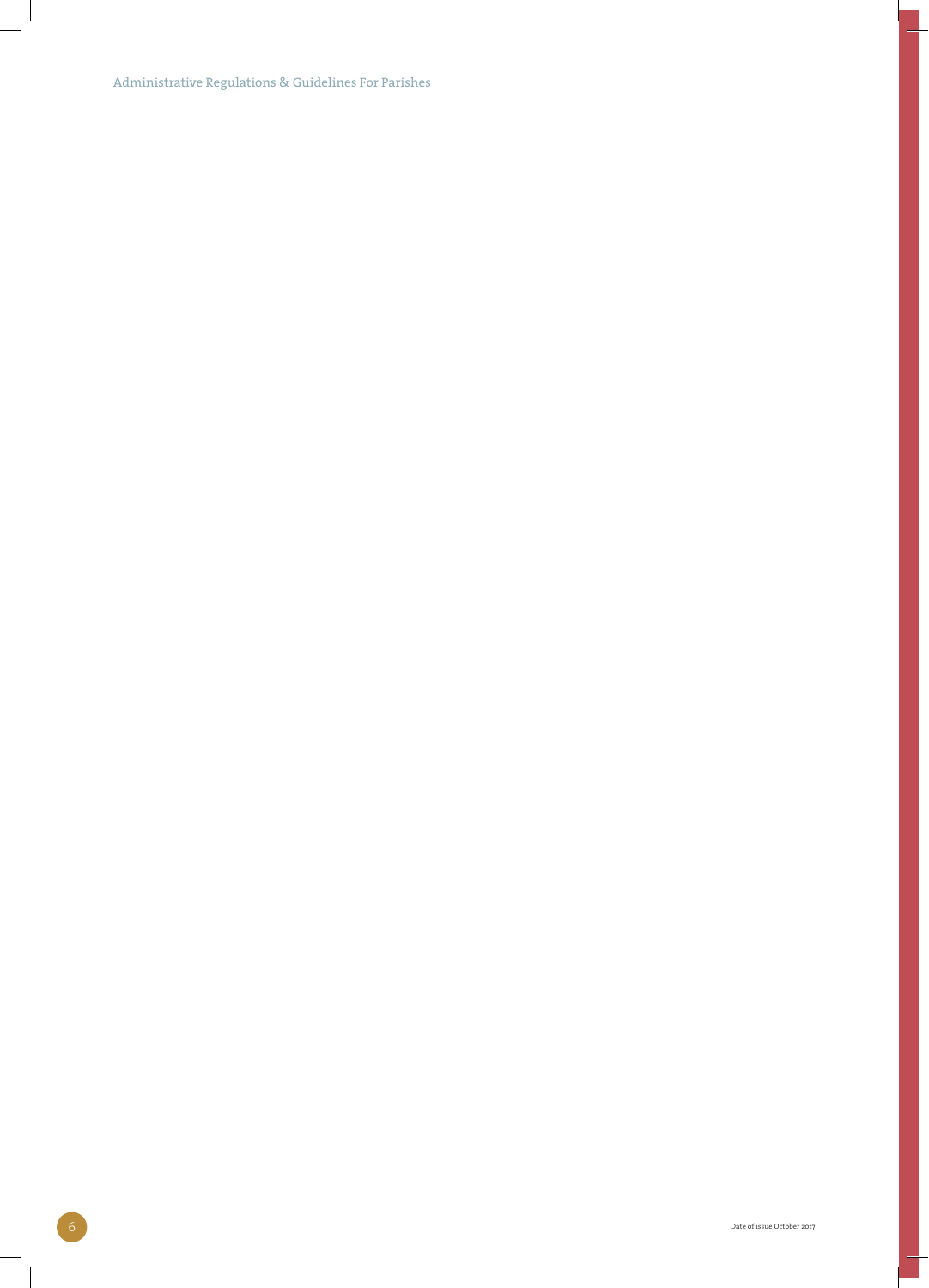Administrative Regulations & Guidelines For Parishes

 $\overline{\phantom{a}}$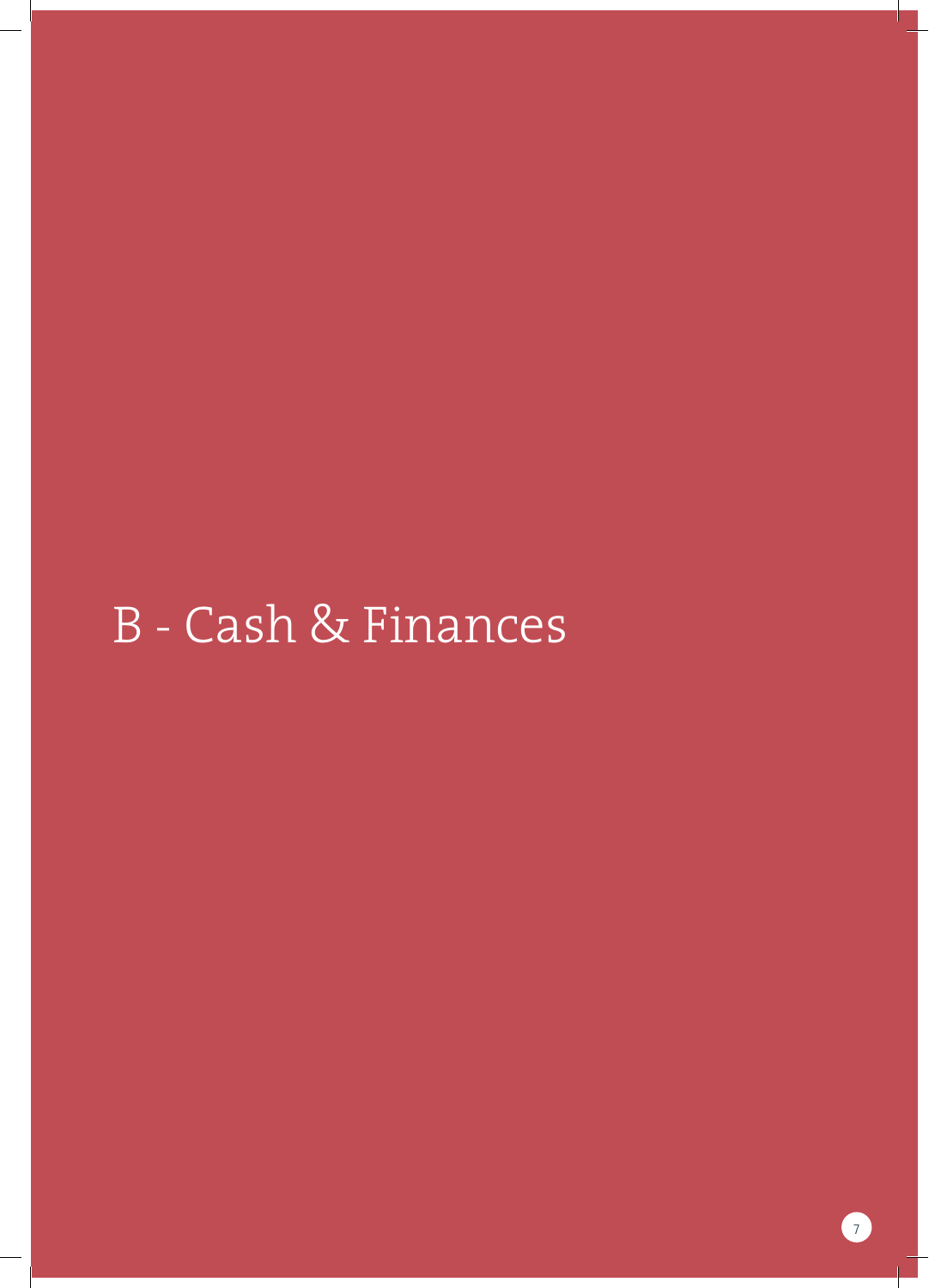# B - Cash & Finances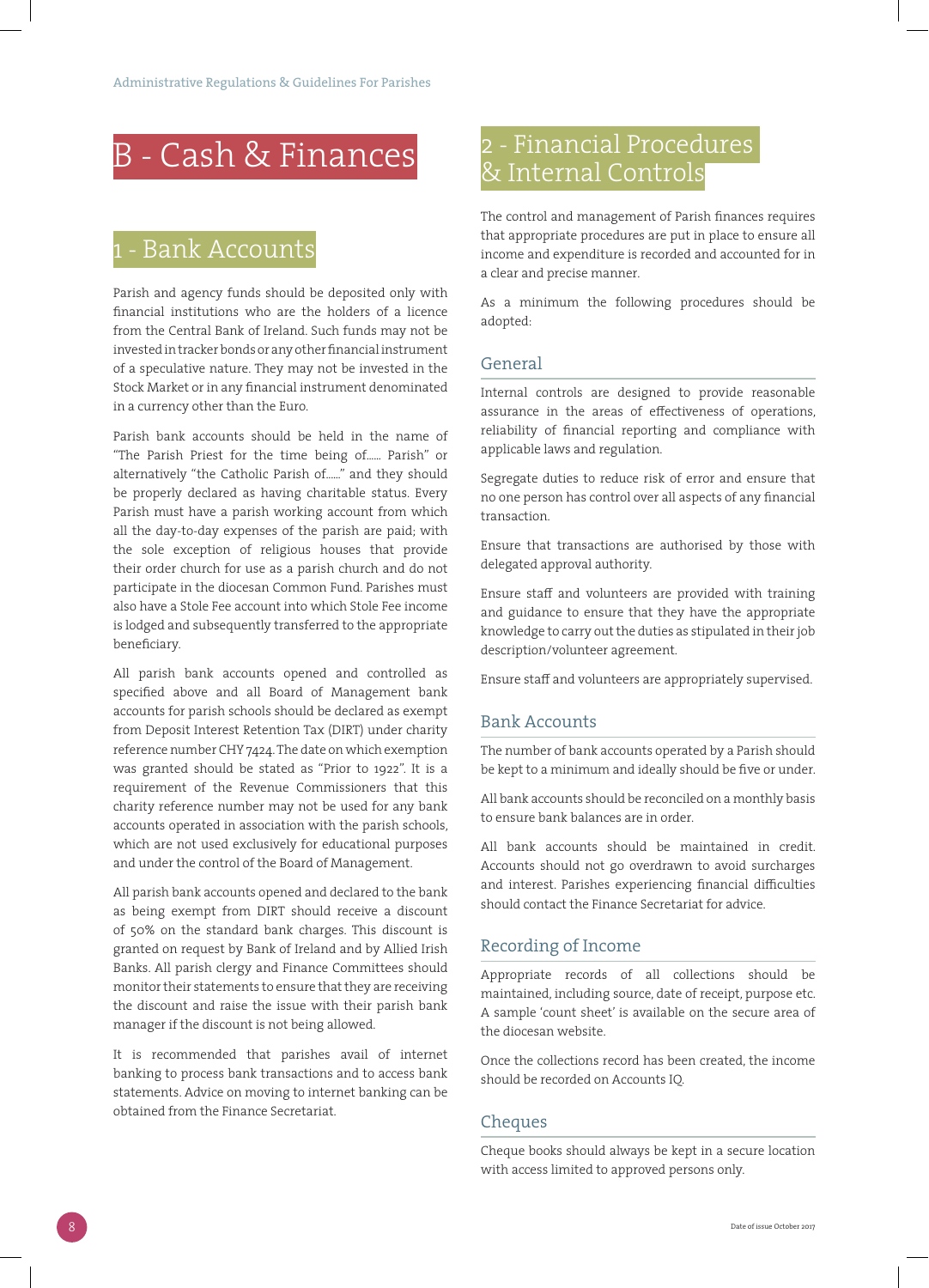# B - Cash & Finances

# 1 - Bank Accounts

Parish and agency funds should be deposited only with financial institutions who are the holders of a licence from the Central Bank of Ireland. Such funds may not be invested in tracker bonds or any other financial instrument of a speculative nature. They may not be invested in the Stock Market or in any financial instrument denominated in a currency other than the Euro.

Parish bank accounts should be held in the name of "The Parish Priest for the time being of...... Parish" or alternatively "the Catholic Parish of......" and they should be properly declared as having charitable status. Every Parish must have a parish working account from which all the day-to-day expenses of the parish are paid; with the sole exception of religious houses that provide their order church for use as a parish church and do not participate in the diocesan Common Fund. Parishes must also have a Stole Fee account into which Stole Fee income is lodged and subsequently transferred to the appropriate beneficiary.

All parish bank accounts opened and controlled as specified above and all Board of Management bank accounts for parish schools should be declared as exempt from Deposit Interest Retention Tax (DIRT) under charity reference number CHY 7424. The date on which exemption was granted should be stated as "Prior to 1922". It is a requirement of the Revenue Commissioners that this charity reference number may not be used for any bank accounts operated in association with the parish schools, which are not used exclusively for educational purposes and under the control of the Board of Management.

All parish bank accounts opened and declared to the bank as being exempt from DIRT should receive a discount of 50% on the standard bank charges. This discount is granted on request by Bank of Ireland and by Allied Irish Banks. All parish clergy and Finance Committees should monitor their statements to ensure that they are receiving the discount and raise the issue with their parish bank manager if the discount is not being allowed.

It is recommended that parishes avail of internet banking to process bank transactions and to access bank statements. Advice on moving to internet banking can be obtained from the Finance Secretariat.

# 2 - Financial Procedures & Internal Controls

The control and management of Parish finances requires that appropriate procedures are put in place to ensure all income and expenditure is recorded and accounted for in a clear and precise manner.

As a minimum the following procedures should be adopted:

#### General

Internal controls are designed to provide reasonable assurance in the areas of effectiveness of operations, reliability of financial reporting and compliance with applicable laws and regulation.

Segregate duties to reduce risk of error and ensure that no one person has control over all aspects of any financial transaction.

Ensure that transactions are authorised by those with delegated approval authority.

Ensure staff and volunteers are provided with training and guidance to ensure that they have the appropriate knowledge to carry out the duties as stipulated in their job description/volunteer agreement.

Ensure staff and volunteers are appropriately supervised.

#### Bank Accounts

The number of bank accounts operated by a Parish should be kept to a minimum and ideally should be five or under.

All bank accounts should be reconciled on a monthly basis to ensure bank balances are in order.

All bank accounts should be maintained in credit. Accounts should not go overdrawn to avoid surcharges and interest. Parishes experiencing financial difficulties should contact the Finance Secretariat for advice.

#### Recording of Income

Appropriate records of all collections should be maintained, including source, date of receipt, purpose etc. A sample 'count sheet' is available on the secure area of the diocesan website.

Once the collections record has been created, the income should be recorded on Accounts IQ.

#### Cheques

Cheque books should always be kept in a secure location with access limited to approved persons only.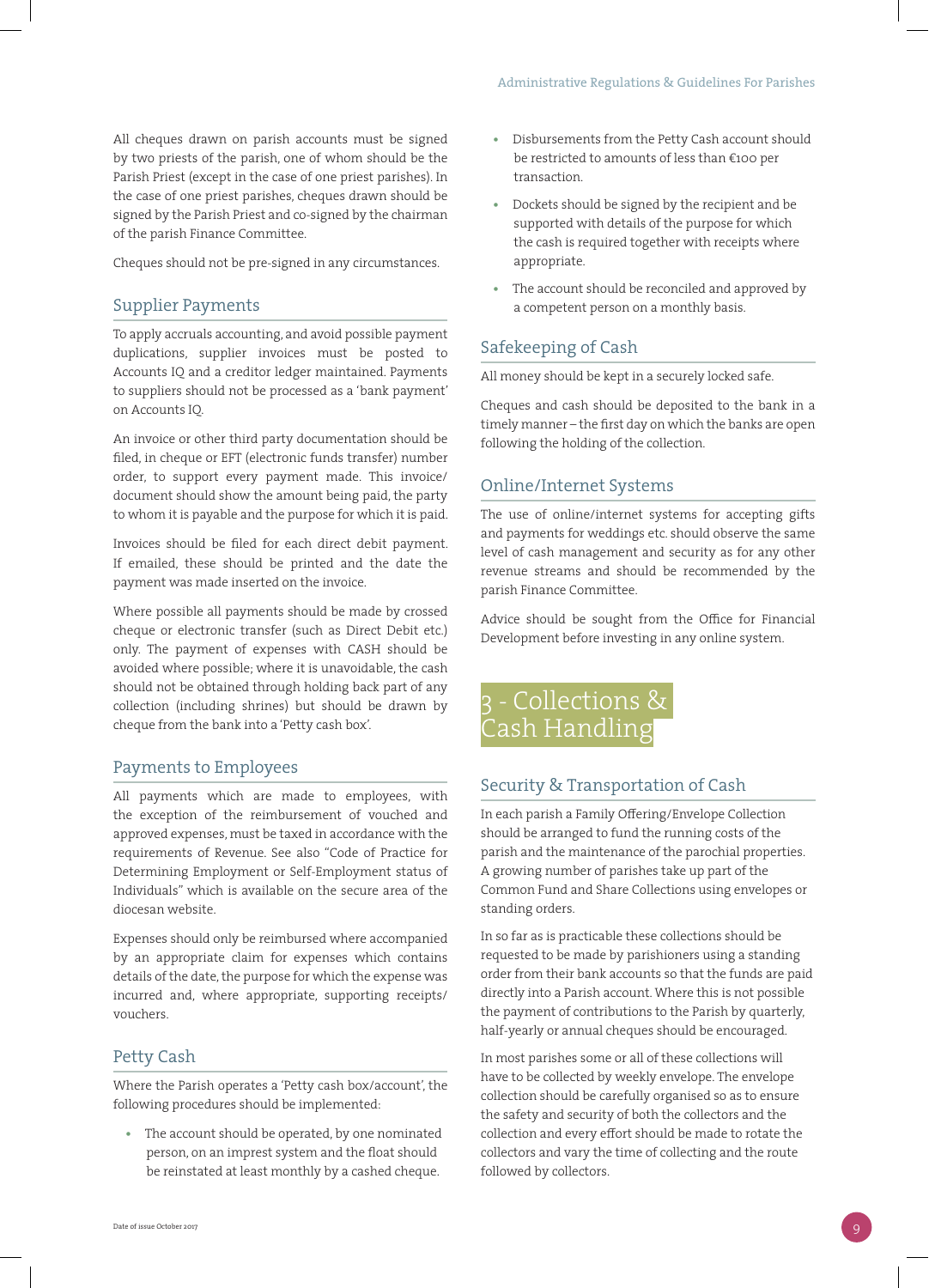All cheques drawn on parish accounts must be signed by two priests of the parish, one of whom should be the Parish Priest (except in the case of one priest parishes). In the case of one priest parishes, cheques drawn should be signed by the Parish Priest and co-signed by the chairman of the parish Finance Committee.

Cheques should not be pre-signed in any circumstances.

#### Supplier Payments

To apply accruals accounting, and avoid possible payment duplications, supplier invoices must be posted to Accounts IQ and a creditor ledger maintained. Payments to suppliers should not be processed as a 'bank payment' on Accounts IQ.

An invoice or other third party documentation should be filed, in cheque or EFT (electronic funds transfer) number order, to support every payment made. This invoice/ document should show the amount being paid, the party to whom it is payable and the purpose for which it is paid.

Invoices should be filed for each direct debit payment. If emailed, these should be printed and the date the payment was made inserted on the invoice.

Where possible all payments should be made by crossed cheque or electronic transfer (such as Direct Debit etc.) only. The payment of expenses with CASH should be avoided where possible; where it is unavoidable, the cash should not be obtained through holding back part of any collection (including shrines) but should be drawn by cheque from the bank into a 'Petty cash box'.

#### Payments to Employees

All payments which are made to employees, with the exception of the reimbursement of vouched and approved expenses, must be taxed in accordance with the requirements of Revenue. See also "Code of Practice for Determining Employment or Self-Employment status of Individuals" which is available on the secure area of the diocesan website.

Expenses should only be reimbursed where accompanied by an appropriate claim for expenses which contains details of the date, the purpose for which the expense was incurred and, where appropriate, supporting receipts/ vouchers.

#### Petty Cash

Where the Parish operates a 'Petty cash box/account', the following procedures should be implemented:

**•** The account should be operated, by one nominated person, on an imprest system and the float should be reinstated at least monthly by a cashed cheque.

- **•** Disbursements from the Petty Cash account should be restricted to amounts of less than €100 per transaction.
- **•** Dockets should be signed by the recipient and be supported with details of the purpose for which the cash is required together with receipts where appropriate.
- **•** The account should be reconciled and approved by a competent person on a monthly basis.

#### Safekeeping of Cash

All money should be kept in a securely locked safe.

Cheques and cash should be deposited to the bank in a timely manner – the first day on which the banks are open following the holding of the collection.

#### Online/Internet Systems

The use of online/internet systems for accepting gifts and payments for weddings etc. should observe the same level of cash management and security as for any other revenue streams and should be recommended by the parish Finance Committee.

Advice should be sought from the Office for Financial Development before investing in any online system.

# 3 - Collections & Cash Handling

#### Security & Transportation of Cash

In each parish a Family Offering/Envelope Collection should be arranged to fund the running costs of the parish and the maintenance of the parochial properties. A growing number of parishes take up part of the Common Fund and Share Collections using envelopes or standing orders.

In so far as is practicable these collections should be requested to be made by parishioners using a standing order from their bank accounts so that the funds are paid directly into a Parish account. Where this is not possible the payment of contributions to the Parish by quarterly, half-yearly or annual cheques should be encouraged.

In most parishes some or all of these collections will have to be collected by weekly envelope. The envelope collection should be carefully organised so as to ensure the safety and security of both the collectors and the collection and every effort should be made to rotate the collectors and vary the time of collecting and the route followed by collectors.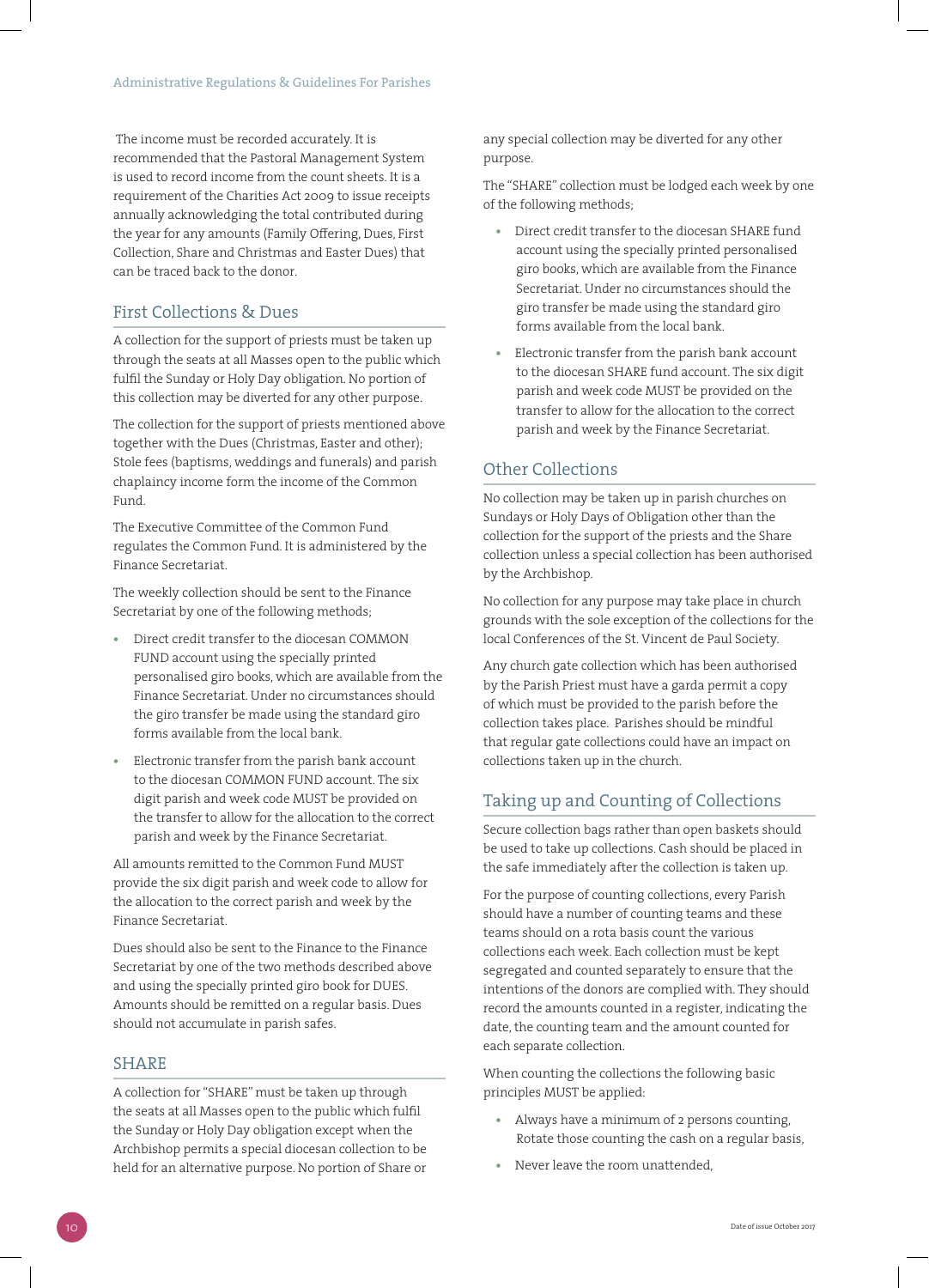The income must be recorded accurately. It is recommended that the Pastoral Management System is used to record income from the count sheets. It is a requirement of the Charities Act 2009 to issue receipts annually acknowledging the total contributed during the year for any amounts (Family Offering, Dues, First Collection, Share and Christmas and Easter Dues) that can be traced back to the donor.

#### First Collections & Dues

A collection for the support of priests must be taken up through the seats at all Masses open to the public which fulfil the Sunday or Holy Day obligation. No portion of this collection may be diverted for any other purpose.

The collection for the support of priests mentioned above together with the Dues (Christmas, Easter and other); Stole fees (baptisms, weddings and funerals) and parish chaplaincy income form the income of the Common Fund.

The Executive Committee of the Common Fund regulates the Common Fund. It is administered by the Finance Secretariat.

The weekly collection should be sent to the Finance Secretariat by one of the following methods;

- **•** Direct credit transfer to the diocesan COMMON FUND account using the specially printed personalised giro books, which are available from the Finance Secretariat. Under no circumstances should the giro transfer be made using the standard giro forms available from the local bank.
- **•** Electronic transfer from the parish bank account to the diocesan COMMON FUND account. The six digit parish and week code MUST be provided on the transfer to allow for the allocation to the correct parish and week by the Finance Secretariat.

All amounts remitted to the Common Fund MUST provide the six digit parish and week code to allow for the allocation to the correct parish and week by the Finance Secretariat.

Dues should also be sent to the Finance to the Finance Secretariat by one of the two methods described above and using the specially printed giro book for DUES. Amounts should be remitted on a regular basis. Dues should not accumulate in parish safes.

#### SHARE

A collection for "SHARE" must be taken up through the seats at all Masses open to the public which fulfil the Sunday or Holy Day obligation except when the Archbishop permits a special diocesan collection to be held for an alternative purpose. No portion of Share or any special collection may be diverted for any other purpose.

The "SHARE" collection must be lodged each week by one of the following methods;

- **•** Direct credit transfer to the diocesan SHARE fund account using the specially printed personalised giro books, which are available from the Finance Secretariat. Under no circumstances should the giro transfer be made using the standard giro forms available from the local bank.
- **•** Electronic transfer from the parish bank account to the diocesan SHARE fund account. The six digit parish and week code MUST be provided on the transfer to allow for the allocation to the correct parish and week by the Finance Secretariat.

#### Other Collections

No collection may be taken up in parish churches on Sundays or Holy Days of Obligation other than the collection for the support of the priests and the Share collection unless a special collection has been authorised by the Archbishop.

No collection for any purpose may take place in church grounds with the sole exception of the collections for the local Conferences of the St. Vincent de Paul Society.

Any church gate collection which has been authorised by the Parish Priest must have a garda permit a copy of which must be provided to the parish before the collection takes place. Parishes should be mindful that regular gate collections could have an impact on collections taken up in the church.

#### Taking up and Counting of Collections

Secure collection bags rather than open baskets should be used to take up collections. Cash should be placed in the safe immediately after the collection is taken up.

For the purpose of counting collections, every Parish should have a number of counting teams and these teams should on a rota basis count the various collections each week. Each collection must be kept segregated and counted separately to ensure that the intentions of the donors are complied with. They should record the amounts counted in a register, indicating the date, the counting team and the amount counted for each separate collection.

When counting the collections the following basic principles MUST be applied:

- **•** Always have a minimum of 2 persons counting, Rotate those counting the cash on a regular basis,
- **•** Never leave the room unattended,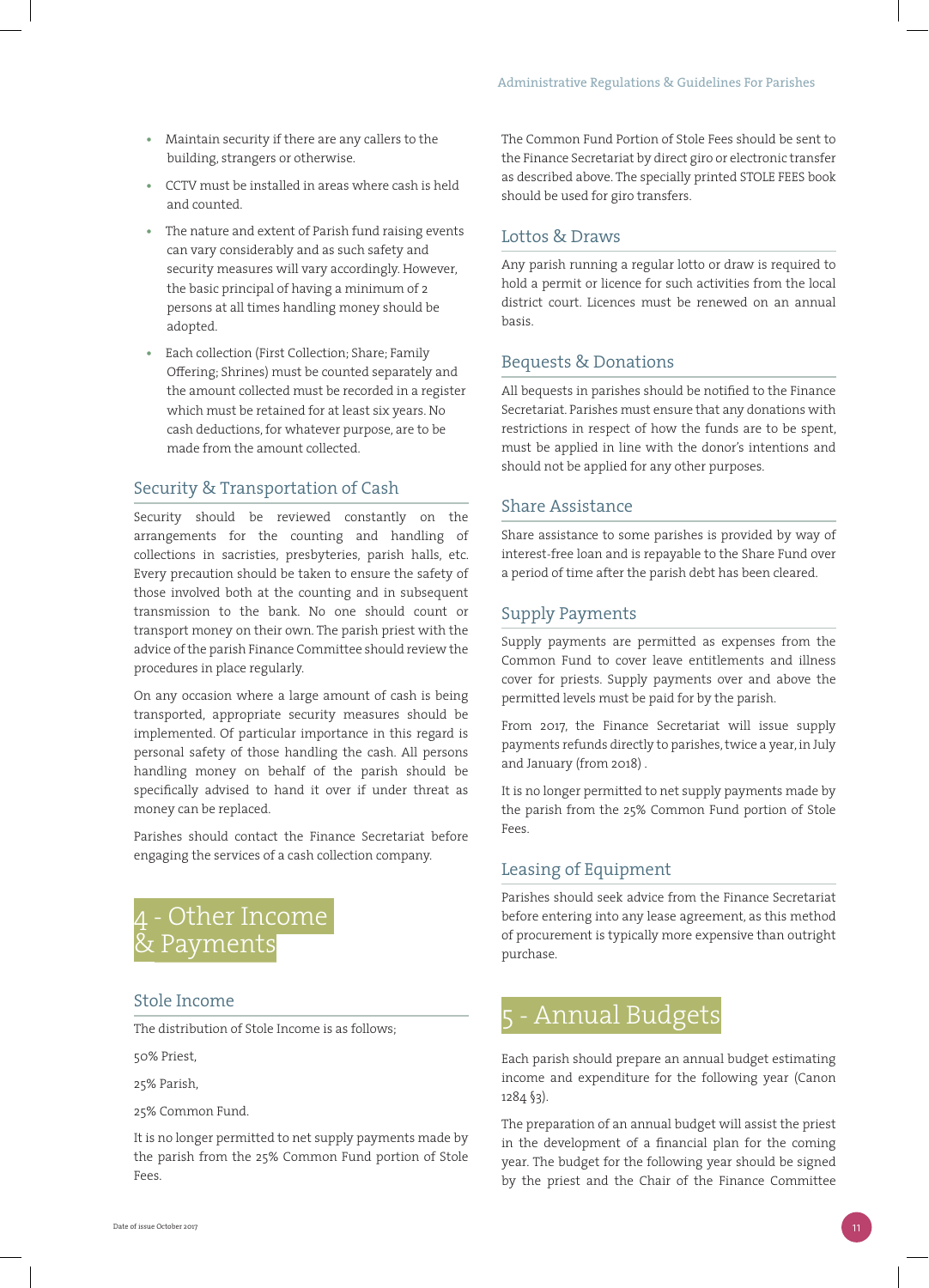- **•** Maintain security if there are any callers to the building, strangers or otherwise.
- **•** CCTV must be installed in areas where cash is held and counted.
- **•** The nature and extent of Parish fund raising events can vary considerably and as such safety and security measures will vary accordingly. However, the basic principal of having a minimum of 2 persons at all times handling money should be adopted.
- **•** Each collection (First Collection; Share; Family Offering; Shrines) must be counted separately and the amount collected must be recorded in a register which must be retained for at least six years. No cash deductions, for whatever purpose, are to be made from the amount collected.

#### Security & Transportation of Cash

Security should be reviewed constantly on the arrangements for the counting and handling of collections in sacristies, presbyteries, parish halls, etc. Every precaution should be taken to ensure the safety of those involved both at the counting and in subsequent transmission to the bank. No one should count or transport money on their own. The parish priest with the advice of the parish Finance Committee should review the procedures in place regularly.

On any occasion where a large amount of cash is being transported, appropriate security measures should be implemented. Of particular importance in this regard is personal safety of those handling the cash. All persons handling money on behalf of the parish should be specifically advised to hand it over if under threat as money can be replaced.

Parishes should contact the Finance Secretariat before engaging the services of a cash collection company.

# Other Income Payments

#### Stole Income

The distribution of Stole Income is as follows;

50% Priest,

25% Parish,

25% Common Fund.

It is no longer permitted to net supply payments made by the parish from the 25% Common Fund portion of Stole Fees.

The Common Fund Portion of Stole Fees should be sent to the Finance Secretariat by direct giro or electronic transfer as described above. The specially printed STOLE FEES book should be used for giro transfers.

#### Lottos & Draws

Any parish running a regular lotto or draw is required to hold a permit or licence for such activities from the local district court. Licences must be renewed on an annual basis.

#### Bequests & Donations

All bequests in parishes should be notified to the Finance Secretariat. Parishes must ensure that any donations with restrictions in respect of how the funds are to be spent, must be applied in line with the donor's intentions and should not be applied for any other purposes.

#### Share Assistance

Share assistance to some parishes is provided by way of interest-free loan and is repayable to the Share Fund over a period of time after the parish debt has been cleared.

#### Supply Payments

Supply payments are permitted as expenses from the Common Fund to cover leave entitlements and illness cover for priests. Supply payments over and above the permitted levels must be paid for by the parish.

From 2017, the Finance Secretariat will issue supply payments refunds directly to parishes, twice a year, in July and January (from 2018) .

It is no longer permitted to net supply payments made by the parish from the 25% Common Fund portion of Stole Fees.

#### Leasing of Equipment

Parishes should seek advice from the Finance Secretariat before entering into any lease agreement, as this method of procurement is typically more expensive than outright purchase.

## Annual Budgets

Each parish should prepare an annual budget estimating income and expenditure for the following year (Canon 1284 §3).

The preparation of an annual budget will assist the priest in the development of a financial plan for the coming year. The budget for the following year should be signed by the priest and the Chair of the Finance Committee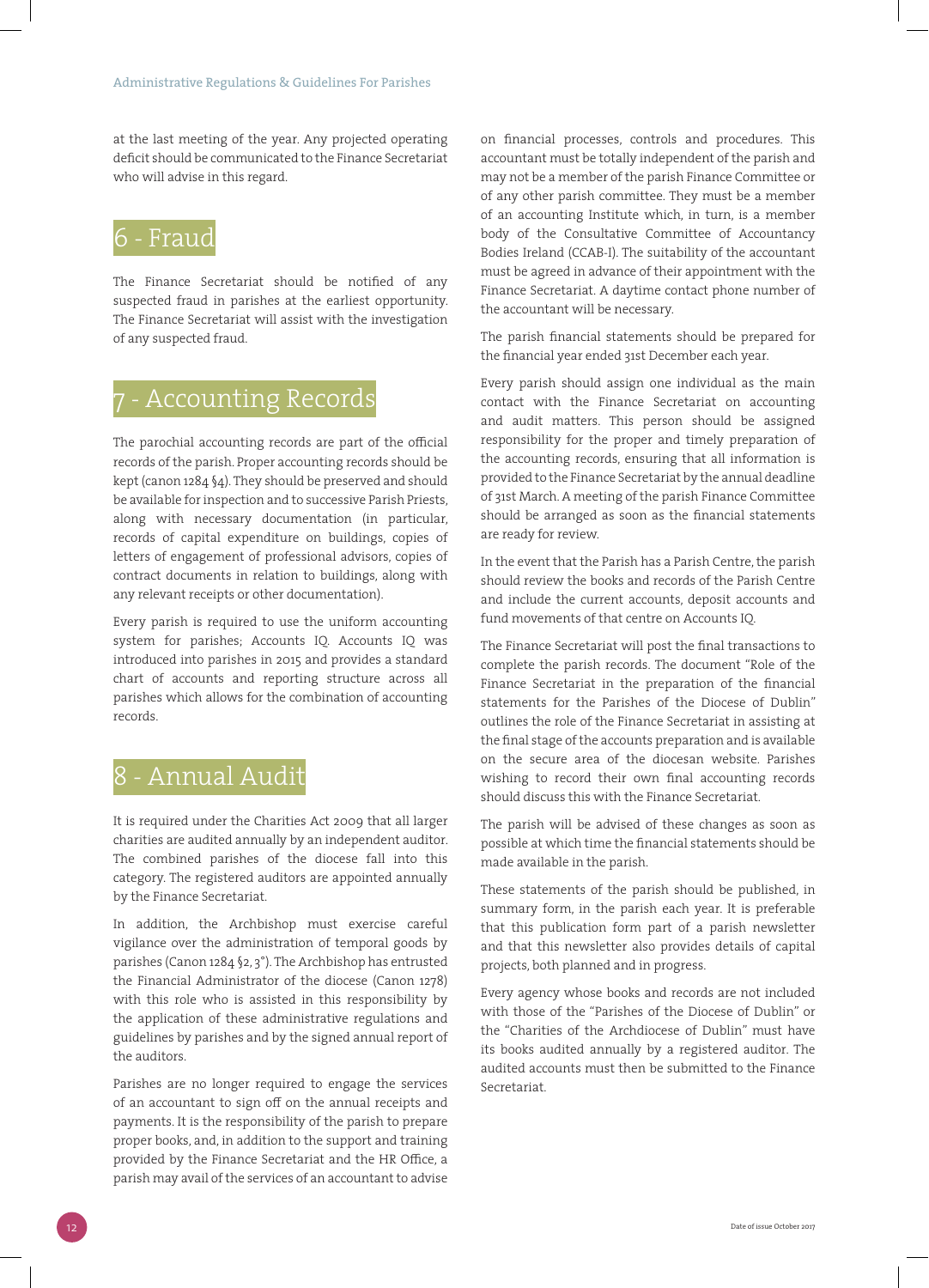at the last meeting of the year. Any projected operating deficit should be communicated to the Finance Secretariat who will advise in this regard.

# 6 - Fraud

The Finance Secretariat should be notified of any suspected fraud in parishes at the earliest opportunity. The Finance Secretariat will assist with the investigation of any suspected fraud.

# Accounting Records

The parochial accounting records are part of the official records of the parish. Proper accounting records should be kept (canon 1284 §4). They should be preserved and should be available for inspection and to successive Parish Priests, along with necessary documentation (in particular, records of capital expenditure on buildings, copies of letters of engagement of professional advisors, copies of contract documents in relation to buildings, along with any relevant receipts or other documentation).

Every parish is required to use the uniform accounting system for parishes; Accounts IQ. Accounts IQ was introduced into parishes in 2015 and provides a standard chart of accounts and reporting structure across all parishes which allows for the combination of accounting records.

# - Annual Audit

It is required under the Charities Act 2009 that all larger charities are audited annually by an independent auditor. The combined parishes of the diocese fall into this category. The registered auditors are appointed annually by the Finance Secretariat.

In addition, the Archbishop must exercise careful vigilance over the administration of temporal goods by parishes (Canon 1284 §2, 3°). The Archbishop has entrusted the Financial Administrator of the diocese (Canon 1278) with this role who is assisted in this responsibility by the application of these administrative regulations and guidelines by parishes and by the signed annual report of the auditors.

Parishes are no longer required to engage the services of an accountant to sign off on the annual receipts and payments. It is the responsibility of the parish to prepare proper books, and, in addition to the support and training provided by the Finance Secretariat and the HR Office, a parish may avail of the services of an accountant to advise

on financial processes, controls and procedures. This accountant must be totally independent of the parish and may not be a member of the parish Finance Committee or of any other parish committee. They must be a member of an accounting Institute which, in turn, is a member body of the Consultative Committee of Accountancy Bodies Ireland (CCAB-I). The suitability of the accountant must be agreed in advance of their appointment with the Finance Secretariat. A daytime contact phone number of the accountant will be necessary.

The parish financial statements should be prepared for the financial year ended 31st December each year.

Every parish should assign one individual as the main contact with the Finance Secretariat on accounting and audit matters. This person should be assigned responsibility for the proper and timely preparation of the accounting records, ensuring that all information is provided to the Finance Secretariat by the annual deadline of 31st March. A meeting of the parish Finance Committee should be arranged as soon as the financial statements are ready for review.

In the event that the Parish has a Parish Centre, the parish should review the books and records of the Parish Centre and include the current accounts, deposit accounts and fund movements of that centre on Accounts IQ.

The Finance Secretariat will post the final transactions to complete the parish records. The document "Role of the Finance Secretariat in the preparation of the financial statements for the Parishes of the Diocese of Dublin" outlines the role of the Finance Secretariat in assisting at the final stage of the accounts preparation and is available on the secure area of the diocesan website. Parishes wishing to record their own final accounting records should discuss this with the Finance Secretariat.

The parish will be advised of these changes as soon as possible at which time the financial statements should be made available in the parish.

These statements of the parish should be published, in summary form, in the parish each year. It is preferable that this publication form part of a parish newsletter and that this newsletter also provides details of capital projects, both planned and in progress.

Every agency whose books and records are not included with those of the "Parishes of the Diocese of Dublin" or the "Charities of the Archdiocese of Dublin" must have its books audited annually by a registered auditor. The audited accounts must then be submitted to the Finance Secretariat.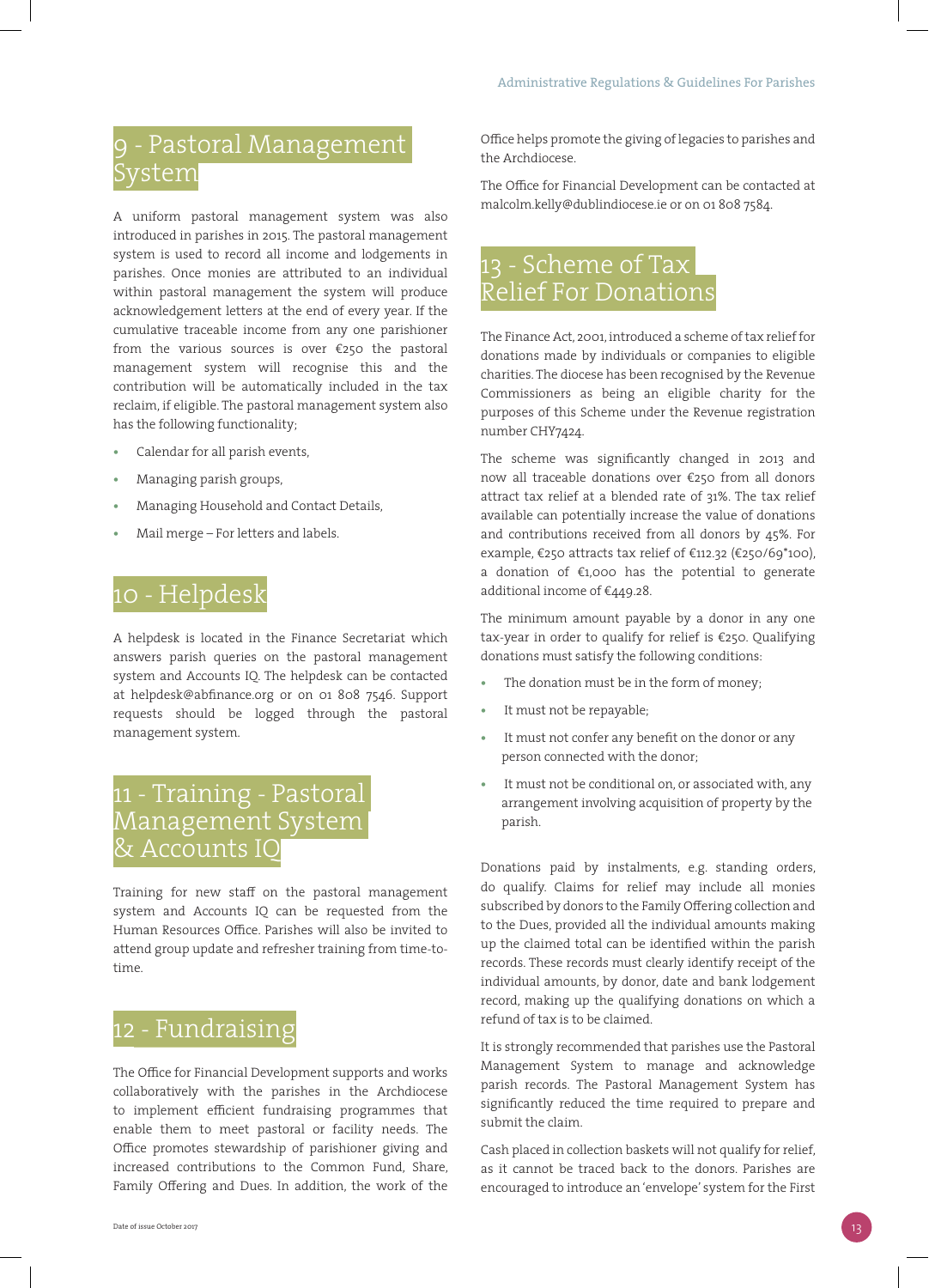# 9 - Pastoral Management 'stem

A uniform pastoral management system was also introduced in parishes in 2015. The pastoral management system is used to record all income and lodgements in parishes. Once monies are attributed to an individual within pastoral management the system will produce acknowledgement letters at the end of every year. If the cumulative traceable income from any one parishioner from the various sources is over €250 the pastoral management system will recognise this and the contribution will be automatically included in the tax reclaim, if eligible. The pastoral management system also has the following functionality;

- **•** Calendar for all parish events,
- **•** Managing parish groups,
- **•** Managing Household and Contact Details,
- **•** Mail merge For letters and labels.

# 10 - Helpdesk

A helpdesk is located in the Finance Secretariat which answers parish queries on the pastoral management system and Accounts IQ. The helpdesk can be contacted at helpdesk@abfinance.org or on 01 808 7546. Support requests should be logged through the pastoral management system.

# 11 - Training - Pastoral Management System & Accounts IQ

Training for new staff on the pastoral management system and Accounts IQ can be requested from the Human Resources Office. Parishes will also be invited to attend group update and refresher training from time-totime.

# 12 - Fundraising

The Office for Financial Development supports and works collaboratively with the parishes in the Archdiocese to implement efficient fundraising programmes that enable them to meet pastoral or facility needs. The Office promotes stewardship of parishioner giving and increased contributions to the Common Fund, Share, Family Offering and Dues. In addition, the work of the

The Office for Financial Development can be contacted at malcolm.kelly@dublindiocese.ie or on 01 808 7584.

# - Scheme of Tax Relief For Donations

The Finance Act, 2001, introduced a scheme of tax relief for donations made by individuals or companies to eligible charities. The diocese has been recognised by the Revenue Commissioners as being an eligible charity for the purposes of this Scheme under the Revenue registration number CHY7424.

The scheme was significantly changed in 2013 and now all traceable donations over €250 from all donors attract tax relief at a blended rate of 31%. The tax relief available can potentially increase the value of donations and contributions received from all donors by 45%. For example, €250 attracts tax relief of €112.32 (€250/69\*100), a donation of €1,000 has the potential to generate additional income of €449.28.

The minimum amount payable by a donor in any one tax-year in order to qualify for relief is €250. Qualifying donations must satisfy the following conditions:

- **•** The donation must be in the form of money;
- **•** It must not be repayable;
- **•** It must not confer any benefit on the donor or any person connected with the donor;
- **•** It must not be conditional on, or associated with, any arrangement involving acquisition of property by the parish.

Donations paid by instalments, e.g. standing orders, do qualify. Claims for relief may include all monies subscribed by donors to the Family Offering collection and to the Dues, provided all the individual amounts making up the claimed total can be identified within the parish records. These records must clearly identify receipt of the individual amounts, by donor, date and bank lodgement record, making up the qualifying donations on which a refund of tax is to be claimed.

It is strongly recommended that parishes use the Pastoral Management System to manage and acknowledge parish records. The Pastoral Management System has significantly reduced the time required to prepare and submit the claim.

Cash placed in collection baskets will not qualify for relief, as it cannot be traced back to the donors. Parishes are encouraged to introduce an 'envelope' system for the First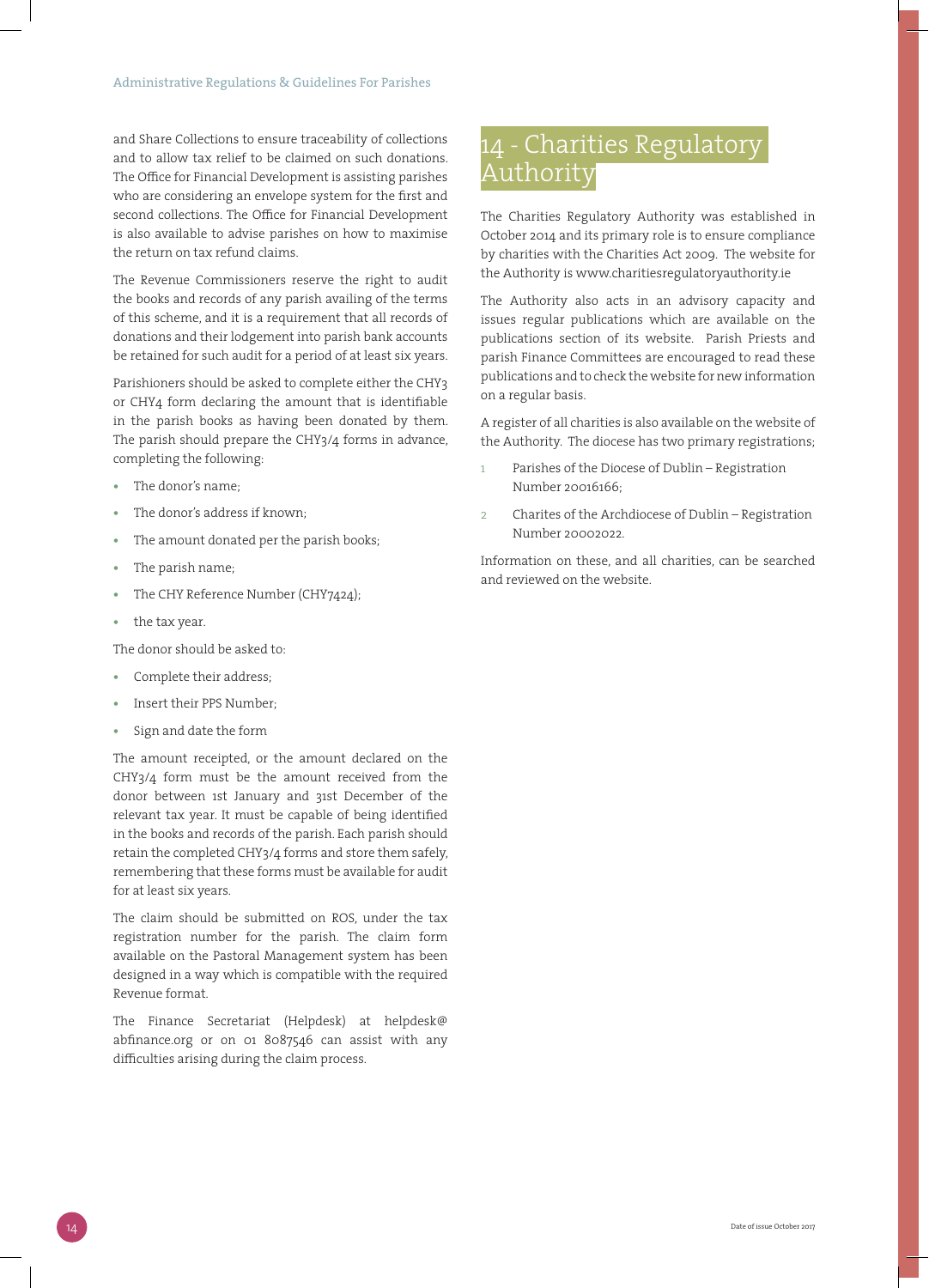and Share Collections to ensure traceability of collections and to allow tax relief to be claimed on such donations. The Office for Financial Development is assisting parishes who are considering an envelope system for the first and second collections. The Office for Financial Development is also available to advise parishes on how to maximise the return on tax refund claims.

The Revenue Commissioners reserve the right to audit the books and records of any parish availing of the terms of this scheme, and it is a requirement that all records of donations and their lodgement into parish bank accounts be retained for such audit for a period of at least six years.

Parishioners should be asked to complete either the CHY3 or CHY4 form declaring the amount that is identifiable in the parish books as having been donated by them. The parish should prepare the CHY3/4 forms in advance, completing the following:

- **•** The donor's name;
- **•** The donor's address if known;
- **•** The amount donated per the parish books;
- **•** The parish name;
- **•** The CHY Reference Number (CHY7424);
- **•** the tax year.

The donor should be asked to:

- **•** Complete their address;
- **•** Insert their PPS Number;
- **•** Sign and date the form

The amount receipted, or the amount declared on the CHY3/4 form must be the amount received from the donor between 1st January and 31st December of the relevant tax year. It must be capable of being identified in the books and records of the parish. Each parish should retain the completed CHY3/4 forms and store them safely, remembering that these forms must be available for audit for at least six years.

The claim should be submitted on ROS, under the tax registration number for the parish. The claim form available on the Pastoral Management system has been designed in a way which is compatible with the required Revenue format.

The Finance Secretariat (Helpdesk) at helpdesk@ abfinance.org or on 01 8087546 can assist with any difficulties arising during the claim process.

# 14 - Charities Regulatory Authority

The Charities Regulatory Authority was established in October 2014 and its primary role is to ensure compliance by charities with the Charities Act 2009. The website for the Authority is www.charitiesregulatoryauthority.ie

The Authority also acts in an advisory capacity and issues regular publications which are available on the publications section of its website. Parish Priests and parish Finance Committees are encouraged to read these publications and to check the website for new information on a regular basis.

A register of all charities is also available on the website of the Authority. The diocese has two primary registrations;

- Parishes of the Diocese of Dublin Registration Number 20016166;
- 2 Charites of the Archdiocese of Dublin Registration Number 20002022.

Information on these, and all charities, can be searched and reviewed on the website.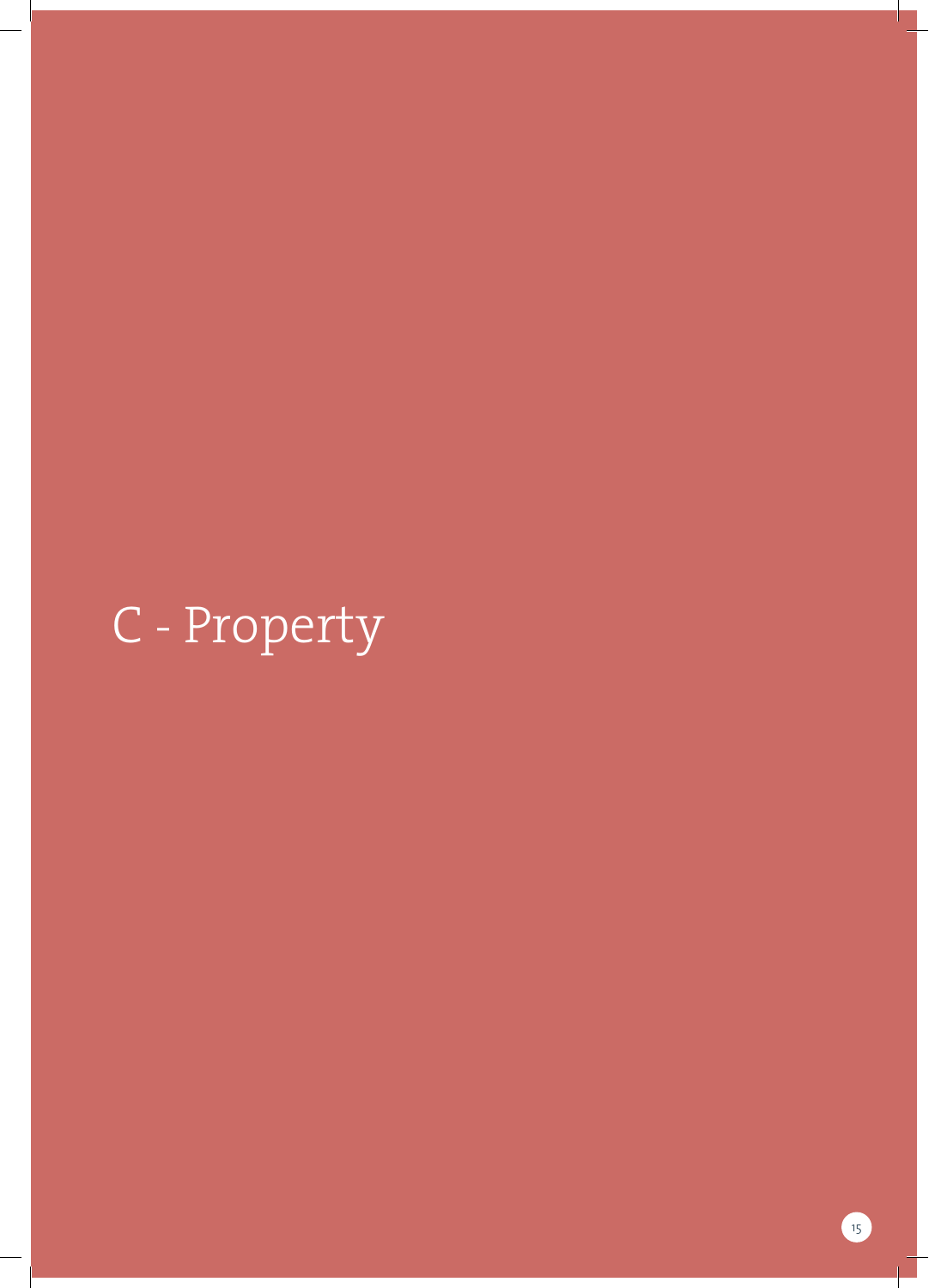# C - Property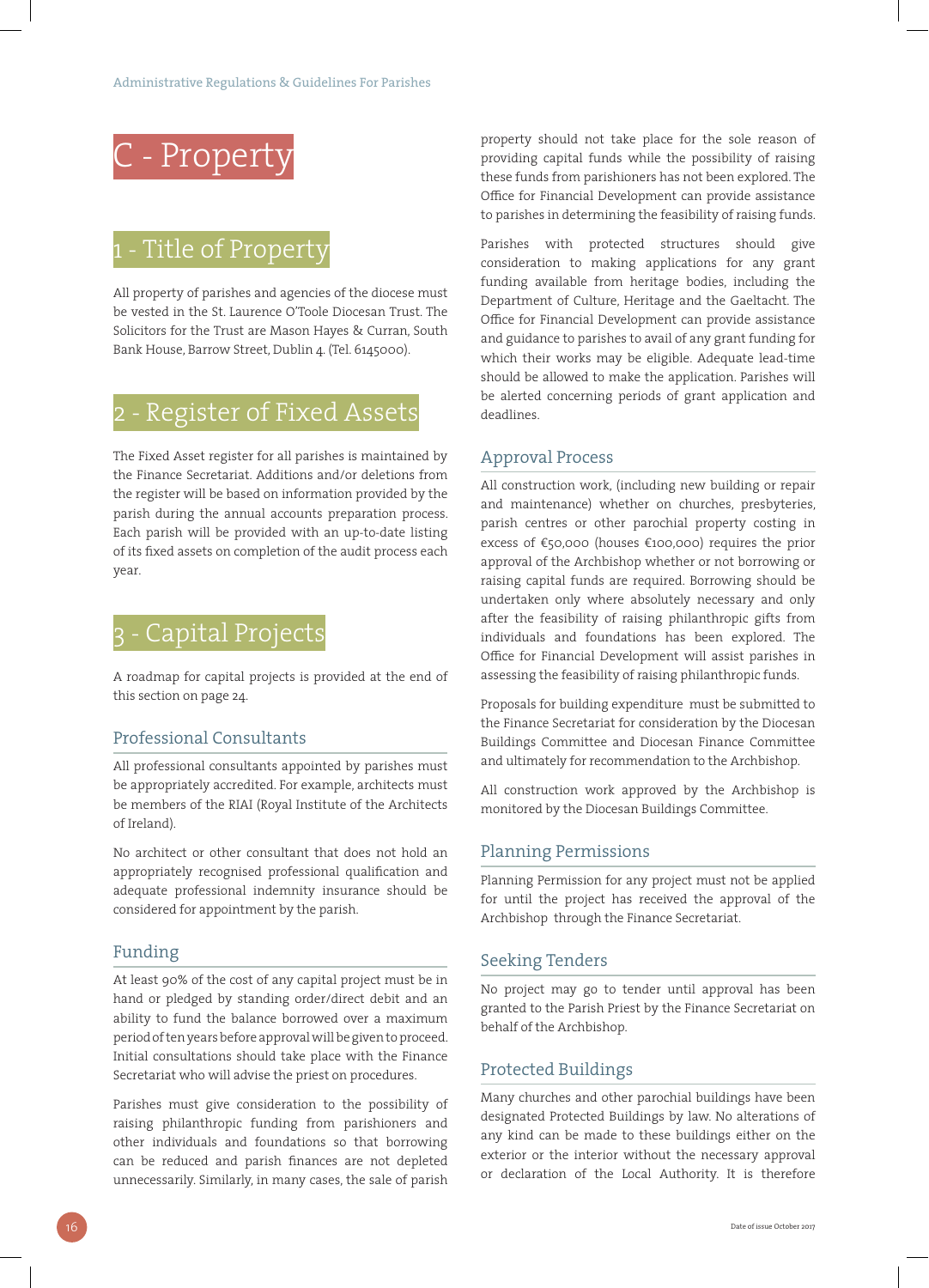

# 1 - Title of Property

All property of parishes and agencies of the diocese must be vested in the St. Laurence O'Toole Diocesan Trust. The Solicitors for the Trust are Mason Hayes & Curran, South Bank House, Barrow Street, Dublin 4. (Tel. 6145000).

# Register of Fixed Assets

The Fixed Asset register for all parishes is maintained by the Finance Secretariat. Additions and/or deletions from the register will be based on information provided by the parish during the annual accounts preparation process. Each parish will be provided with an up-to-date listing of its fixed assets on completion of the audit process each year.

# Capital Projects

A roadmap for capital projects is provided at the end of this section on page 24.

#### Professional Consultants

All professional consultants appointed by parishes must be appropriately accredited. For example, architects must be members of the RIAI (Royal Institute of the Architects of Ireland).

No architect or other consultant that does not hold an appropriately recognised professional qualification and adequate professional indemnity insurance should be considered for appointment by the parish.

#### Funding

At least 90% of the cost of any capital project must be in hand or pledged by standing order/direct debit and an ability to fund the balance borrowed over a maximum period of ten years before approval will be given to proceed. Initial consultations should take place with the Finance Secretariat who will advise the priest on procedures.

Parishes must give consideration to the possibility of raising philanthropic funding from parishioners and other individuals and foundations so that borrowing can be reduced and parish finances are not depleted unnecessarily. Similarly, in many cases, the sale of parish

property should not take place for the sole reason of providing capital funds while the possibility of raising these funds from parishioners has not been explored. The Office for Financial Development can provide assistance to parishes in determining the feasibility of raising funds.

Parishes with protected structures should give consideration to making applications for any grant funding available from heritage bodies, including the Department of Culture, Heritage and the Gaeltacht. The Office for Financial Development can provide assistance and guidance to parishes to avail of any grant funding for which their works may be eligible. Adequate lead-time should be allowed to make the application. Parishes will be alerted concerning periods of grant application and deadlines.

#### Approval Process

All construction work, (including new building or repair and maintenance) whether on churches, presbyteries, parish centres or other parochial property costing in excess of €50,000 (houses €100,000) requires the prior approval of the Archbishop whether or not borrowing or raising capital funds are required. Borrowing should be undertaken only where absolutely necessary and only after the feasibility of raising philanthropic gifts from individuals and foundations has been explored. The Office for Financial Development will assist parishes in assessing the feasibility of raising philanthropic funds.

Proposals for building expenditure must be submitted to the Finance Secretariat for consideration by the Diocesan Buildings Committee and Diocesan Finance Committee and ultimately for recommendation to the Archbishop.

All construction work approved by the Archbishop is monitored by the Diocesan Buildings Committee.

#### Planning Permissions

Planning Permission for any project must not be applied for until the project has received the approval of the Archbishop through the Finance Secretariat.

#### Seeking Tenders

No project may go to tender until approval has been granted to the Parish Priest by the Finance Secretariat on behalf of the Archbishop.

#### Protected Buildings

Many churches and other parochial buildings have been designated Protected Buildings by law. No alterations of any kind can be made to these buildings either on the exterior or the interior without the necessary approval or declaration of the Local Authority. It is therefore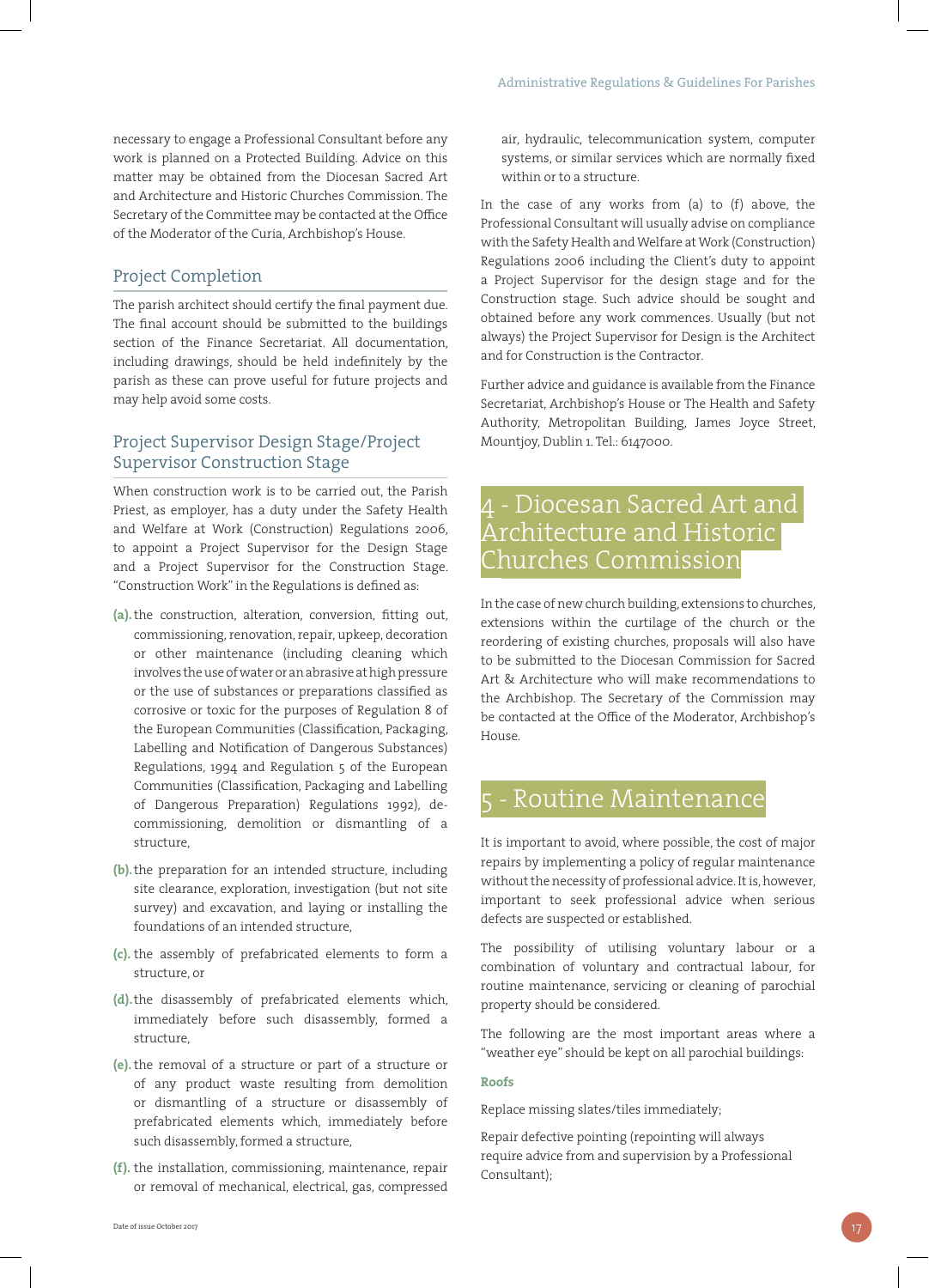necessary to engage a Professional Consultant before any work is planned on a Protected Building. Advice on this matter may be obtained from the Diocesan Sacred Art and Architecture and Historic Churches Commission. The Secretary of the Committee may be contacted at the Office of the Moderator of the Curia, Archbishop's House.

#### Project Completion

The parish architect should certify the final payment due. The final account should be submitted to the buildings section of the Finance Secretariat. All documentation, including drawings, should be held indefinitely by the parish as these can prove useful for future projects and may help avoid some costs.

#### Project Supervisor Design Stage/Project Supervisor Construction Stage

When construction work is to be carried out, the Parish Priest, as employer, has a duty under the Safety Health and Welfare at Work (Construction) Regulations 2006, to appoint a Project Supervisor for the Design Stage and a Project Supervisor for the Construction Stage. "Construction Work" in the Regulations is defined as:

- **(a).**the construction, alteration, conversion, fitting out, commissioning, renovation, repair, upkeep, decoration or other maintenance (including cleaning which involves the use of water or an abrasive at high pressure or the use of substances or preparations classified as corrosive or toxic for the purposes of Regulation 8 of the European Communities (Classification, Packaging, Labelling and Notification of Dangerous Substances) Regulations, 1994 and Regulation 5 of the European Communities (Classification, Packaging and Labelling of Dangerous Preparation) Regulations 1992), decommissioning, demolition or dismantling of a structure,
- **(b).**the preparation for an intended structure, including site clearance, exploration, investigation (but not site survey) and excavation, and laying or installing the foundations of an intended structure,
- **(c).** the assembly of prefabricated elements to form a structure, or
- **(d).**the disassembly of prefabricated elements which, immediately before such disassembly, formed a structure,
- **(e).**the removal of a structure or part of a structure or of any product waste resulting from demolition or dismantling of a structure or disassembly of prefabricated elements which, immediately before such disassembly, formed a structure,
- **(f).** the installation, commissioning, maintenance, repair or removal of mechanical, electrical, gas, compressed

air, hydraulic, telecommunication system, computer systems, or similar services which are normally fixed within or to a structure.

In the case of any works from (a) to (f) above, the Professional Consultant will usually advise on compliance with the Safety Health and Welfare at Work (Construction) Regulations 2006 including the Client's duty to appoint a Project Supervisor for the design stage and for the Construction stage. Such advice should be sought and obtained before any work commences. Usually (but not always) the Project Supervisor for Design is the Architect and for Construction is the Contractor.

Further advice and guidance is available from the Finance Secretariat, Archbishop's House or The Health and Safety Authority, Metropolitan Building, James Joyce Street, Mountjoy, Dublin 1. Tel.: 6147000.

# 4 - Diocesan Sacred Art and Architecture and Historic Churches Commission

In the case of new church building, extensions to churches, extensions within the curtilage of the church or the reordering of existing churches, proposals will also have to be submitted to the Diocesan Commission for Sacred Art & Architecture who will make recommendations to the Archbishop. The Secretary of the Commission may be contacted at the Office of the Moderator, Archbishop's House.

### - Routine Maintenance

It is important to avoid, where possible, the cost of major repairs by implementing a policy of regular maintenance without the necessity of professional advice. It is, however, important to seek professional advice when serious defects are suspected or established.

The possibility of utilising voluntary labour or a combination of voluntary and contractual labour, for routine maintenance, servicing or cleaning of parochial property should be considered.

The following are the most important areas where a "weather eye" should be kept on all parochial buildings:

#### **Roofs**

Replace missing slates/tiles immediately;

Repair defective pointing (repointing will always require advice from and supervision by a Professional Consultant);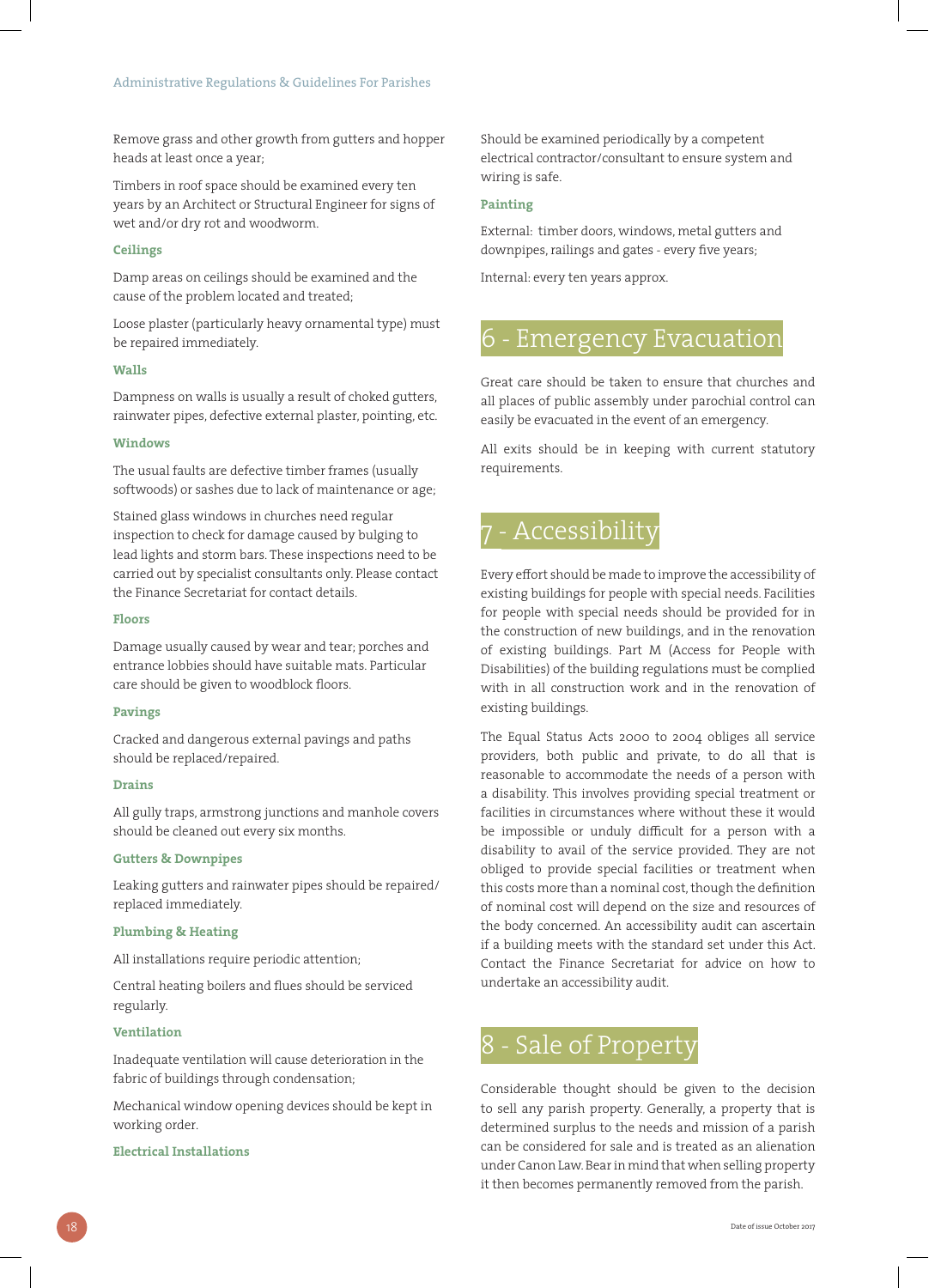#### Remove grass and other growth from gutters and hopper heads at least once a year;

Timbers in roof space should be examined every ten years by an Architect or Structural Engineer for signs of wet and/or dry rot and woodworm.

#### **Ceilings**

Damp areas on ceilings should be examined and the cause of the problem located and treated;

Loose plaster (particularly heavy ornamental type) must be repaired immediately.

#### **Walls**

Dampness on walls is usually a result of choked gutters, rainwater pipes, defective external plaster, pointing, etc.

#### **Windows**

The usual faults are defective timber frames (usually softwoods) or sashes due to lack of maintenance or age;

Stained glass windows in churches need regular inspection to check for damage caused by bulging to lead lights and storm bars. These inspections need to be carried out by specialist consultants only. Please contact the Finance Secretariat for contact details.

#### **Floors**

Damage usually caused by wear and tear; porches and entrance lobbies should have suitable mats. Particular care should be given to woodblock floors.

#### **Pavings**

Cracked and dangerous external pavings and paths should be replaced/repaired.

#### **Drains**

All gully traps, armstrong junctions and manhole covers should be cleaned out every six months.

#### **Gutters & Downpipes**

Leaking gutters and rainwater pipes should be repaired/ replaced immediately.

#### **Plumbing & Heating**

All installations require periodic attention;

Central heating boilers and flues should be serviced regularly.

#### **Ventilation**

Inadequate ventilation will cause deterioration in the fabric of buildings through condensation;

Mechanical window opening devices should be kept in working order.

#### **Electrical Installations**

Should be examined periodically by a competent electrical contractor/consultant to ensure system and wiring is safe.

#### **Painting**

External: timber doors, windows, metal gutters and downpipes, railings and gates - every five years;

Internal: every ten years approx.

# **Emergency Evacuation**

Great care should be taken to ensure that churches and all places of public assembly under parochial control can easily be evacuated in the event of an emergency.

All exits should be in keeping with current statutory requirements.

# - Accessibility

Every effort should be made to improve the accessibility of existing buildings for people with special needs. Facilities for people with special needs should be provided for in the construction of new buildings, and in the renovation of existing buildings. Part M (Access for People with Disabilities) of the building regulations must be complied with in all construction work and in the renovation of existing buildings.

The Equal Status Acts 2000 to 2004 obliges all service providers, both public and private, to do all that is reasonable to accommodate the needs of a person with a disability. This involves providing special treatment or facilities in circumstances where without these it would be impossible or unduly difficult for a person with a disability to avail of the service provided. They are not obliged to provide special facilities or treatment when this costs more than a nominal cost, though the definition of nominal cost will depend on the size and resources of the body concerned. An accessibility audit can ascertain if a building meets with the standard set under this Act. Contact the Finance Secretariat for advice on how to undertake an accessibility audit.

# 8 - Sale of Property

Considerable thought should be given to the decision to sell any parish property. Generally, a property that is determined surplus to the needs and mission of a parish can be considered for sale and is treated as an alienation under Canon Law. Bear in mind that when selling property it then becomes permanently removed from the parish.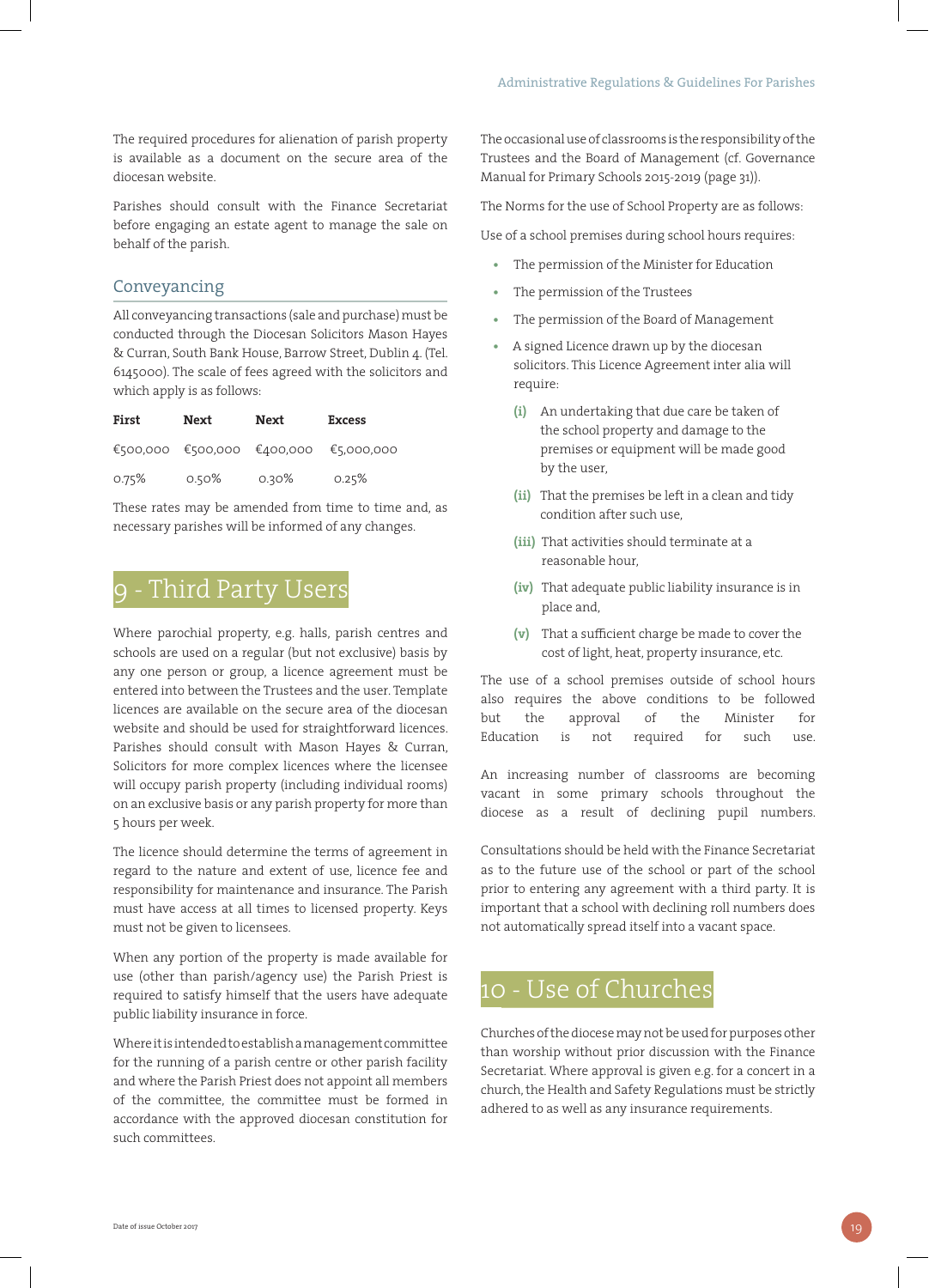The required procedures for alienation of parish property is available as a document on the secure area of the diocesan website.

Parishes should consult with the Finance Secretariat before engaging an estate agent to manage the sale on behalf of the parish.

#### Conveyancing

All conveyancing transactions (sale and purchase) must be conducted through the Diocesan Solicitors Mason Hayes & Curran, South Bank House, Barrow Street, Dublin 4. (Tel. 6145000). The scale of fees agreed with the solicitors and which apply is as follows:

| First | Next     | Next     | <b>Excess</b>                         |
|-------|----------|----------|---------------------------------------|
|       |          |          | €500,000 €500,000 €400,000 €5,000,000 |
| 0.75% | $0.50\%$ | $0.30\%$ | 0.25%                                 |

These rates may be amended from time to time and, as necessary parishes will be informed of any changes.

# 9 - Third Party Users

Where parochial property, e.g. halls, parish centres and schools are used on a regular (but not exclusive) basis by any one person or group, a licence agreement must be entered into between the Trustees and the user. Template licences are available on the secure area of the diocesan website and should be used for straightforward licences. Parishes should consult with Mason Hayes & Curran, Solicitors for more complex licences where the licensee will occupy parish property (including individual rooms) on an exclusive basis or any parish property for more than 5 hours per week.

The licence should determine the terms of agreement in regard to the nature and extent of use, licence fee and responsibility for maintenance and insurance. The Parish must have access at all times to licensed property. Keys must not be given to licensees.

When any portion of the property is made available for use (other than parish/agency use) the Parish Priest is required to satisfy himself that the users have adequate public liability insurance in force.

Where it is intended to establish a management committee for the running of a parish centre or other parish facility and where the Parish Priest does not appoint all members of the committee, the committee must be formed in accordance with the approved diocesan constitution for such committees.

The occasional use of classrooms is the responsibility of the Trustees and the Board of Management (cf. Governance Manual for Primary Schools 2015-2019 (page 31)).

The Norms for the use of School Property are as follows:

Use of a school premises during school hours requires:

- **•** The permission of the Minister for Education
- **•** The permission of the Trustees
- **•** The permission of the Board of Management
- **•** A signed Licence drawn up by the diocesan solicitors. This Licence Agreement inter alia will require:
	- **(i)** An undertaking that due care be taken of the school property and damage to the premises or equipment will be made good by the user,
	- **(ii)** That the premises be left in a clean and tidy condition after such use,
	- **(iii)** That activities should terminate at a reasonable hour,
	- **(iv)** That adequate public liability insurance is in place and,
	- **(v)** That a sufficient charge be made to cover the cost of light, heat, property insurance, etc.

The use of a school premises outside of school hours also requires the above conditions to be followed but the approval of the Minister for Education is not required for such use.

An increasing number of classrooms are becoming vacant in some primary schools throughout the diocese as a result of declining pupil numbers.

Consultations should be held with the Finance Secretariat as to the future use of the school or part of the school prior to entering any agreement with a third party. It is important that a school with declining roll numbers does not automatically spread itself into a vacant space.

### 10 - Use of Churches

Churches of the diocese may not be used for purposes other than worship without prior discussion with the Finance Secretariat. Where approval is given e.g. for a concert in a church, the Health and Safety Regulations must be strictly adhered to as well as any insurance requirements.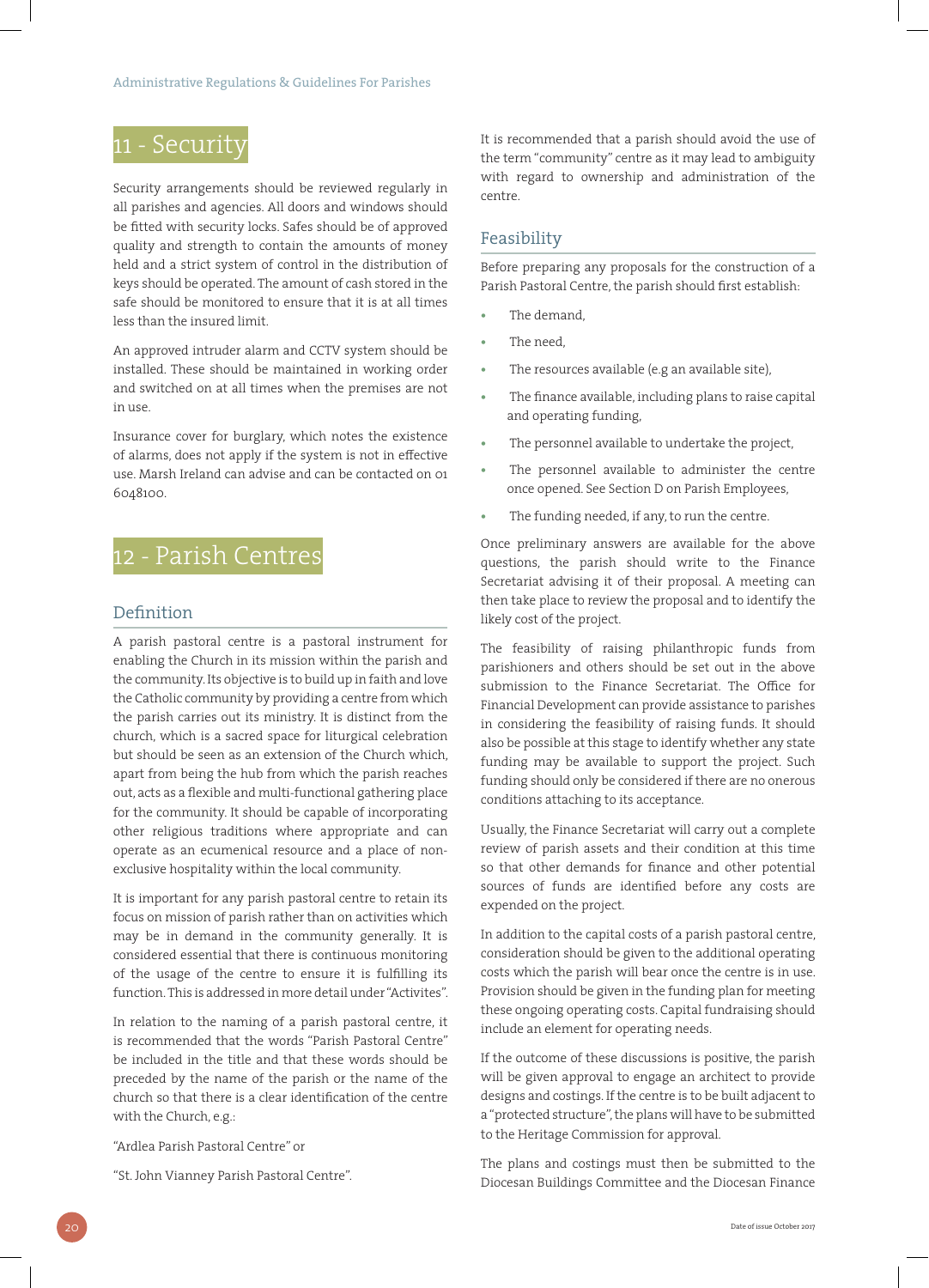# 11 - Security

Security arrangements should be reviewed regularly in all parishes and agencies. All doors and windows should be fitted with security locks. Safes should be of approved quality and strength to contain the amounts of money held and a strict system of control in the distribution of keys should be operated. The amount of cash stored in the safe should be monitored to ensure that it is at all times less than the insured limit.

An approved intruder alarm and CCTV system should be installed. These should be maintained in working order and switched on at all times when the premises are not in use.

Insurance cover for burglary, which notes the existence of alarms, does not apply if the system is not in effective use. Marsh Ireland can advise and can be contacted on 01 6048100.

# 12 - Parish Centres

#### **Definition**

A parish pastoral centre is a pastoral instrument for enabling the Church in its mission within the parish and the community. Its objective is to build up in faith and love the Catholic community by providing a centre from which the parish carries out its ministry. It is distinct from the church, which is a sacred space for liturgical celebration but should be seen as an extension of the Church which, apart from being the hub from which the parish reaches out, acts as a flexible and multi-functional gathering place for the community. It should be capable of incorporating other religious traditions where appropriate and can operate as an ecumenical resource and a place of nonexclusive hospitality within the local community.

It is important for any parish pastoral centre to retain its focus on mission of parish rather than on activities which may be in demand in the community generally. It is considered essential that there is continuous monitoring of the usage of the centre to ensure it is fulfilling its function. This is addressed in more detail under "Activites".

In relation to the naming of a parish pastoral centre, it is recommended that the words "Parish Pastoral Centre" be included in the title and that these words should be preceded by the name of the parish or the name of the church so that there is a clear identification of the centre with the Church, e.g.:

"Ardlea Parish Pastoral Centre" or

"St. John Vianney Parish Pastoral Centre".

It is recommended that a parish should avoid the use of the term "community" centre as it may lead to ambiguity with regard to ownership and administration of the centre.

#### Feasibility

Before preparing any proposals for the construction of a Parish Pastoral Centre, the parish should first establish:

- **•** The demand,
- **•** The need,
- **•** The resources available (e.g an available site),
- **•** The finance available, including plans to raise capital and operating funding,
- **•** The personnel available to undertake the project,
- **•** The personnel available to administer the centre once opened. See Section D on Parish Employees,
- **•** The funding needed, if any, to run the centre.

Once preliminary answers are available for the above questions, the parish should write to the Finance Secretariat advising it of their proposal. A meeting can then take place to review the proposal and to identify the likely cost of the project.

The feasibility of raising philanthropic funds from parishioners and others should be set out in the above submission to the Finance Secretariat. The Office for Financial Development can provide assistance to parishes in considering the feasibility of raising funds. It should also be possible at this stage to identify whether any state funding may be available to support the project. Such funding should only be considered if there are no onerous conditions attaching to its acceptance.

Usually, the Finance Secretariat will carry out a complete review of parish assets and their condition at this time so that other demands for finance and other potential sources of funds are identified before any costs are expended on the project.

In addition to the capital costs of a parish pastoral centre, consideration should be given to the additional operating costs which the parish will bear once the centre is in use. Provision should be given in the funding plan for meeting these ongoing operating costs. Capital fundraising should include an element for operating needs.

If the outcome of these discussions is positive, the parish will be given approval to engage an architect to provide designs and costings. If the centre is to be built adjacent to a "protected structure", the plans will have to be submitted to the Heritage Commission for approval.

The plans and costings must then be submitted to the Diocesan Buildings Committee and the Diocesan Finance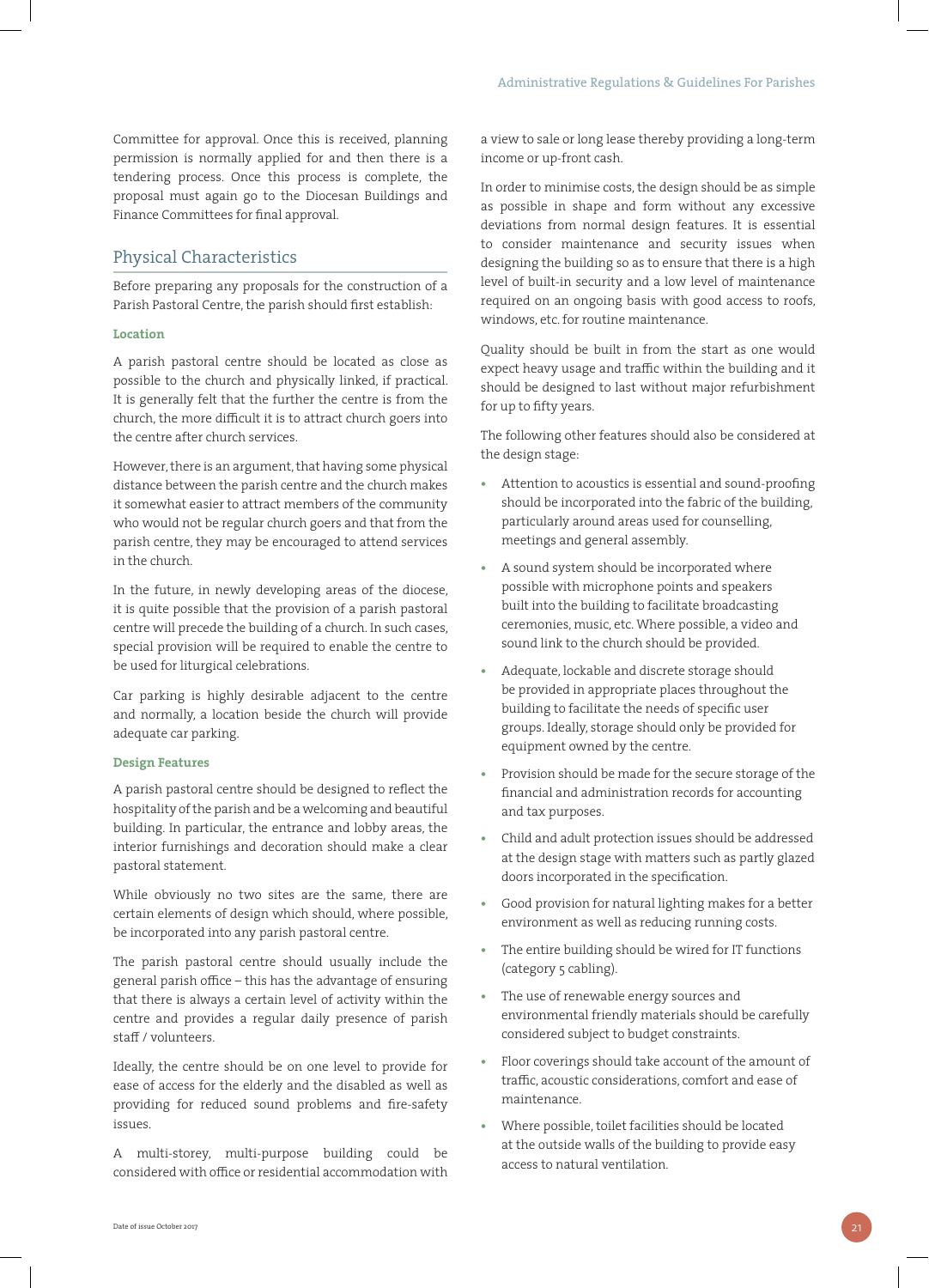Committee for approval. Once this is received, planning permission is normally applied for and then there is a tendering process. Once this process is complete, the proposal must again go to the Diocesan Buildings and Finance Committees for final approval.

#### Physical Characteristics

Before preparing any proposals for the construction of a Parish Pastoral Centre, the parish should first establish:

#### **Location**

A parish pastoral centre should be located as close as possible to the church and physically linked, if practical. It is generally felt that the further the centre is from the church, the more difficult it is to attract church goers into the centre after church services.

However, there is an argument, that having some physical distance between the parish centre and the church makes it somewhat easier to attract members of the community who would not be regular church goers and that from the parish centre, they may be encouraged to attend services in the church.

In the future, in newly developing areas of the diocese, it is quite possible that the provision of a parish pastoral centre will precede the building of a church. In such cases, special provision will be required to enable the centre to be used for liturgical celebrations.

Car parking is highly desirable adjacent to the centre and normally, a location beside the church will provide adequate car parking.

#### **Design Features**

A parish pastoral centre should be designed to reflect the hospitality of the parish and be a welcoming and beautiful building. In particular, the entrance and lobby areas, the interior furnishings and decoration should make a clear pastoral statement.

While obviously no two sites are the same, there are certain elements of design which should, where possible, be incorporated into any parish pastoral centre.

The parish pastoral centre should usually include the general parish office – this has the advantage of ensuring that there is always a certain level of activity within the centre and provides a regular daily presence of parish staff / volunteers.

Ideally, the centre should be on one level to provide for ease of access for the elderly and the disabled as well as providing for reduced sound problems and fire-safety issues.

A multi-storey, multi-purpose building could be considered with office or residential accommodation with

a view to sale or long lease thereby providing a long-term income or up-front cash.

In order to minimise costs, the design should be as simple as possible in shape and form without any excessive deviations from normal design features. It is essential to consider maintenance and security issues when designing the building so as to ensure that there is a high level of built-in security and a low level of maintenance required on an ongoing basis with good access to roofs, windows, etc. for routine maintenance.

Quality should be built in from the start as one would expect heavy usage and traffic within the building and it should be designed to last without major refurbishment for up to fifty years.

The following other features should also be considered at the design stage:

- **•** Attention to acoustics is essential and sound-proofing should be incorporated into the fabric of the building, particularly around areas used for counselling, meetings and general assembly.
- **•** A sound system should be incorporated where possible with microphone points and speakers built into the building to facilitate broadcasting ceremonies, music, etc. Where possible, a video and sound link to the church should be provided.
- **•** Adequate, lockable and discrete storage should be provided in appropriate places throughout the building to facilitate the needs of specific user groups. Ideally, storage should only be provided for equipment owned by the centre.
- **•** Provision should be made for the secure storage of the financial and administration records for accounting and tax purposes.
- **•** Child and adult protection issues should be addressed at the design stage with matters such as partly glazed doors incorporated in the specification.
- **•** Good provision for natural lighting makes for a better environment as well as reducing running costs.
- **•** The entire building should be wired for IT functions (category 5 cabling).
- **•** The use of renewable energy sources and environmental friendly materials should be carefully considered subject to budget constraints.
- **•** Floor coverings should take account of the amount of traffic, acoustic considerations, comfort and ease of maintenance.
- **•** Where possible, toilet facilities should be located at the outside walls of the building to provide easy access to natural ventilation.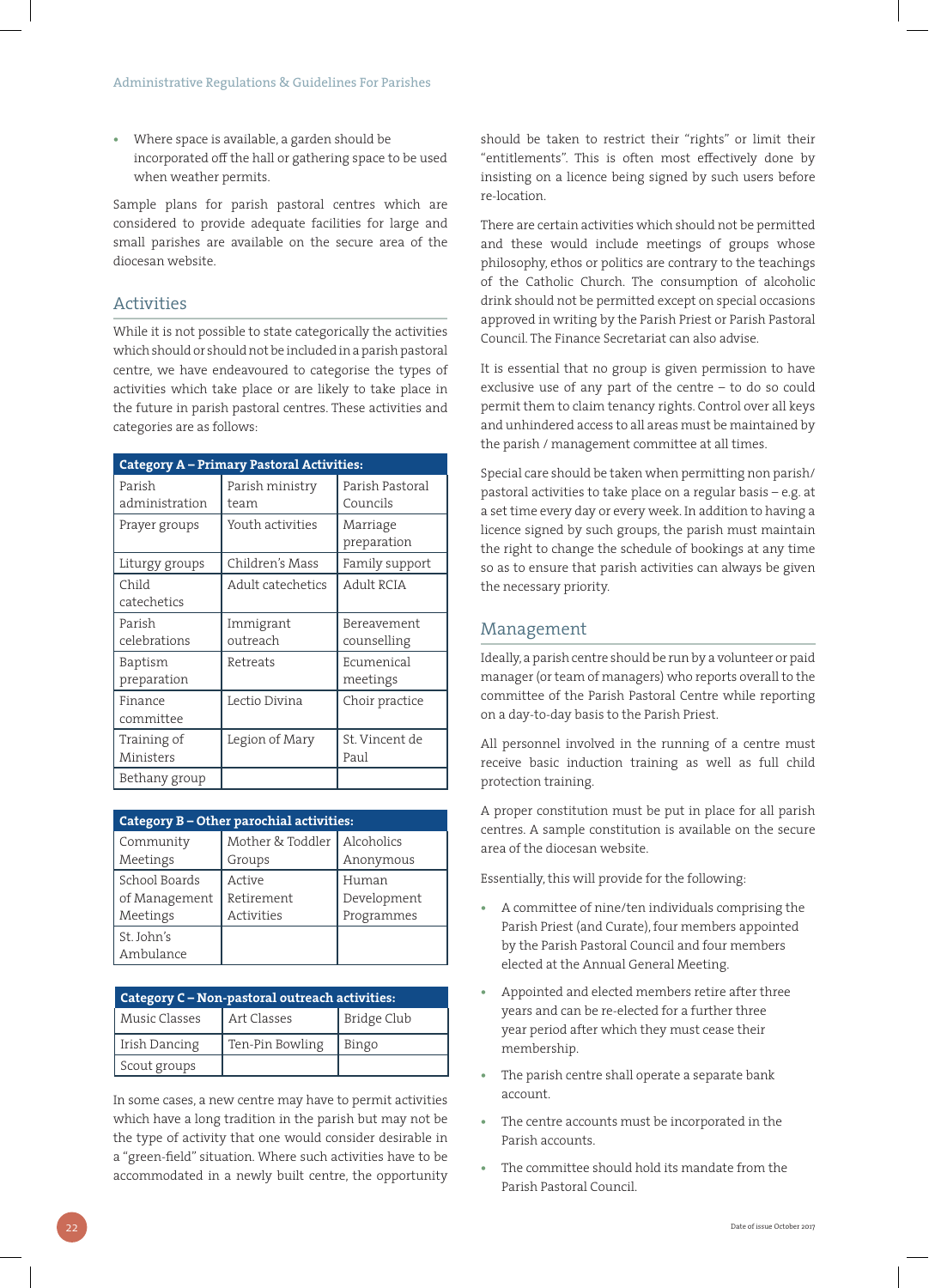**•** Where space is available, a garden should be incorporated off the hall or gathering space to be used when weather permits.

Sample plans for parish pastoral centres which are considered to provide adequate facilities for large and small parishes are available on the secure area of the diocesan website.

#### Activities

While it is not possible to state categorically the activities which should or should not be included in a parish pastoral centre, we have endeavoured to categorise the types of activities which take place or are likely to take place in the future in parish pastoral centres. These activities and categories are as follows:

| Category A - Primary Pastoral Activities: |                         |                             |
|-------------------------------------------|-------------------------|-----------------------------|
| Parish<br>administration                  | Parish ministry<br>team | Parish Pastoral<br>Councils |
| Prayer groups                             | Youth activities        | Marriage<br>preparation     |
| Liturgy groups                            | Children's Mass         | Family support              |
| Child<br>catechetics                      | Adult catechetics       | Adult RCIA                  |
| Parish<br>celebrations                    | Immigrant<br>outreach   | Bereavement<br>counselling  |
| Baptism<br>preparation                    | Retreats                | Ecumenical<br>meetings      |
| Finance<br>committee                      | Lectio Divina           | Choir practice              |
| Training of<br>Ministers                  | Legion of Mary          | St. Vincent de<br>Paul      |
| Bethany group                             |                         |                             |

| Category B - Other parochial activities: |                   |             |
|------------------------------------------|-------------------|-------------|
| Community                                | Mother & Toddler  | Alcoholics  |
| Meetings                                 | Groups            | Anonymous   |
| School Boards                            | Active            | Human       |
| of Management                            | Retirement        | Development |
| Meetings                                 | <b>Activities</b> | Programmes  |
| St. John's<br>Ambulance                  |                   |             |

| Category $C$ – Non-pastoral outreach activities: |                 |             |
|--------------------------------------------------|-----------------|-------------|
| Music Classes                                    | Art Classes     | Bridge Club |
| Irish Dancing                                    | Ten-Pin Bowling | Bingo       |
| Scout groups                                     |                 |             |

In some cases, a new centre may have to permit activities which have a long tradition in the parish but may not be the type of activity that one would consider desirable in a "green-field" situation. Where such activities have to be accommodated in a newly built centre, the opportunity should be taken to restrict their "rights" or limit their "entitlements". This is often most effectively done by insisting on a licence being signed by such users before re-location.

There are certain activities which should not be permitted and these would include meetings of groups whose philosophy, ethos or politics are contrary to the teachings of the Catholic Church. The consumption of alcoholic drink should not be permitted except on special occasions approved in writing by the Parish Priest or Parish Pastoral Council. The Finance Secretariat can also advise.

It is essential that no group is given permission to have exclusive use of any part of the centre – to do so could permit them to claim tenancy rights. Control over all keys and unhindered access to all areas must be maintained by the parish / management committee at all times.

Special care should be taken when permitting non parish/ pastoral activities to take place on a regular basis – e.g. at a set time every day or every week. In addition to having a licence signed by such groups, the parish must maintain the right to change the schedule of bookings at any time so as to ensure that parish activities can always be given the necessary priority.

#### Management

Ideally, a parish centre should be run by a volunteer or paid manager (or team of managers) who reports overall to the committee of the Parish Pastoral Centre while reporting on a day-to-day basis to the Parish Priest.

All personnel involved in the running of a centre must receive basic induction training as well as full child protection training.

A proper constitution must be put in place for all parish centres. A sample constitution is available on the secure area of the diocesan website.

Essentially, this will provide for the following:

- **•** A committee of nine/ten individuals comprising the Parish Priest (and Curate), four members appointed by the Parish Pastoral Council and four members elected at the Annual General Meeting.
- **•** Appointed and elected members retire after three years and can be re-elected for a further three year period after which they must cease their membership.
- **•** The parish centre shall operate a separate bank account.
- **•** The centre accounts must be incorporated in the Parish accounts.
- **•** The committee should hold its mandate from the Parish Pastoral Council.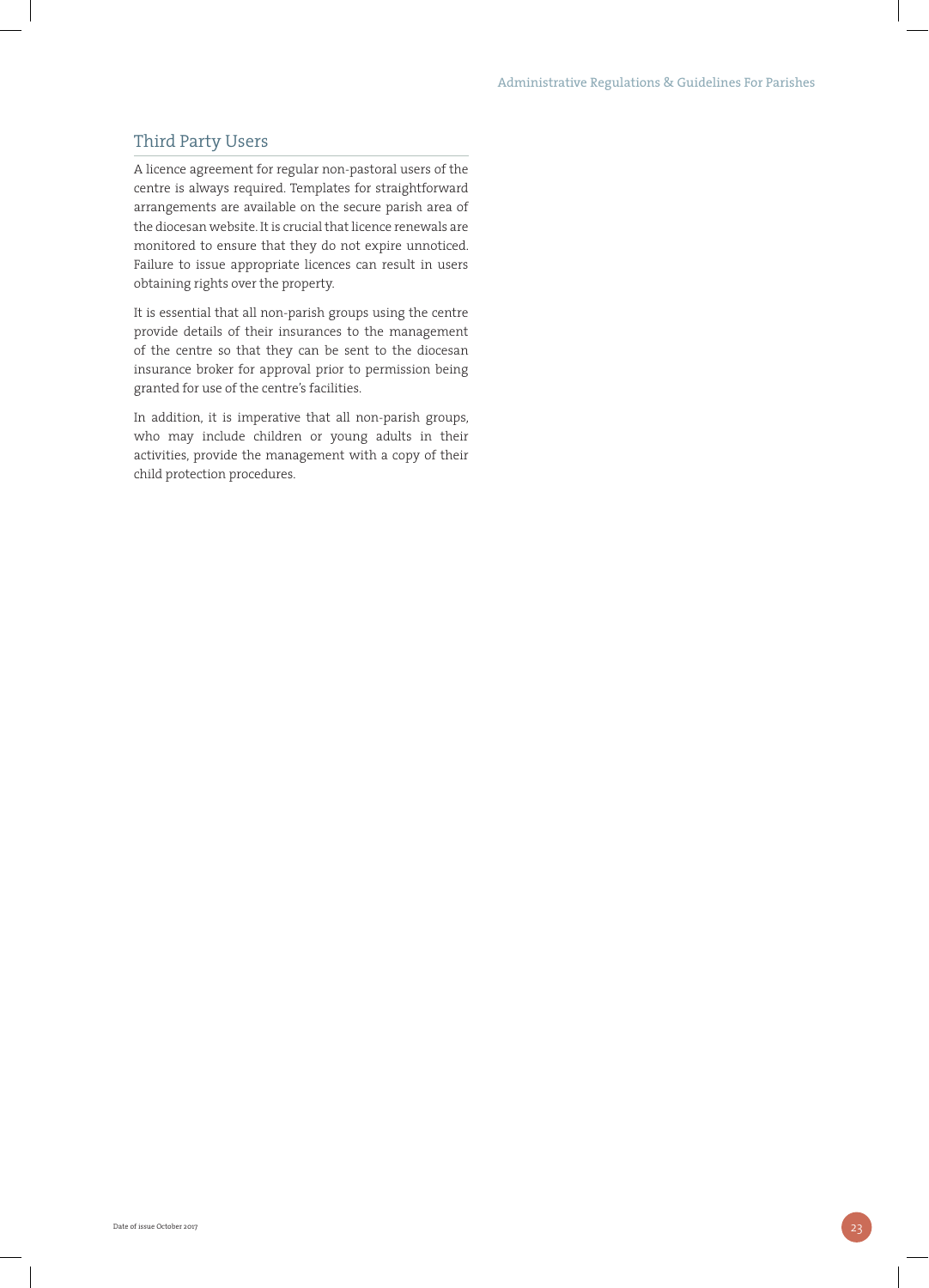#### Third Party Users

A licence agreement for regular non-pastoral users of the centre is always required. Templates for straightforward arrangements are available on the secure parish area of the diocesan website. It is crucial that licence renewals are monitored to ensure that they do not expire unnoticed. Failure to issue appropriate licences can result in users obtaining rights over the property.

It is essential that all non-parish groups using the centre provide details of their insurances to the management of the centre so that they can be sent to the diocesan insurance broker for approval prior to permission being granted for use of the centre's facilities.

In addition, it is imperative that all non-parish groups, who may include children or young adults in their activities, provide the management with a copy of their child protection procedures.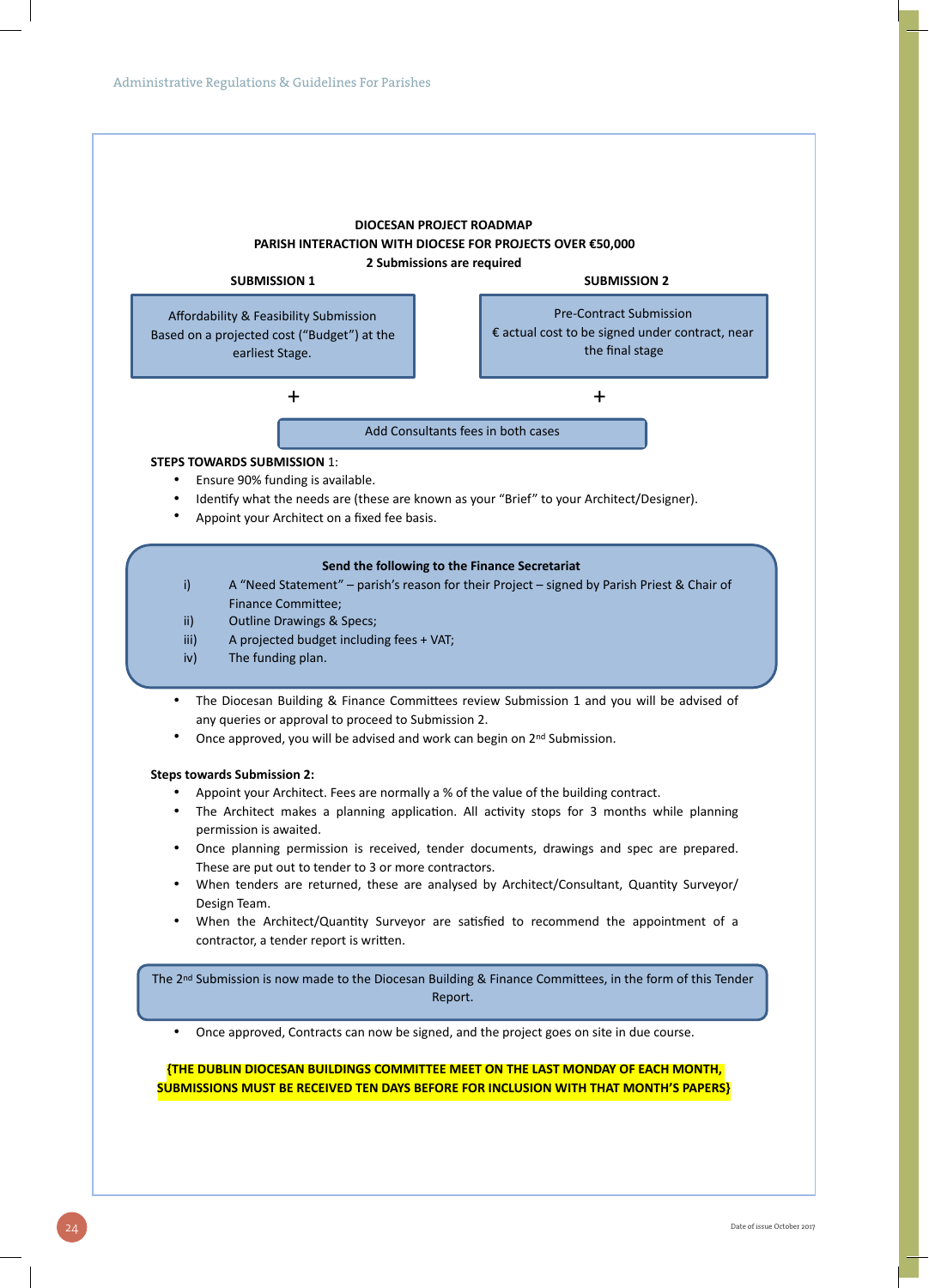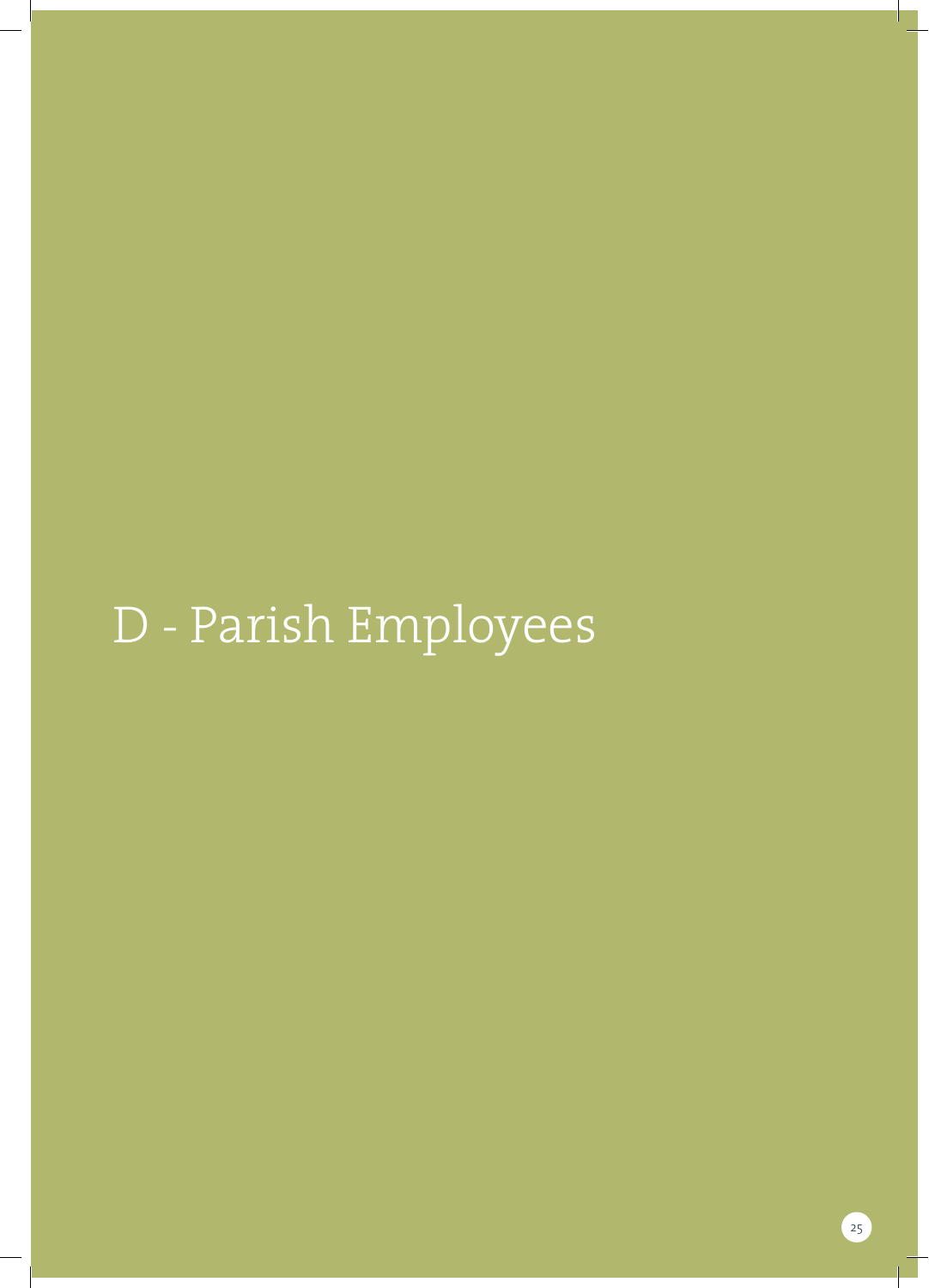# D - Parish Employees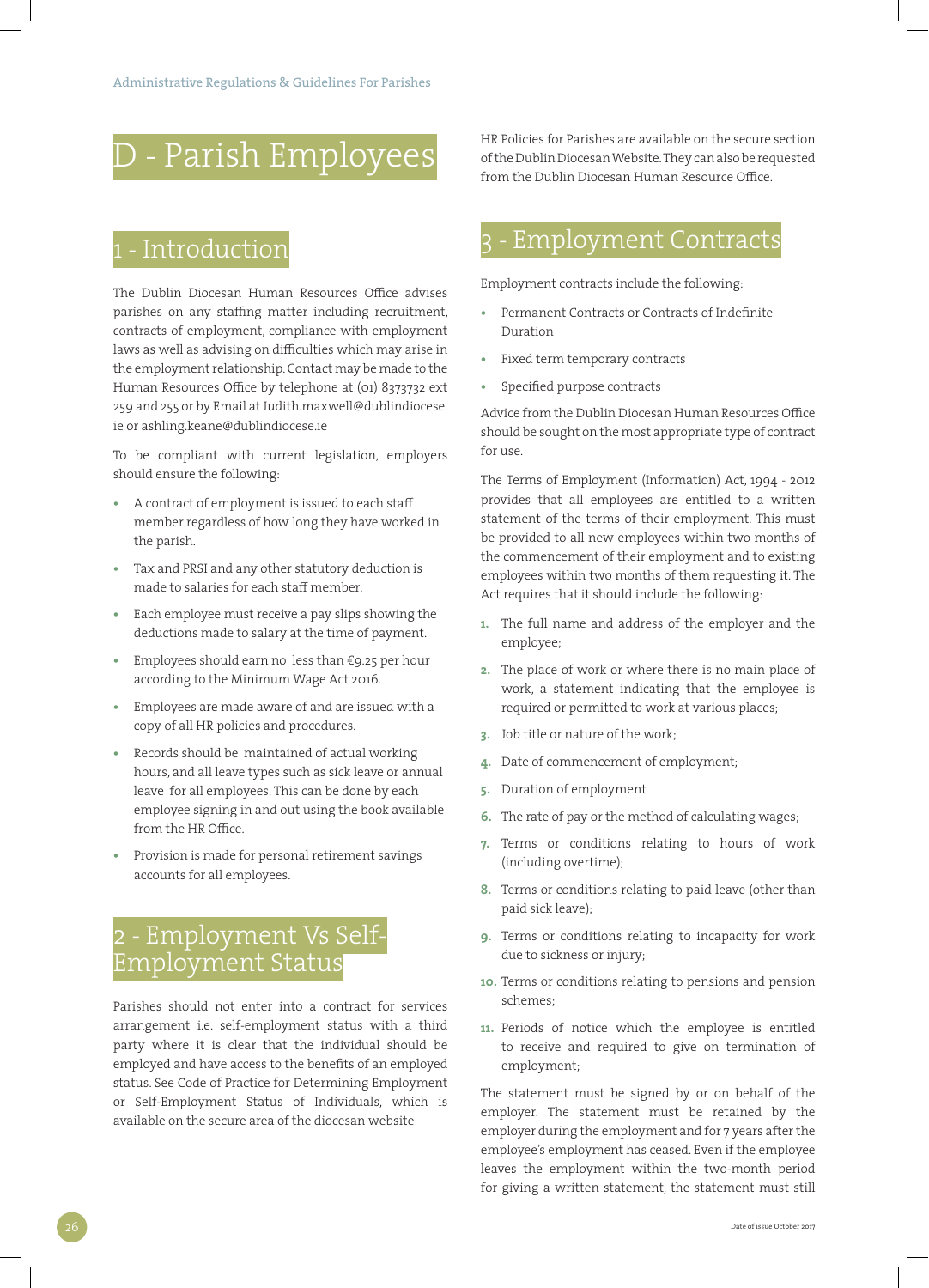# D - Parish Employees

# Introduction

The Dublin Diocesan Human Resources Office advises parishes on any staffing matter including recruitment, contracts of employment, compliance with employment laws as well as advising on difficulties which may arise in the employment relationship. Contact may be made to the Human Resources Office by telephone at (01) 8373732 ext 259 and 255 or by Email at Judith.maxwell@dublindiocese. ie or ashling.keane@dublindiocese.ie

To be compliant with current legislation, employers should ensure the following:

- **•** A contract of employment is issued to each staff member regardless of how long they have worked in the parish.
- **•** Tax and PRSI and any other statutory deduction is made to salaries for each staff member.
- **•** Each employee must receive a pay slips showing the deductions made to salary at the time of payment.
- **•** Employees should earn no less than €9.25 per hour according to the Minimum Wage Act 2016.
- **•** Employees are made aware of and are issued with a copy of all HR policies and procedures.
- **•** Records should be maintained of actual working hours, and all leave types such as sick leave or annual leave for all employees. This can be done by each employee signing in and out using the book available from the HR Office.
- **•** Provision is made for personal retirement savings accounts for all employees.

# - Employment Vs Self-Employment Status

Parishes should not enter into a contract for services arrangement i.e. self-employment status with a third party where it is clear that the individual should be employed and have access to the benefits of an employed status. See Code of Practice for Determining Employment or Self-Employment Status of Individuals, which is available on the secure area of the diocesan website

HR Policies for Parishes are available on the secure section of the Dublin Diocesan Website. They can also be requested from the Dublin Diocesan Human Resource Office.

# **Employment Contracts**

Employment contracts include the following:

- **•** Permanent Contracts or Contracts of Indefinite Duration
- **•** Fixed term temporary contracts
- **•** Specified purpose contracts

Advice from the Dublin Diocesan Human Resources Office should be sought on the most appropriate type of contract for use.

The Terms of Employment (Information) Act, 1994 - 2012 provides that all employees are entitled to a written statement of the terms of their employment. This must be provided to all new employees within two months of the commencement of their employment and to existing employees within two months of them requesting it. The Act requires that it should include the following:

- **1.** The full name and address of the employer and the employee;
- **2.** The place of work or where there is no main place of work, a statement indicating that the employee is required or permitted to work at various places;
- **3.** Job title or nature of the work;
- **4.** Date of commencement of employment;
- **5.** Duration of employment
- **6.** The rate of pay or the method of calculating wages;
- **7.** Terms or conditions relating to hours of work (including overtime);
- **8.** Terms or conditions relating to paid leave (other than paid sick leave);
- **9.** Terms or conditions relating to incapacity for work due to sickness or injury;
- **10.** Terms or conditions relating to pensions and pension schemes;
- **11.** Periods of notice which the employee is entitled to receive and required to give on termination of employment;

The statement must be signed by or on behalf of the employer. The statement must be retained by the employer during the employment and for 7 years after the employee's employment has ceased. Even if the employee leaves the employment within the two-month period for giving a written statement, the statement must still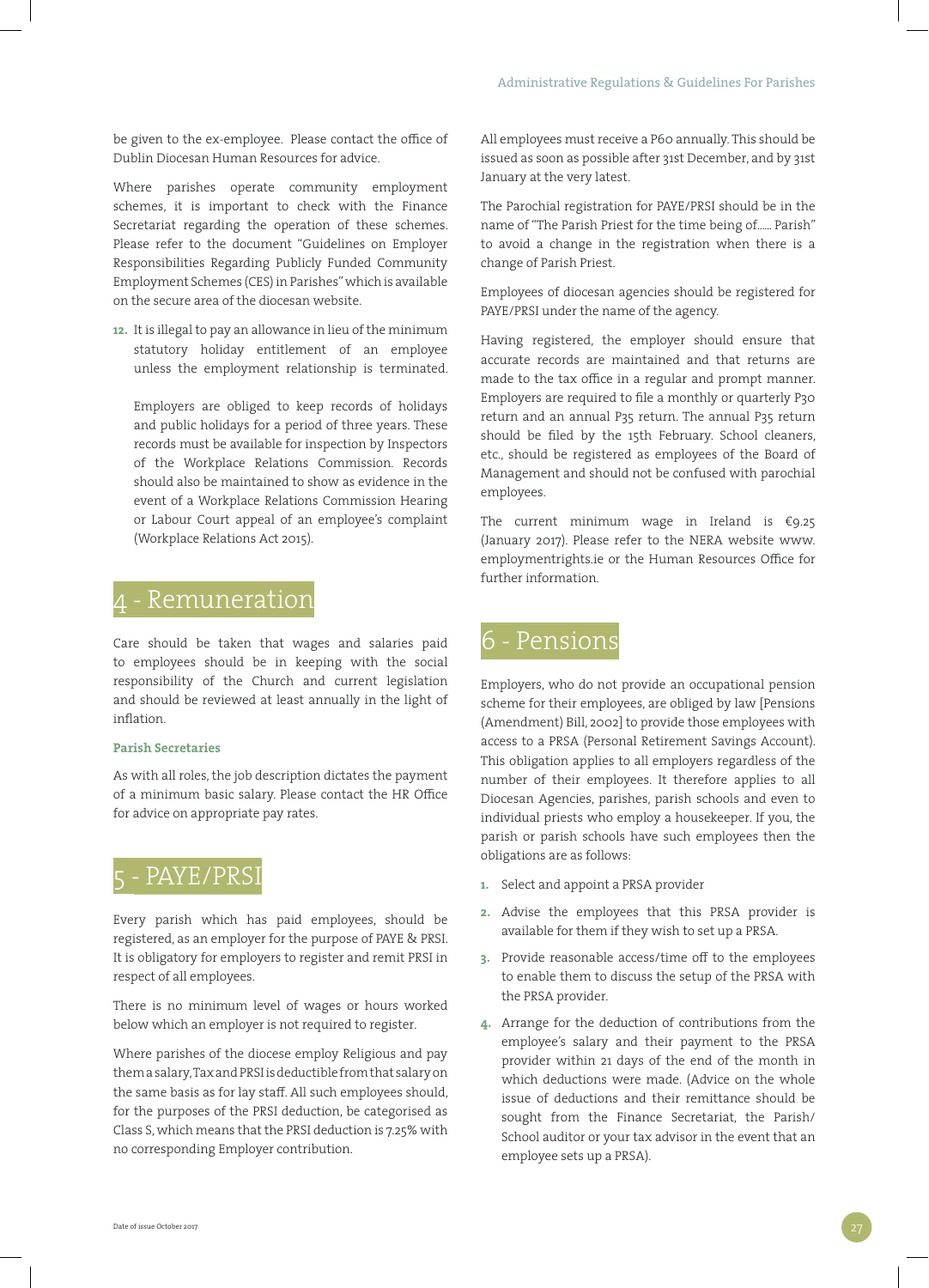be given to the ex-employee. Please contact the office of Dublin Diocesan Human Resources for advice.

Where parishes operate community employment schemes, it is important to check with the Finance Secretariat regarding the operation of these schemes. Please refer to the document "Guidelines on Employer Responsibilities Regarding Publicly Funded Community Employment Schemes (CES) in Parishes" which is available on the secure area of the diocesan website.

**12.** It is illegal to pay an allowance in lieu of the minimum statutory holiday entitlement of an employee unless the employment relationship is terminated.

Employers are obliged to keep records of holidays and public holidays for a period of three years. These records must be available for inspection by Inspectors of the Workplace Relations Commission. Records should also be maintained to show as evidence in the event of a Workplace Relations Commission Hearing or Labour Court appeal of an employee's complaint (Workplace Relations Act 2015).

### - Remuneration

Care should be taken that wages and salaries paid to employees should be in keeping with the social responsibility of the Church and current legislation and should be reviewed at least annually in the light of inflation.

#### **Parish Secretaries**

As with all roles, the job description dictates the payment of a minimum basic salary. Please contact the HR Office for advice on appropriate pay rates.

# PAYE/PRS

Every parish which has paid employees, should be registered, as an employer for the purpose of PAYE & PRSI. It is obligatory for employers to register and remit PRSI in respect of all employees.

There is no minimum level of wages or hours worked below which an employer is not required to register.

Where parishes of the diocese employ Religious and pay them a salary, Tax and PRSI is deductible from that salary on the same basis as for lay staff. All such employees should, for the purposes of the PRSI deduction, be categorised as Class S, which means that the PRSI deduction is 7.25% with no corresponding Employer contribution.

All employees must receive a P60 annually. This should be issued as soon as possible after 31st December, and by 31st January at the very latest.

The Parochial registration for PAYE/PRSI should be in the name of "The Parish Priest for the time being of...... Parish" to avoid a change in the registration when there is a change of Parish Priest.

Employees of diocesan agencies should be registered for PAYE/PRSI under the name of the agency.

Having registered, the employer should ensure that accurate records are maintained and that returns are made to the tax office in a regular and prompt manner. Employers are required to file a monthly or quarterly P30 return and an annual P35 return. The annual P35 return should be filed by the 15th February. School cleaners, etc., should be registered as employees of the Board of Management and should not be confused with parochial employees.

The current minimum wage in Ireland is €9.25 (January 2017). Please refer to the NERA website www. employmentrights.ie or the Human Resources Office for further information.

### 6 - Pensions

Employers, who do not provide an occupational pension scheme for their employees, are obliged by law [Pensions (Amendment) Bill, 2002] to provide those employees with access to a PRSA (Personal Retirement Savings Account). This obligation applies to all employers regardless of the number of their employees. It therefore applies to all Diocesan Agencies, parishes, parish schools and even to individual priests who employ a housekeeper. If you, the parish or parish schools have such employees then the obligations are as follows:

- **1.** Select and appoint a PRSA provider
- **2.** Advise the employees that this PRSA provider is available for them if they wish to set up a PRSA.
- **3.** Provide reasonable access/time off to the employees to enable them to discuss the setup of the PRSA with the PRSA provider.
- **4.** Arrange for the deduction of contributions from the employee's salary and their payment to the PRSA provider within 21 days of the end of the month in which deductions were made. (Advice on the whole issue of deductions and their remittance should be sought from the Finance Secretariat, the Parish/ School auditor or your tax advisor in the event that an employee sets up a PRSA).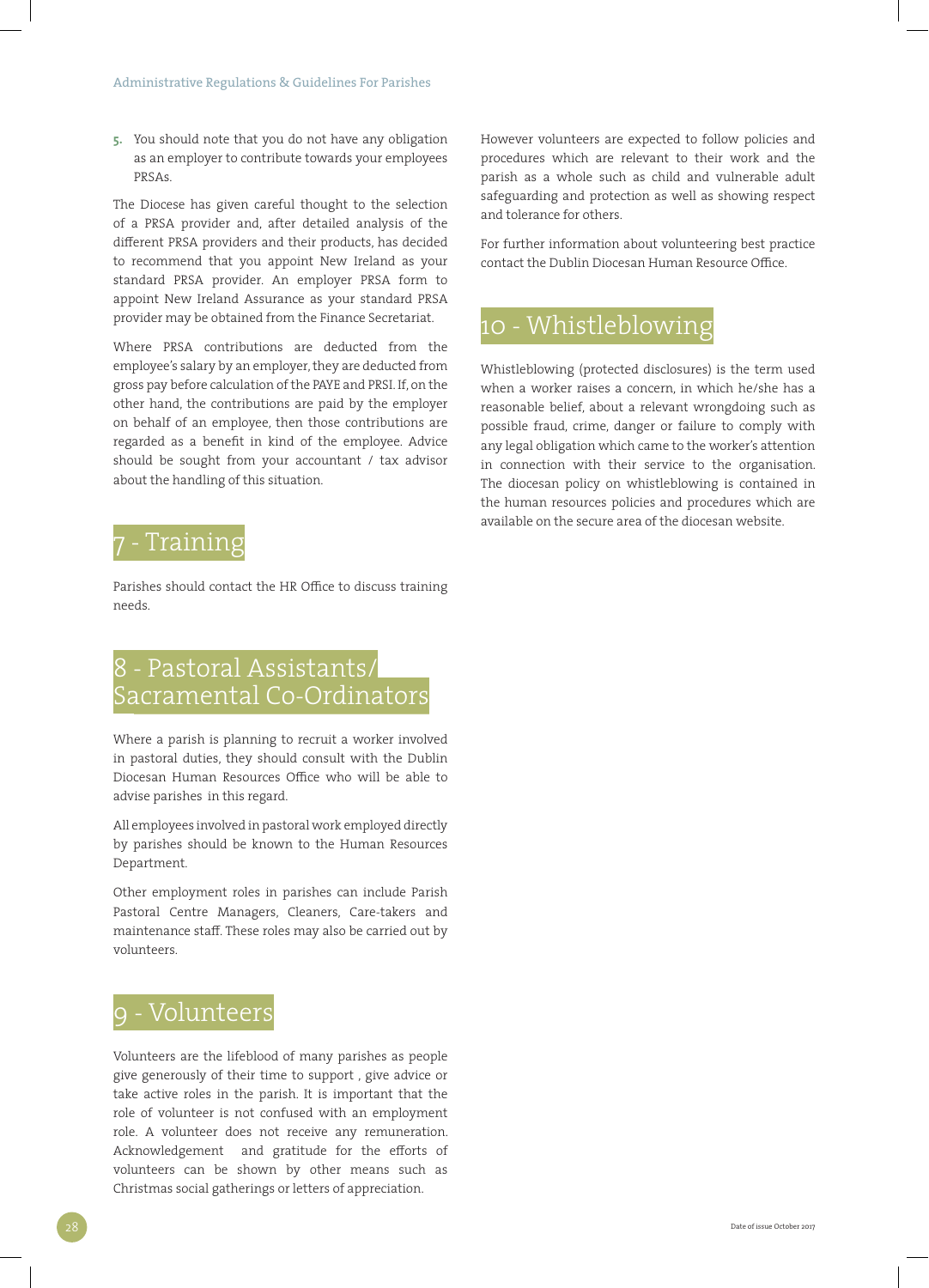**5.** You should note that you do not have any obligation as an employer to contribute towards your employees PRSAs.

The Diocese has given careful thought to the selection of a PRSA provider and, after detailed analysis of the different PRSA providers and their products, has decided to recommend that you appoint New Ireland as your standard PRSA provider. An employer PRSA form to appoint New Ireland Assurance as your standard PRSA provider may be obtained from the Finance Secretariat.

Where PRSA contributions are deducted from the employee's salary by an employer, they are deducted from gross pay before calculation of the PAYE and PRSI. If, on the other hand, the contributions are paid by the employer on behalf of an employee, then those contributions are regarded as a benefit in kind of the employee. Advice should be sought from your accountant / tax advisor about the handling of this situation.

## 7 - Training

Parishes should contact the HR Office to discuss training needs.

# 8 - Pastoral Assistants/ Sacramental Co-Ordinators

Where a parish is planning to recruit a worker involved in pastoral duties, they should consult with the Dublin Diocesan Human Resources Office who will be able to advise parishes in this regard.

All employees involved in pastoral work employed directly by parishes should be known to the Human Resources Department.

Other employment roles in parishes can include Parish Pastoral Centre Managers, Cleaners, Care-takers and maintenance staff. These roles may also be carried out by volunteers.

# - Volunteers

Volunteers are the lifeblood of many parishes as people give generously of their time to support , give advice or take active roles in the parish. It is important that the role of volunteer is not confused with an employment role. A volunteer does not receive any remuneration. Acknowledgement and gratitude for the efforts of volunteers can be shown by other means such as Christmas social gatherings or letters of appreciation.

However volunteers are expected to follow policies and procedures which are relevant to their work and the parish as a whole such as child and vulnerable adult safeguarding and protection as well as showing respect and tolerance for others.

For further information about volunteering best practice contact the Dublin Diocesan Human Resource Office.

# 10 - Whistleblowing

Whistleblowing (protected disclosures) is the term used when a worker raises a concern, in which he/she has a reasonable belief, about a relevant wrongdoing such as possible fraud, crime, danger or failure to comply with any legal obligation which came to the worker's attention in connection with their service to the organisation. The diocesan policy on whistleblowing is contained in the human resources policies and procedures which are available on the secure area of the diocesan website.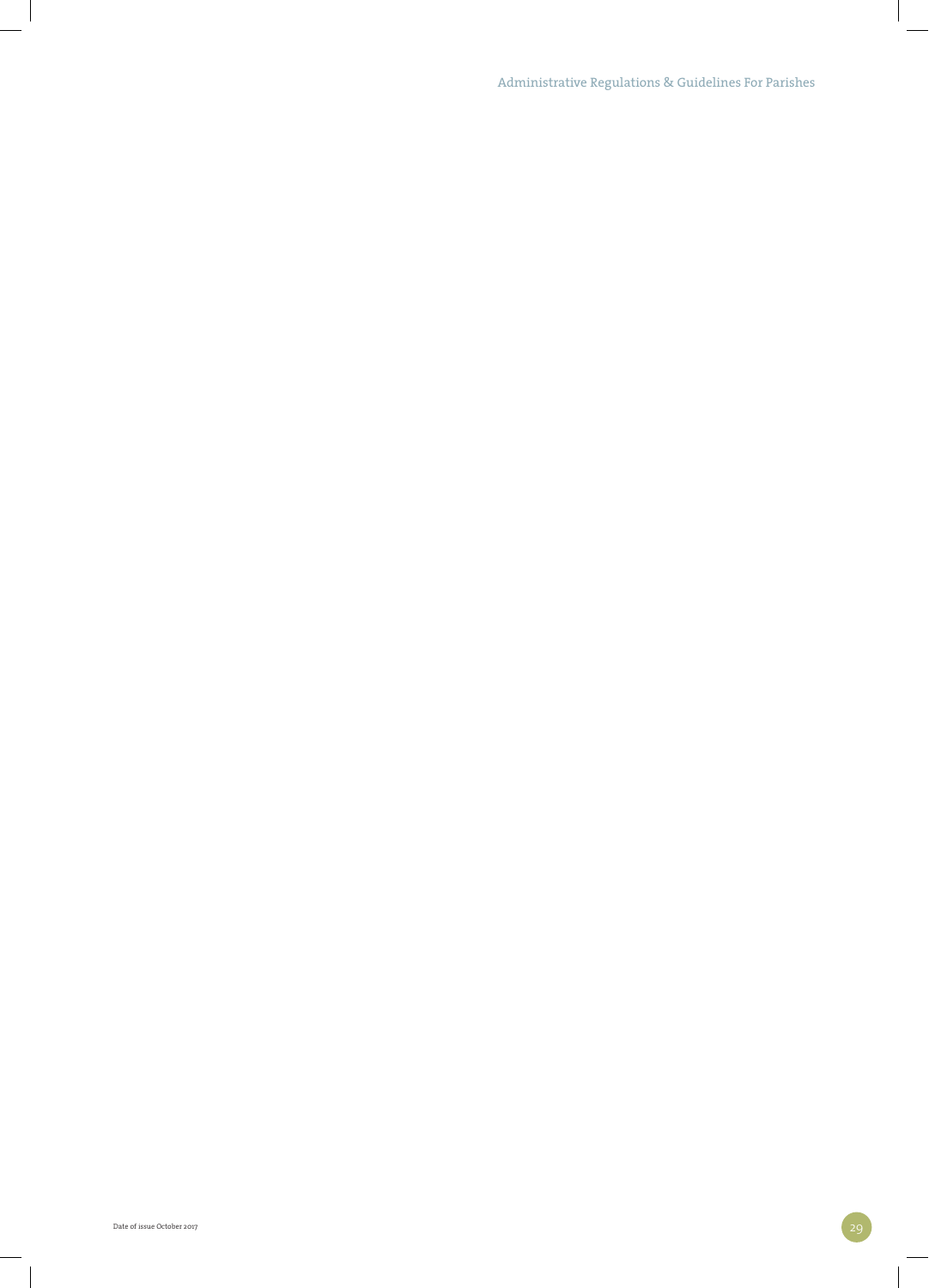Administrative Regulations & Guidelines For Parishes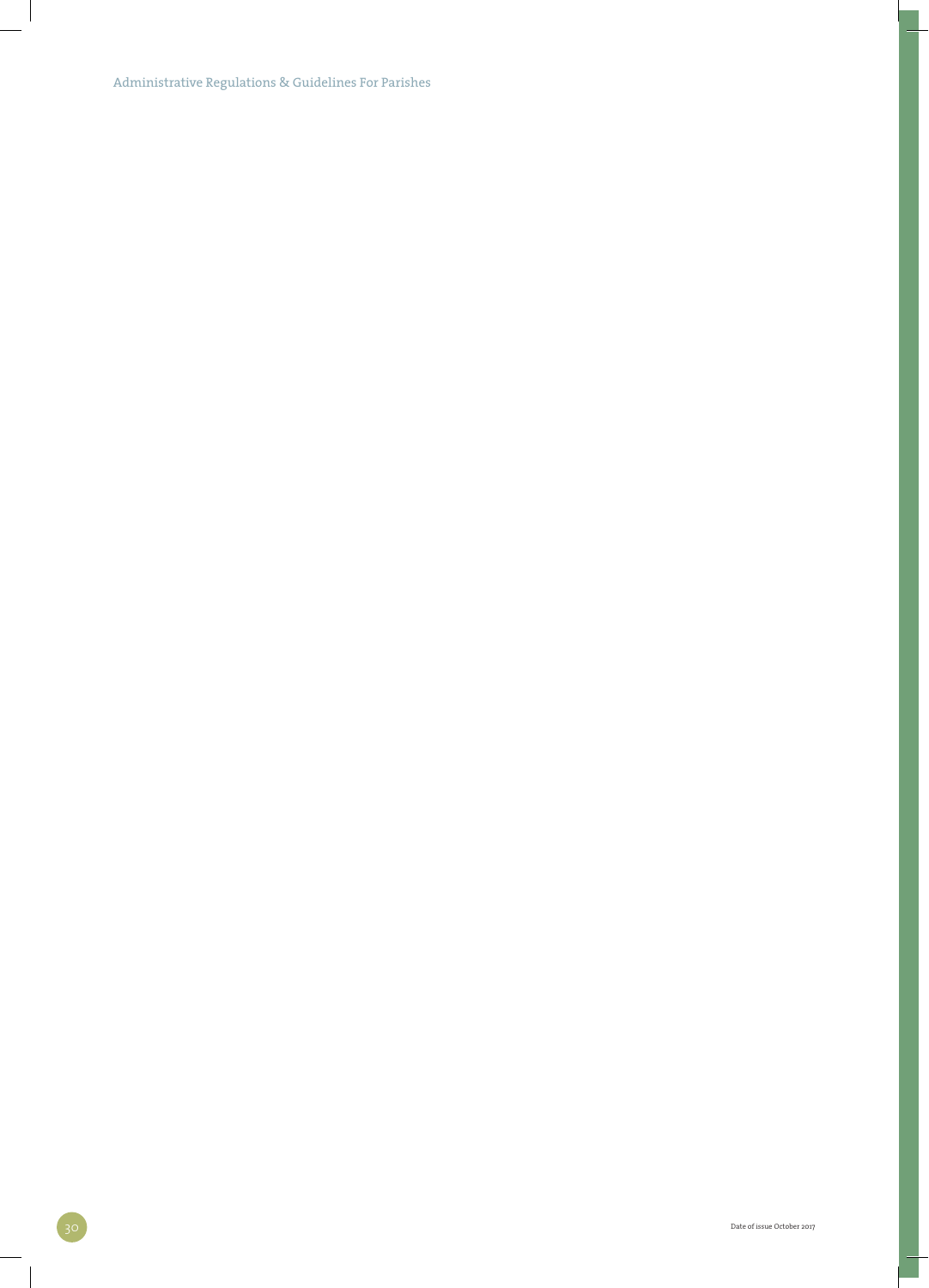Administrative Regulations & Guidelines For Parishes

 $\overline{\phantom{a}}$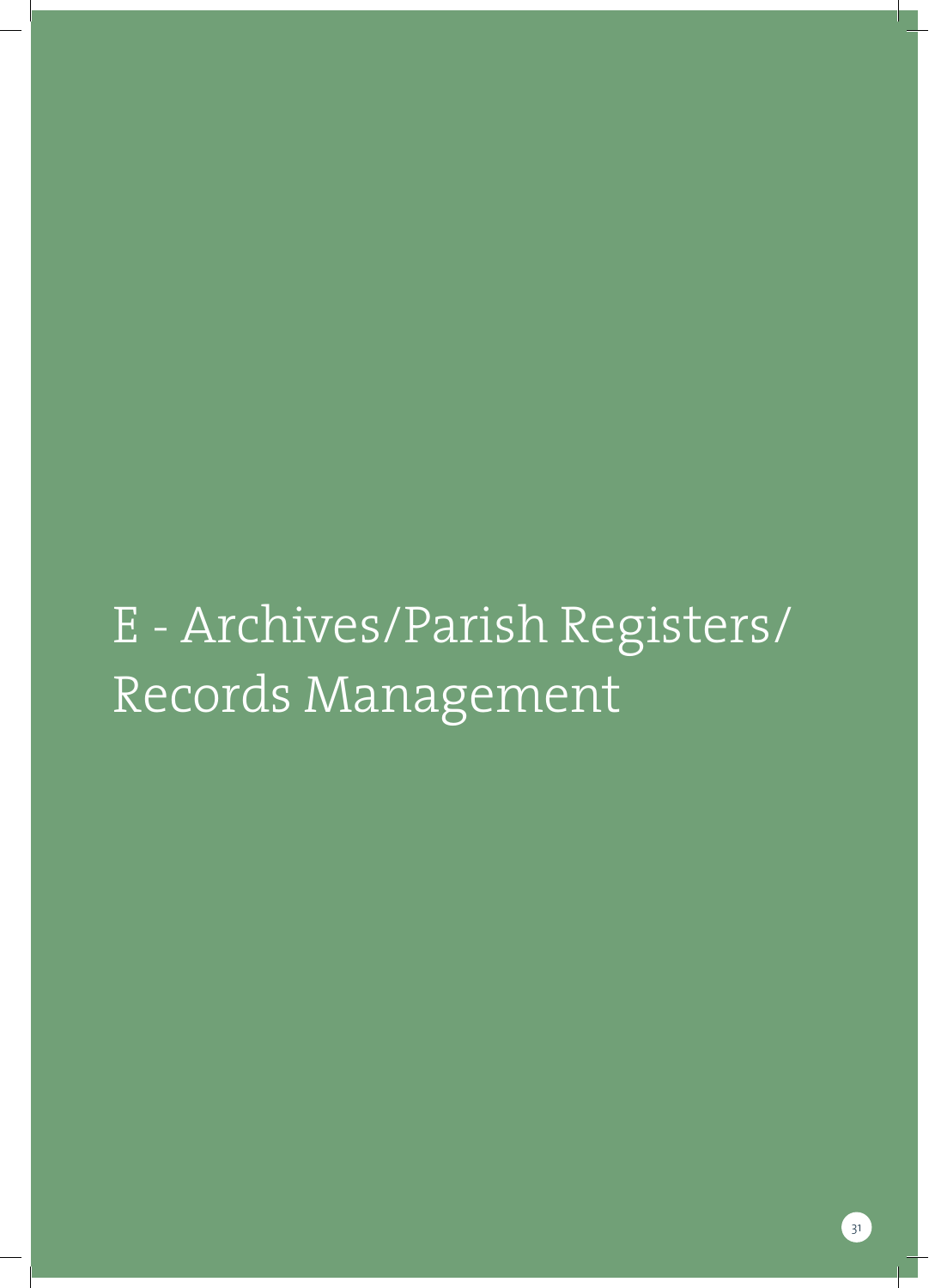# E - Archives/Parish Registers/ Records Management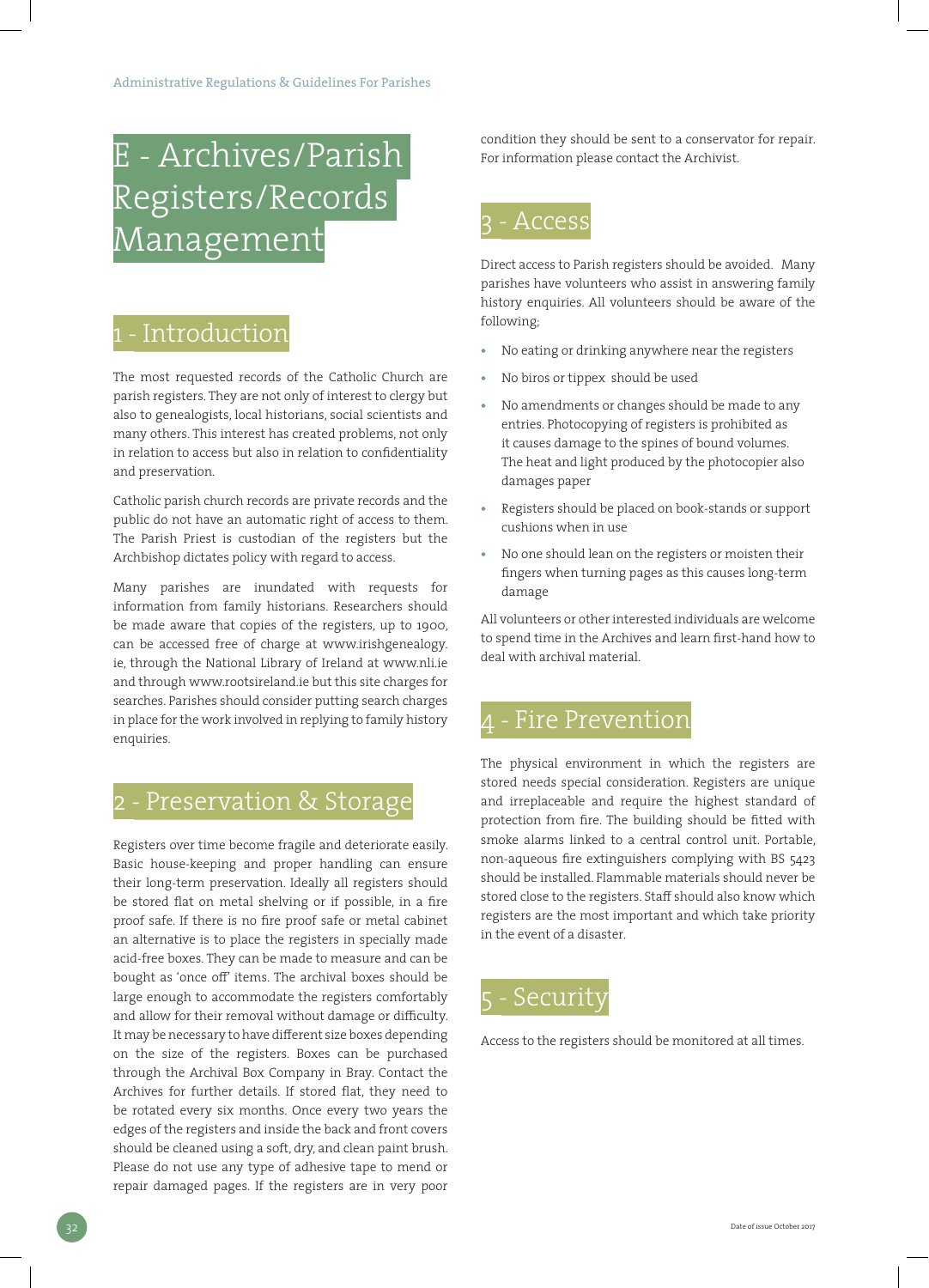# E - Archives/Parish Registers/Records Management

# 1 - Introduction

The most requested records of the Catholic Church are parish registers. They are not only of interest to clergy but also to genealogists, local historians, social scientists and many others. This interest has created problems, not only in relation to access but also in relation to confidentiality and preservation.

Catholic parish church records are private records and the public do not have an automatic right of access to them. The Parish Priest is custodian of the registers but the Archbishop dictates policy with regard to access.

Many parishes are inundated with requests for information from family historians. Researchers should be made aware that copies of the registers, up to 1900, can be accessed free of charge at www.irishgenealogy. ie, through the National Library of Ireland at www.nli.ie and through www.rootsireland.ie but this site charges for searches. Parishes should consider putting search charges in place for the work involved in replying to family history enquiries.

# Preservation & Storage

Registers over time become fragile and deteriorate easily. Basic house-keeping and proper handling can ensure their long-term preservation. Ideally all registers should be stored flat on metal shelving or if possible, in a fire proof safe. If there is no fire proof safe or metal cabinet an alternative is to place the registers in specially made acid-free boxes. They can be made to measure and can be bought as 'once off' items. The archival boxes should be large enough to accommodate the registers comfortably and allow for their removal without damage or difficulty. It may be necessary to have different size boxes depending on the size of the registers. Boxes can be purchased through the Archival Box Company in Bray. Contact the Archives for further details. If stored flat, they need to be rotated every six months. Once every two years the edges of the registers and inside the back and front covers should be cleaned using a soft, dry, and clean paint brush. Please do not use any type of adhesive tape to mend or repair damaged pages. If the registers are in very poor

condition they should be sent to a conservator for repair. For information please contact the Archivist.

# **Acces**

Direct access to Parish registers should be avoided. Many parishes have volunteers who assist in answering family history enquiries. All volunteers should be aware of the following;

- **•** No eating or drinking anywhere near the registers
- **•** No biros or tippex should be used
- **•** No amendments or changes should be made to any entries. Photocopying of registers is prohibited as it causes damage to the spines of bound volumes. The heat and light produced by the photocopier also damages paper
- **•** Registers should be placed on book-stands or support cushions when in use
- **•** No one should lean on the registers or moisten their fingers when turning pages as this causes long-term damage

All volunteers or other interested individuals are welcome to spend time in the Archives and learn first-hand how to deal with archival material.

# 4 - Fire Prevention

The physical environment in which the registers are stored needs special consideration. Registers are unique and irreplaceable and require the highest standard of protection from fire. The building should be fitted with smoke alarms linked to a central control unit. Portable, non-aqueous fire extinguishers complying with BS 5423 should be installed. Flammable materials should never be stored close to the registers. Staff should also know which registers are the most important and which take priority in the event of a disaster.

# Securit<sup>-</sup>

Access to the registers should be monitored at all times.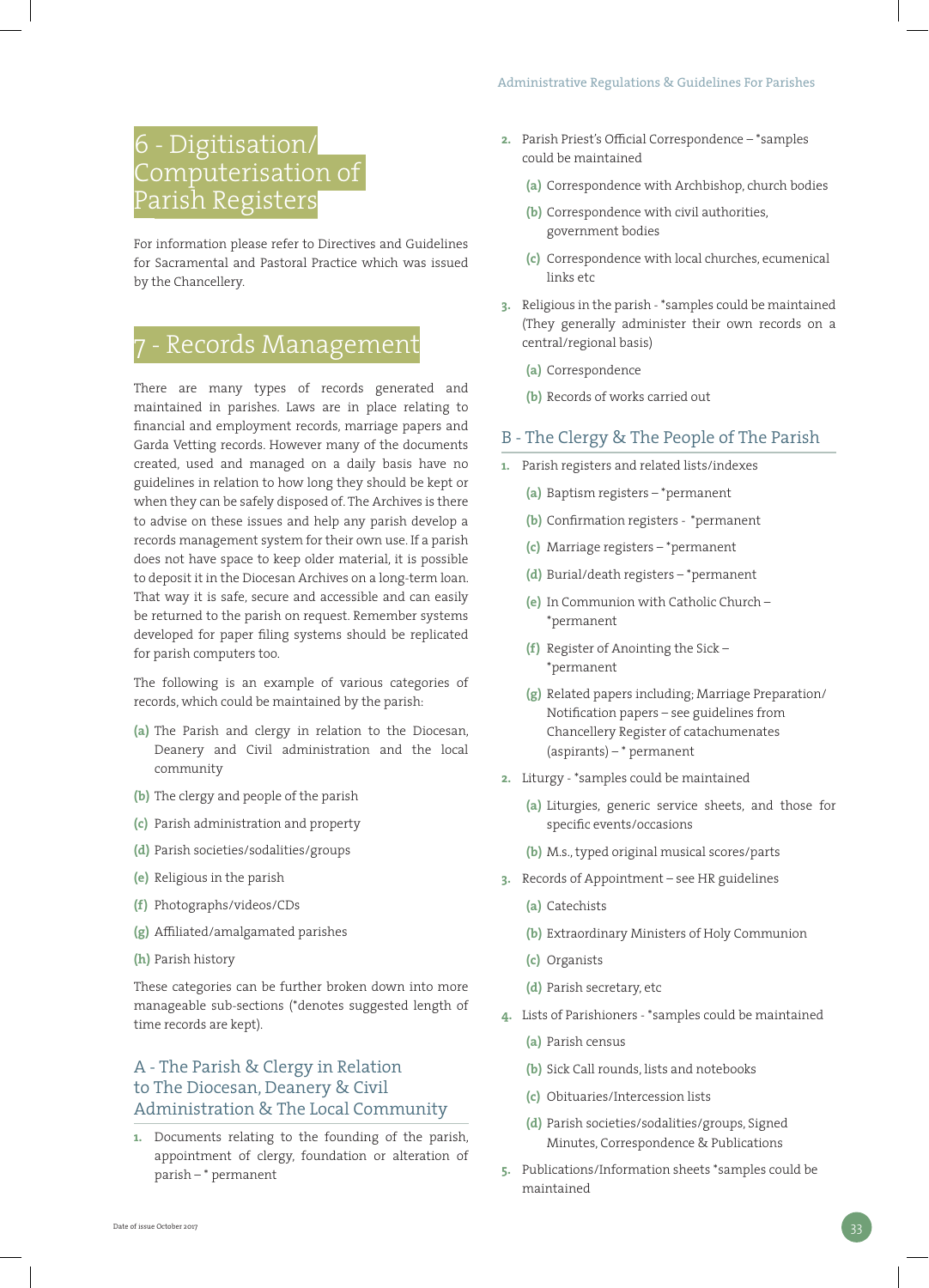#### Administrative Regulations & Guidelines For Parishes

# 6 - Digitisation/ Computerisation of Parish Registers

For information please refer to Directives and Guidelines for Sacramental and Pastoral Practice which was issued by the Chancellery.

# Records Management

There are many types of records generated and maintained in parishes. Laws are in place relating to financial and employment records, marriage papers and Garda Vetting records. However many of the documents created, used and managed on a daily basis have no guidelines in relation to how long they should be kept or when they can be safely disposed of. The Archives is there to advise on these issues and help any parish develop a records management system for their own use. If a parish does not have space to keep older material, it is possible to deposit it in the Diocesan Archives on a long-term loan. That way it is safe, secure and accessible and can easily be returned to the parish on request. Remember systems developed for paper filing systems should be replicated for parish computers too.

The following is an example of various categories of records, which could be maintained by the parish:

- **(a)** The Parish and clergy in relation to the Diocesan, Deanery and Civil administration and the local community
- **(b)** The clergy and people of the parish
- **(c)** Parish administration and property
- **(d)** Parish societies/sodalities/groups
- **(e)** Religious in the parish
- **(f)** Photographs/videos/CDs
- **(g)** Affiliated/amalgamated parishes
- **(h)** Parish history

These categories can be further broken down into more manageable sub-sections (\*denotes suggested length of time records are kept).

#### A - The Parish & Clergy in Relation to The Diocesan, Deanery & Civil Administration & The Local Community

**1.** Documents relating to the founding of the parish, appointment of clergy, foundation or alteration of parish – \* permanent

- **2.** Parish Priest's Official Correspondence \*samples could be maintained
	- **(a)** Correspondence with Archbishop, church bodies
	- **(b)** Correspondence with civil authorities, government bodies
	- **(c)** Correspondence with local churches, ecumenical links etc
- **3.** Religious in the parish \*samples could be maintained (They generally administer their own records on a central/regional basis)
	- **(a)** Correspondence
	- **(b)** Records of works carried out

#### B - The Clergy & The People of The Parish

- **1.** Parish registers and related lists/indexes
	- **(a)** Baptism registers \*permanent
	- **(b)** Confirmation registers \*permanent
	- **(c)** Marriage registers \*permanent
	- **(d)** Burial/death registers \*permanent
	- **(e)** In Communion with Catholic Church \*permanent
	- **(f)** Register of Anointing the Sick \*permanent
	- **(g)** Related papers including; Marriage Preparation/ Notification papers – see guidelines from Chancellery Register of catachumenates (aspirants) – \* permanent
- **2.** Liturgy \*samples could be maintained
	- **(a)** Liturgies, generic service sheets, and those for specific events/occasions
	- **(b)** M.s., typed original musical scores/parts
- **3.** Records of Appointment see HR guidelines
	- **(a)** Catechists
	- **(b)** Extraordinary Ministers of Holy Communion
	- **(c)** Organists
	- **(d)** Parish secretary, etc
- **4.** Lists of Parishioners \*samples could be maintained
	- **(a)** Parish census
	- **(b)** Sick Call rounds, lists and notebooks
	- **(c)** Obituaries/Intercession lists
	- **(d)** Parish societies/sodalities/groups, Signed Minutes, Correspondence & Publications
- **5.** Publications/Information sheets \*samples could be maintained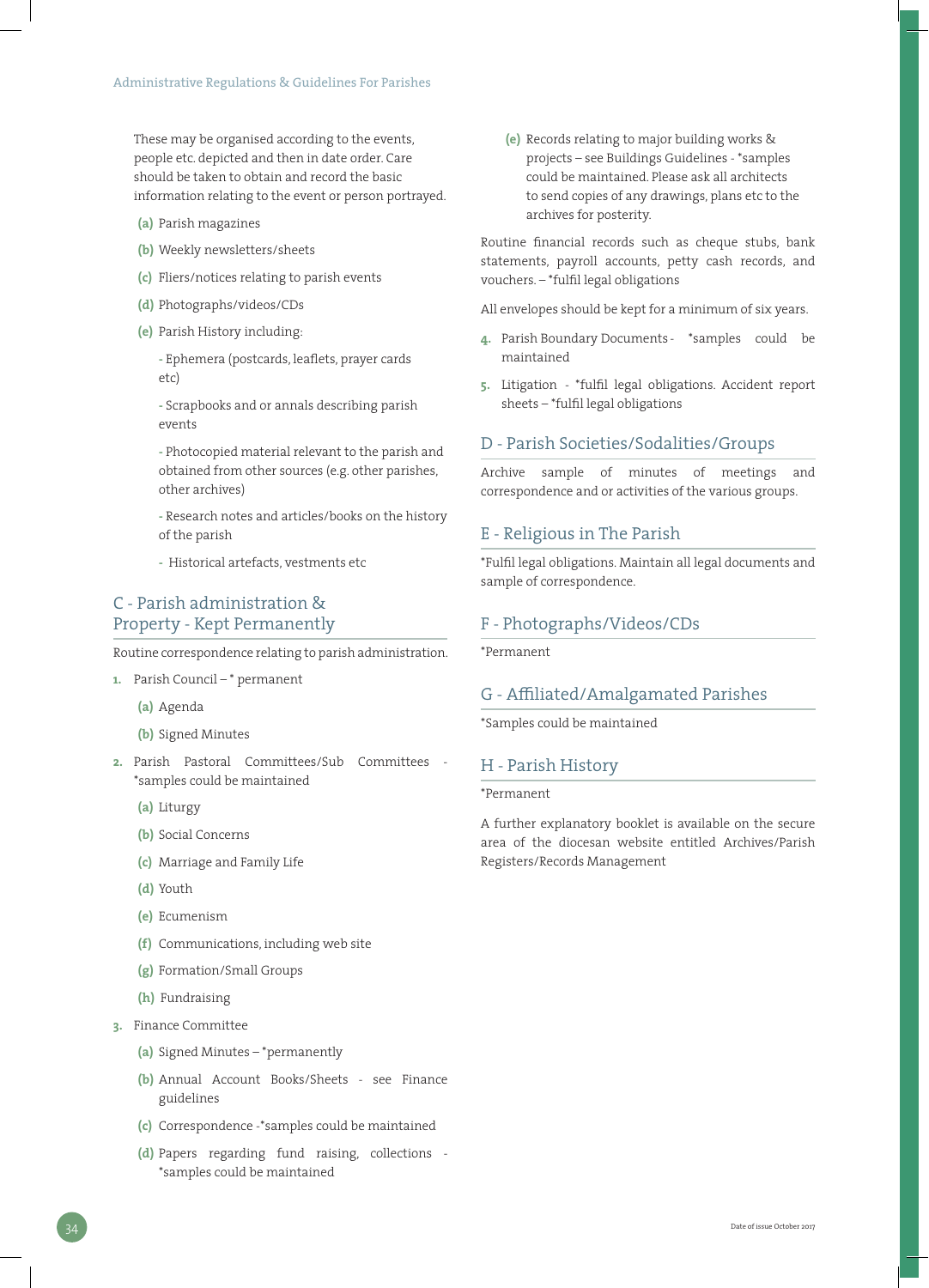These may be organised according to the events, people etc. depicted and then in date order. Care should be taken to obtain and record the basic information relating to the event or person portrayed.

- **(a)** Parish magazines
- **(b)** Weekly newsletters/sheets
- **(c)** Fliers/notices relating to parish events
- **(d)** Photographs/videos/CDs
- **(e)** Parish History including:

 **-** Ephemera (postcards, leaflets, prayer cards etc)

 **-** Scrapbooks and or annals describing parish events

**-** Photocopied material relevant to the parish and obtained from other sources (e.g. other parishes, other archives)

 **-** Research notes and articles/books on the history of the parish

**-** Historical artefacts, vestments etc

#### C - Parish administration & Property - Kept Permanently

Routine correspondence relating to parish administration.

- **1.** Parish Council \* permanent
	- **(a)** Agenda
	- **(b)** Signed Minutes
- **2.** Parish Pastoral Committees/Sub Committees \*samples could be maintained
	- **(a)** Liturgy
	- **(b)** Social Concerns
	- **(c)** Marriage and Family Life
	- **(d)** Youth
	- **(e)** Ecumenism
	- **(f)** Communications, including web site
	- **(g)** Formation/Small Groups
	- **(h)** Fundraising
- **3.** Finance Committee
	- **(a)** Signed Minutes \*permanently
	- **(b)** Annual Account Books/Sheets see Finance guidelines
	- **(c)** Correspondence -\*samples could be maintained
	- **(d)** Papers regarding fund raising, collections \*samples could be maintained

**(e)** Records relating to major building works & projects – see Buildings Guidelines - \*samples could be maintained. Please ask all architects to send copies of any drawings, plans etc to the archives for posterity.

Routine financial records such as cheque stubs, bank statements, payroll accounts, petty cash records, and vouchers. – \*fulfil legal obligations

All envelopes should be kept for a minimum of six years.

- 4. Parish Boundary Documents \*samples could be maintained
- **5.** Litigation \*fulfil legal obligations. Accident report sheets – \*fulfil legal obligations

#### D - Parish Societies/Sodalities/Groups

Archive sample of minutes of meetings and correspondence and or activities of the various groups.

#### E - Religious in The Parish

\*Fulfil legal obligations. Maintain all legal documents and sample of correspondence.

#### F - Photographs/Videos/CDs

\*Permanent

#### G - Affiliated/Amalgamated Parishes

\*Samples could be maintained

#### H - Parish History

#### \*Permanent

A further explanatory booklet is available on the secure area of the diocesan website entitled Archives/Parish Registers/Records Management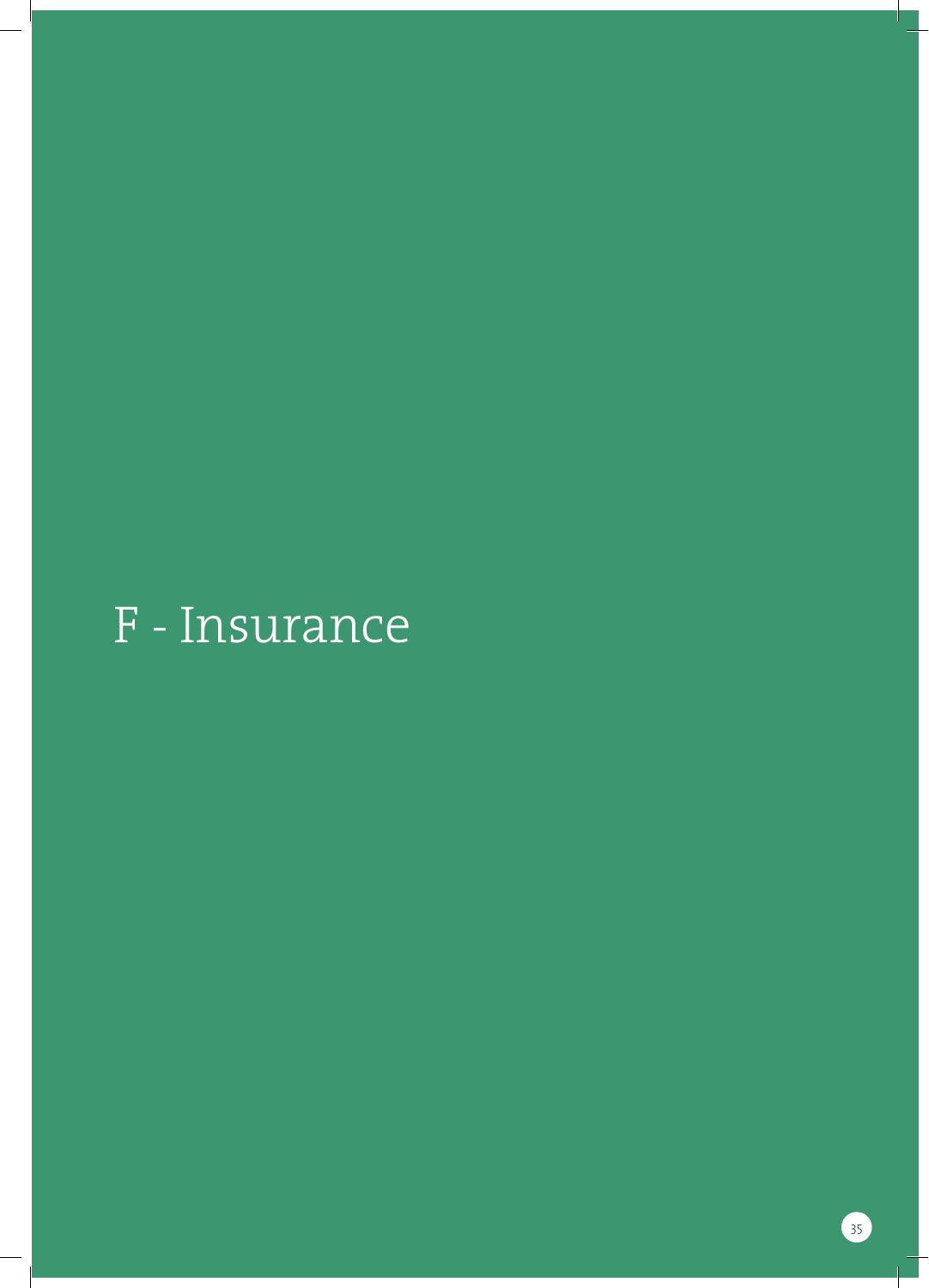# F - Insurance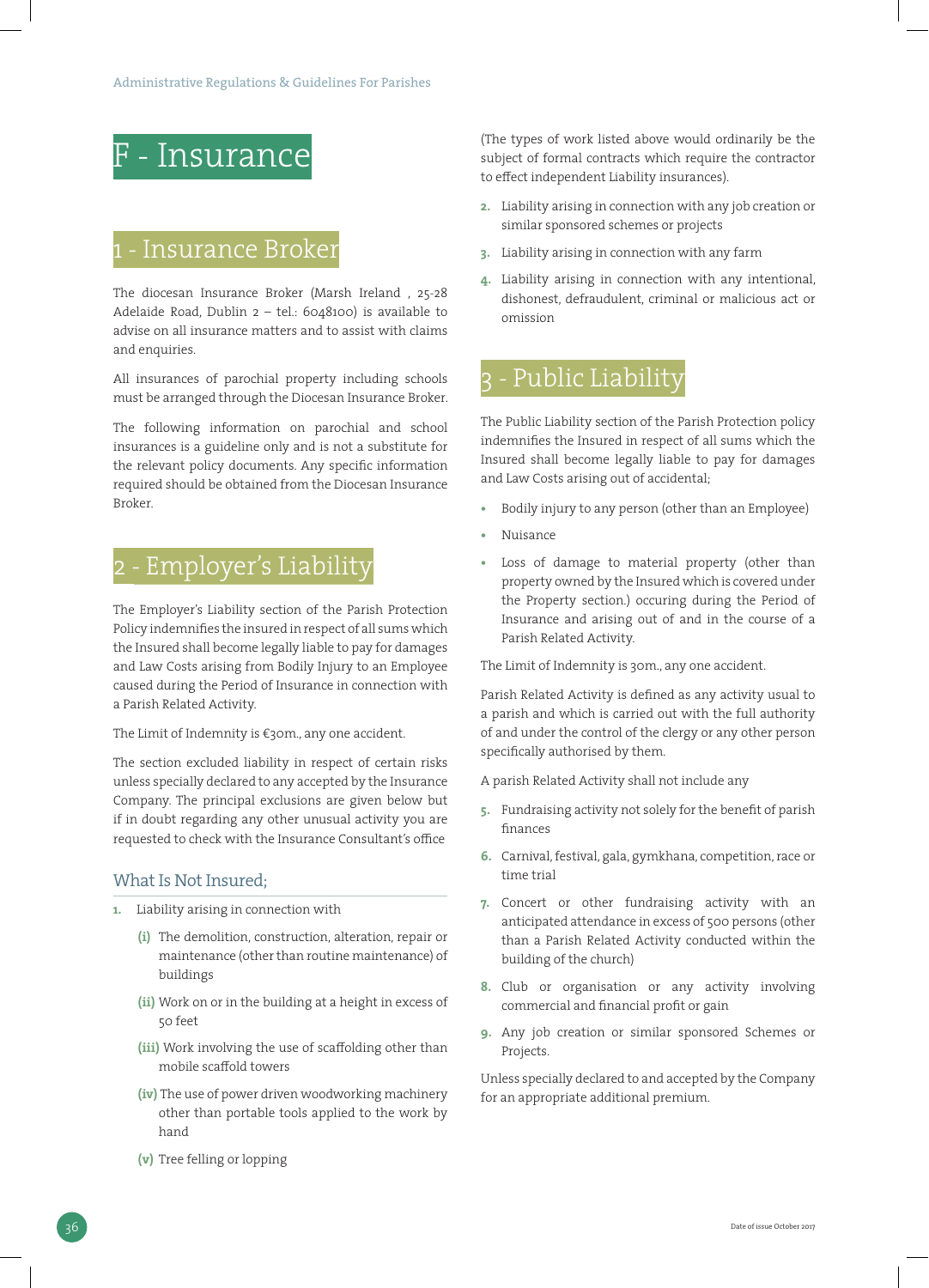# F - Insurance

## Insurance Broker

The diocesan Insurance Broker (Marsh Ireland , 25-28 Adelaide Road, Dublin 2 – tel.: 6048100) is available to advise on all insurance matters and to assist with claims and enquiries.

All insurances of parochial property including schools must be arranged through the Diocesan Insurance Broker.

The following information on parochial and school insurances is a guideline only and is not a substitute for the relevant policy documents. Any specific information required should be obtained from the Diocesan Insurance Broker.

# Employer's Liability

The Employer's Liability section of the Parish Protection Policy indemnifies the insured in respect of all sums which the Insured shall become legally liable to pay for damages and Law Costs arising from Bodily Injury to an Employee caused during the Period of Insurance in connection with a Parish Related Activity.

The Limit of Indemnity is €30m., any one accident.

The section excluded liability in respect of certain risks unless specially declared to any accepted by the Insurance Company. The principal exclusions are given below but if in doubt regarding any other unusual activity you are requested to check with the Insurance Consultant's office

#### What Is Not Insured;

- **1.** Liability arising in connection with
	- **(i)** The demolition, construction, alteration, repair or maintenance (other than routine maintenance) of buildings
	- **(ii)** Work on or in the building at a height in excess of 50 feet
	- **(iii)** Work involving the use of scaffolding other than mobile scaffold towers
	- **(iv)** The use of power driven woodworking machinery other than portable tools applied to the work by hand
	- **(v)** Tree felling or lopping

(The types of work listed above would ordinarily be the subject of formal contracts which require the contractor to effect independent Liability insurances).

- **2.** Liability arising in connection with any job creation or similar sponsored schemes or projects
- **3.** Liability arising in connection with any farm
- **4.** Liability arising in connection with any intentional, dishonest, defraudulent, criminal or malicious act or omission

# Public Liability

The Public Liability section of the Parish Protection policy indemnifies the Insured in respect of all sums which the Insured shall become legally liable to pay for damages and Law Costs arising out of accidental;

- **•** Bodily injury to any person (other than an Employee)
- **•** Nuisance
- **•** Loss of damage to material property (other than property owned by the Insured which is covered under the Property section.) occuring during the Period of Insurance and arising out of and in the course of a Parish Related Activity.

The Limit of Indemnity is 30m., any one accident.

Parish Related Activity is defined as any activity usual to a parish and which is carried out with the full authority of and under the control of the clergy or any other person specifically authorised by them.

A parish Related Activity shall not include any

- **5.** Fundraising activity not solely for the benefit of parish finances
- **6.** Carnival, festival, gala, gymkhana, competition, race or time trial
- **7.** Concert or other fundraising activity with an anticipated attendance in excess of 500 persons (other than a Parish Related Activity conducted within the building of the church)
- **8.** Club or organisation or any activity involving commercial and financial profit or gain
- **9.** Any job creation or similar sponsored Schemes or Projects.

Unless specially declared to and accepted by the Company for an appropriate additional premium.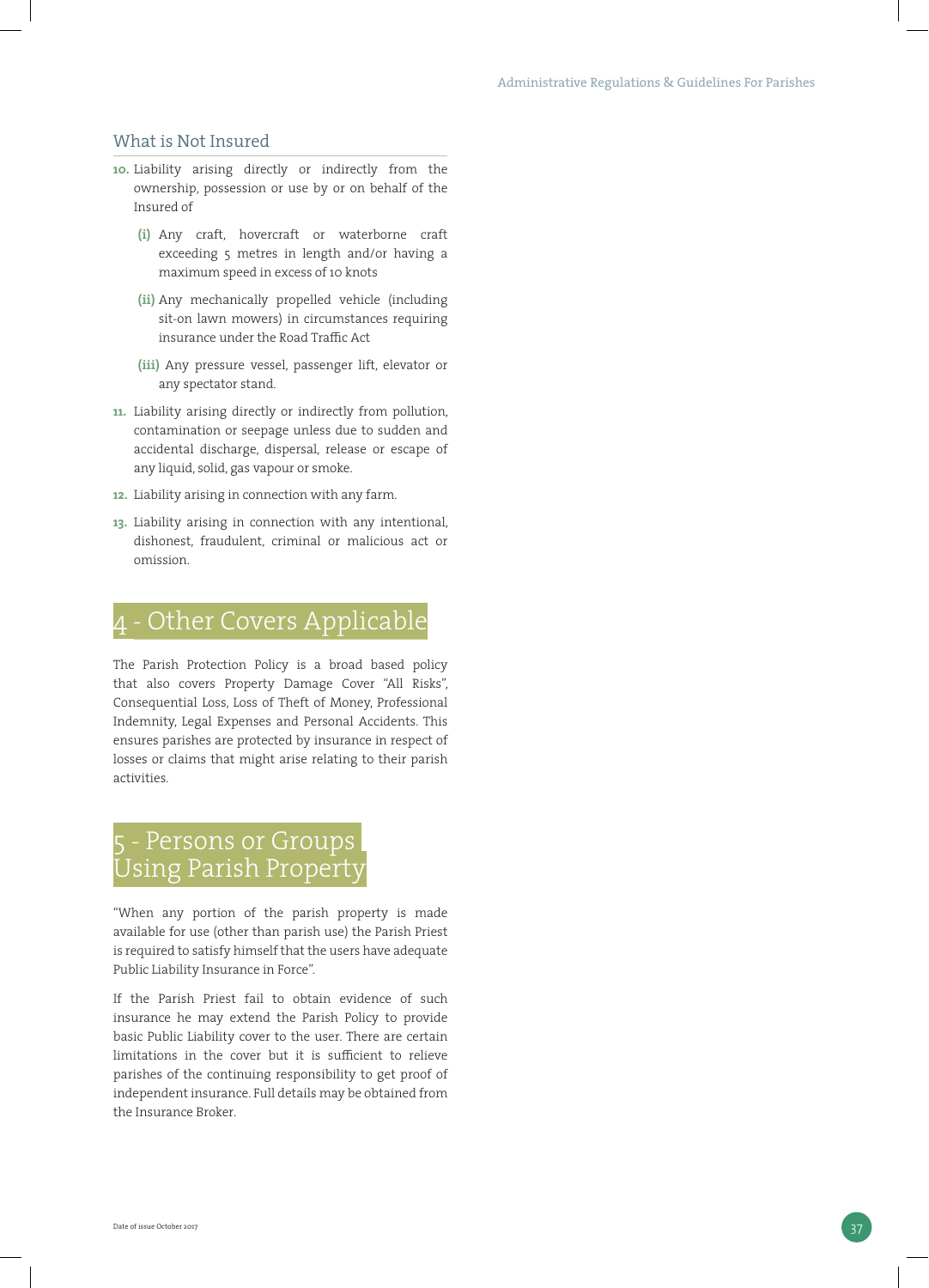#### What is Not Insured

- **10.** Liability arising directly or indirectly from the ownership, possession or use by or on behalf of the Insured of
	- **(i)**  Any craft, hovercraft or waterborne craft exceeding 5 metres in length and/or having a maximum speed in excess of 10 knots
	- **(ii)** Any mechanically propelled vehicle (including sit-on lawn mowers) in circumstances requiring insurance under the Road Traffic Act
	- **(iii)** Any pressure vessel, passenger lift, elevator or any spectator stand.
- **11.** Liability arising directly or indirectly from pollution, contamination or seepage unless due to sudden and accidental discharge, dispersal, release or escape of any liquid, solid, gas vapour or smoke.
- **12.** Liability arising in connection with any farm.
- **13.** Liability arising in connection with any intentional, dishonest, fraudulent, criminal or malicious act or omission.

# 4 - Other Covers Applicable

The Parish Protection Policy is a broad based policy that also covers Property Damage Cover "All Risks", Consequential Loss, Loss of Theft of Money, Professional Indemnity, Legal Expenses and Personal Accidents. This ensures parishes are protected by insurance in respect of losses or claims that might arise relating to their parish activities.

# Persons or Groups <sup>J</sup>sing Parish Property

"When any portion of the parish property is made available for use (other than parish use) the Parish Priest is required to satisfy himself that the users have adequate Public Liability Insurance in Force".

If the Parish Priest fail to obtain evidence of such insurance he may extend the Parish Policy to provide basic Public Liability cover to the user. There are certain limitations in the cover but it is sufficient to relieve parishes of the continuing responsibility to get proof of independent insurance. Full details may be obtained from the Insurance Broker.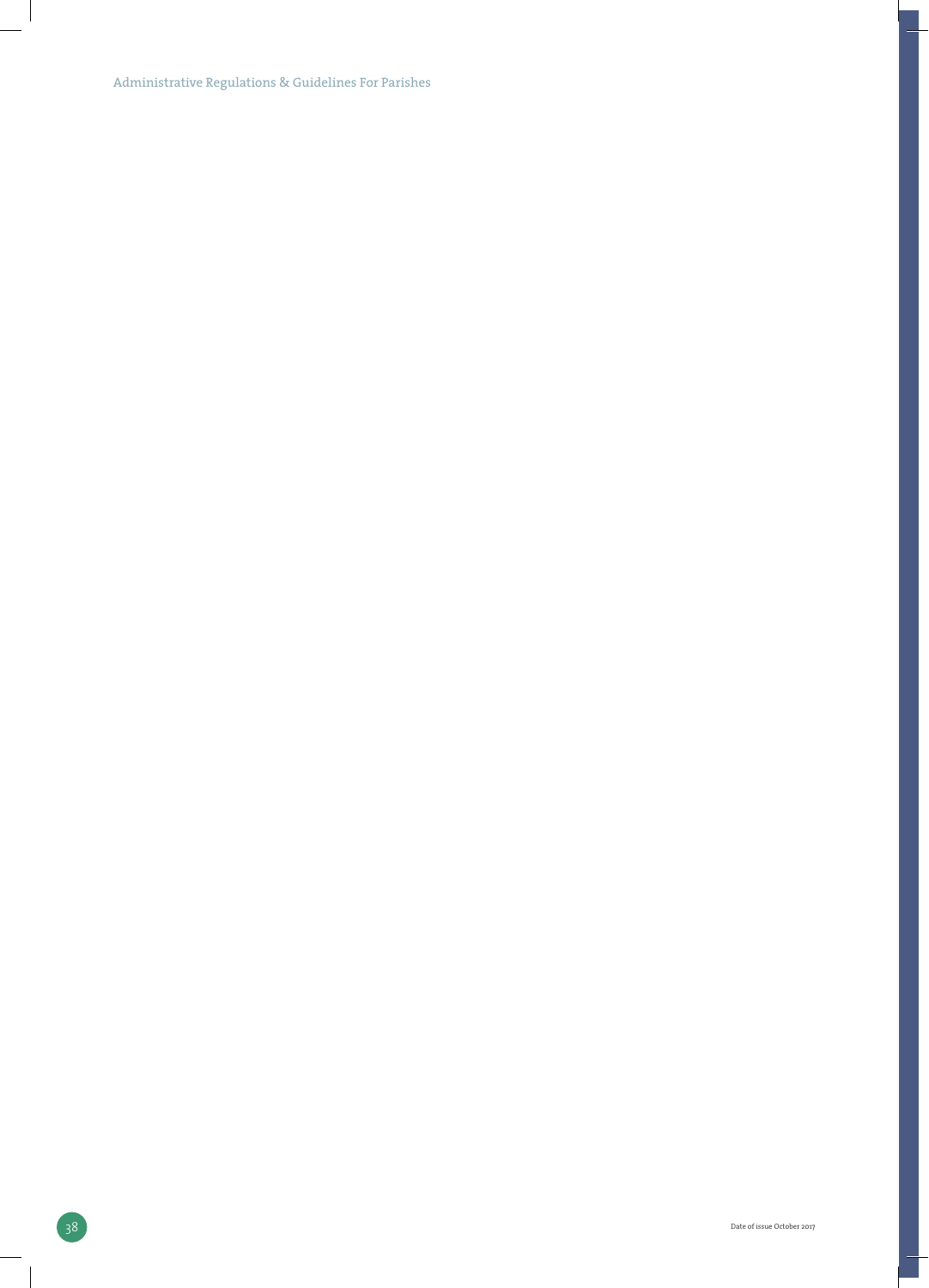Administrative Regulations & Guidelines For Parishes

 $\overline{\phantom{a}}$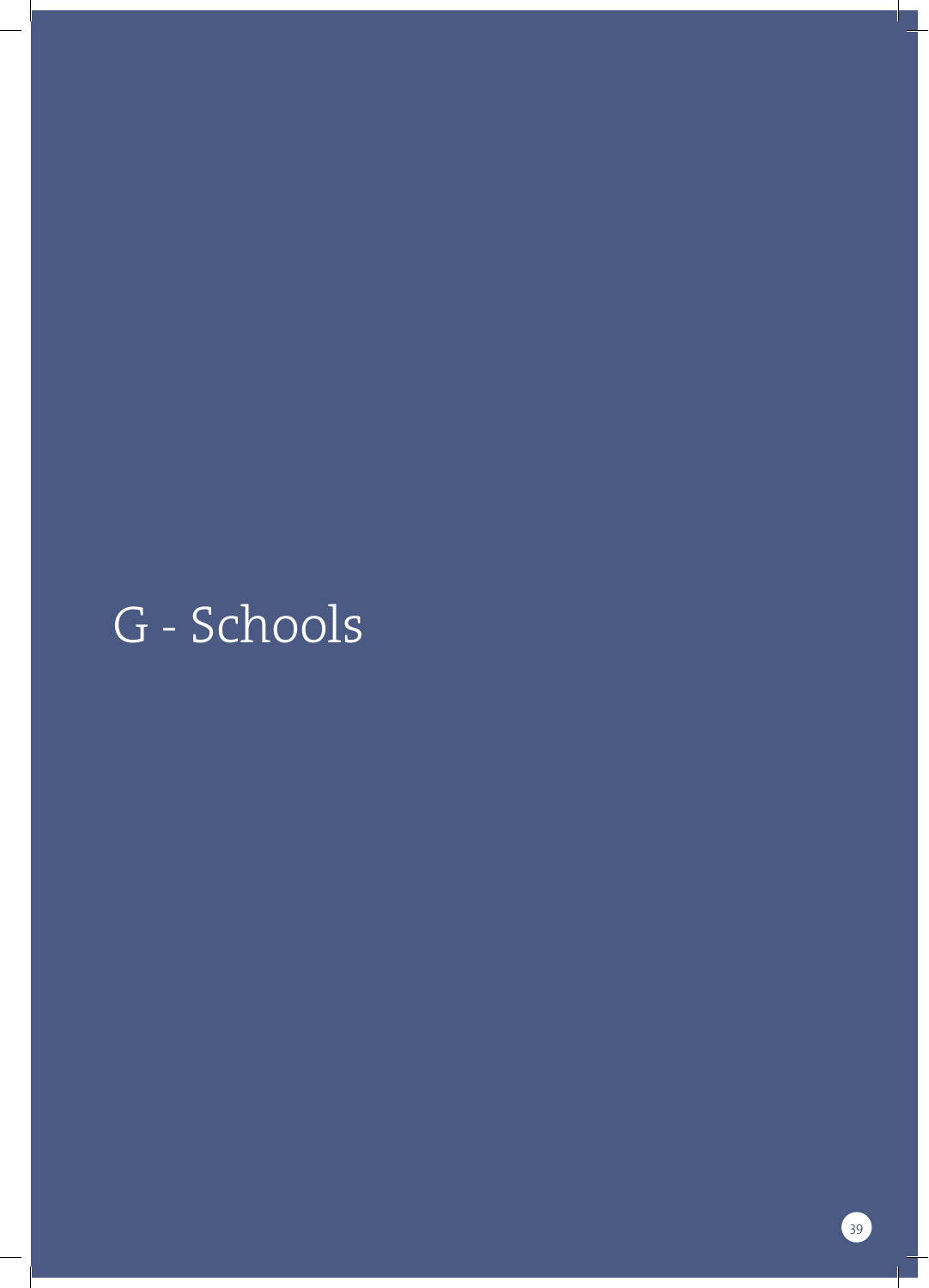# G - Schools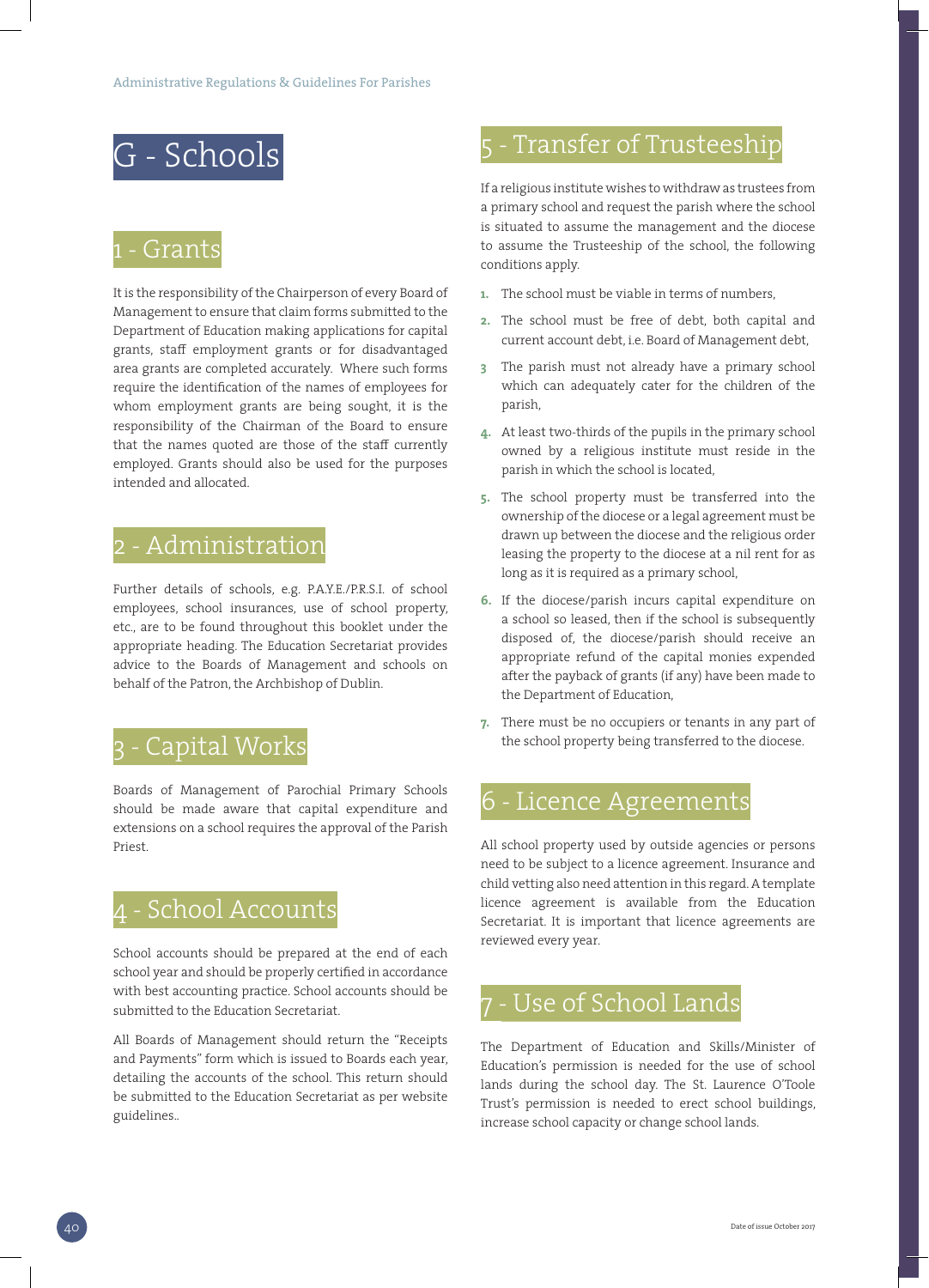

### Grants

It is the responsibility of the Chairperson of every Board of Management to ensure that claim forms submitted to the Department of Education making applications for capital grants, staff employment grants or for disadvantaged area grants are completed accurately. Where such forms require the identification of the names of employees for whom employment grants are being sought, it is the responsibility of the Chairman of the Board to ensure that the names quoted are those of the staff currently employed. Grants should also be used for the purposes intended and allocated.

# Administration

Further details of schools, e.g. P.A.Y.E./P.R.S.I. of school employees, school insurances, use of school property, etc., are to be found throughout this booklet under the appropriate heading. The Education Secretariat provides advice to the Boards of Management and schools on behalf of the Patron, the Archbishop of Dublin.

## Capital Works

Boards of Management of Parochial Primary Schools should be made aware that capital expenditure and extensions on a school requires the approval of the Parish Priest.

# - School Accounts

School accounts should be prepared at the end of each school year and should be properly certified in accordance with best accounting practice. School accounts should be submitted to the Education Secretariat.

All Boards of Management should return the "Receipts and Payments" form which is issued to Boards each year, detailing the accounts of the school. This return should be submitted to the Education Secretariat as per website guidelines..

# Transfer of Trusteeship

If a religious institute wishes to withdraw as trustees from a primary school and request the parish where the school is situated to assume the management and the diocese to assume the Trusteeship of the school, the following conditions apply.

- **1.** The school must be viable in terms of numbers,
- **2.** The school must be free of debt, both capital and current account debt, i.e. Board of Management debt,
- **3** The parish must not already have a primary school which can adequately cater for the children of the parish,
- **4.** At least two-thirds of the pupils in the primary school owned by a religious institute must reside in the parish in which the school is located,
- **5.** The school property must be transferred into the ownership of the diocese or a legal agreement must be drawn up between the diocese and the religious order leasing the property to the diocese at a nil rent for as long as it is required as a primary school,
- **6.** If the diocese/parish incurs capital expenditure on a school so leased, then if the school is subsequently disposed of, the diocese/parish should receive an appropriate refund of the capital monies expended after the payback of grants (if any) have been made to the Department of Education,
- **7.** There must be no occupiers or tenants in any part of the school property being transferred to the diocese.

# - Licence Agreements

All school property used by outside agencies or persons need to be subject to a licence agreement. Insurance and child vetting also need attention in this regard. A template licence agreement is available from the Education Secretariat. It is important that licence agreements are reviewed every year.

# 7 - Use of School Lands

The Department of Education and Skills/Minister of Education's permission is needed for the use of school lands during the school day. The St. Laurence O'Toole Trust's permission is needed to erect school buildings, increase school capacity or change school lands.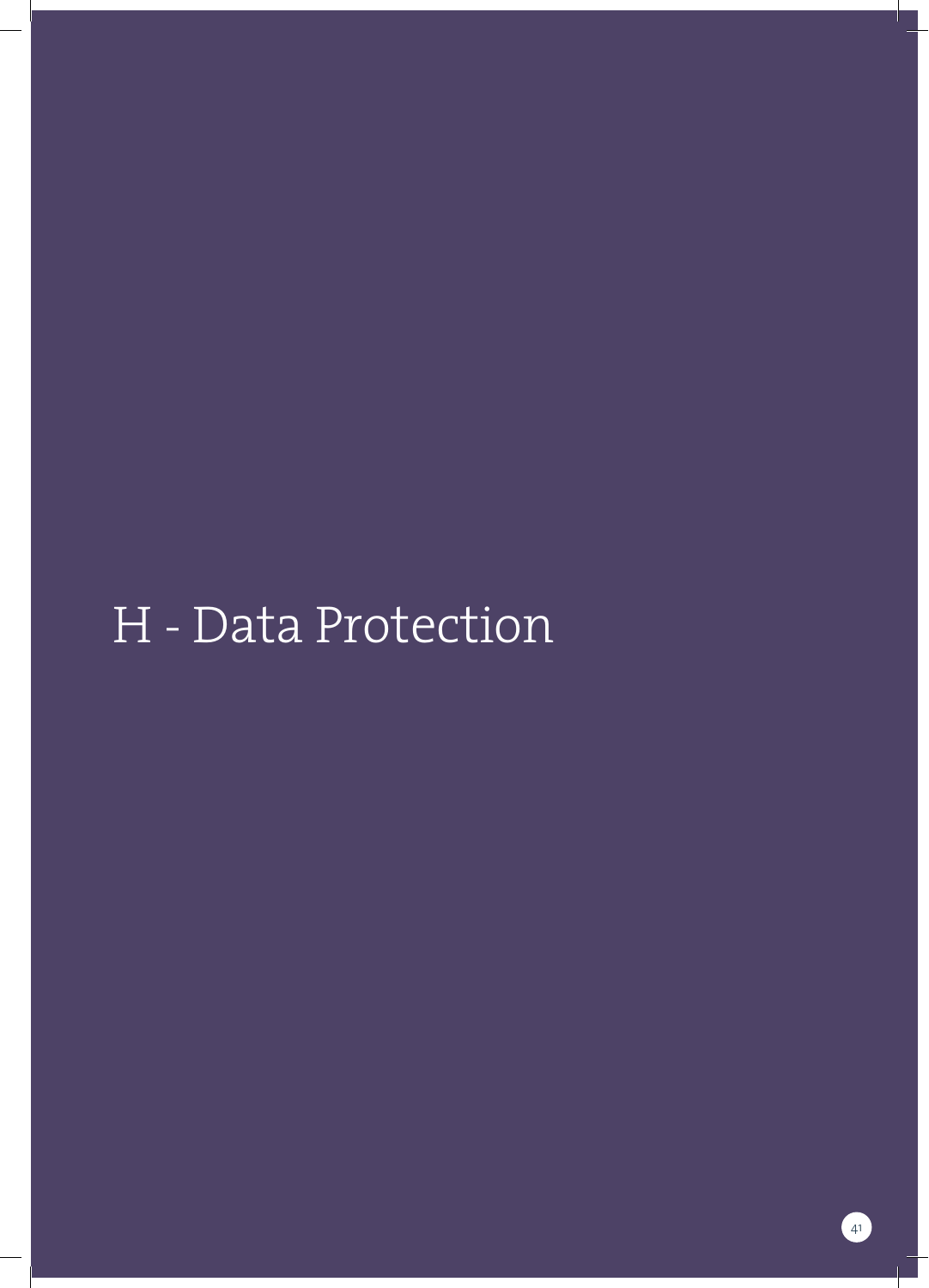# H - Data Protection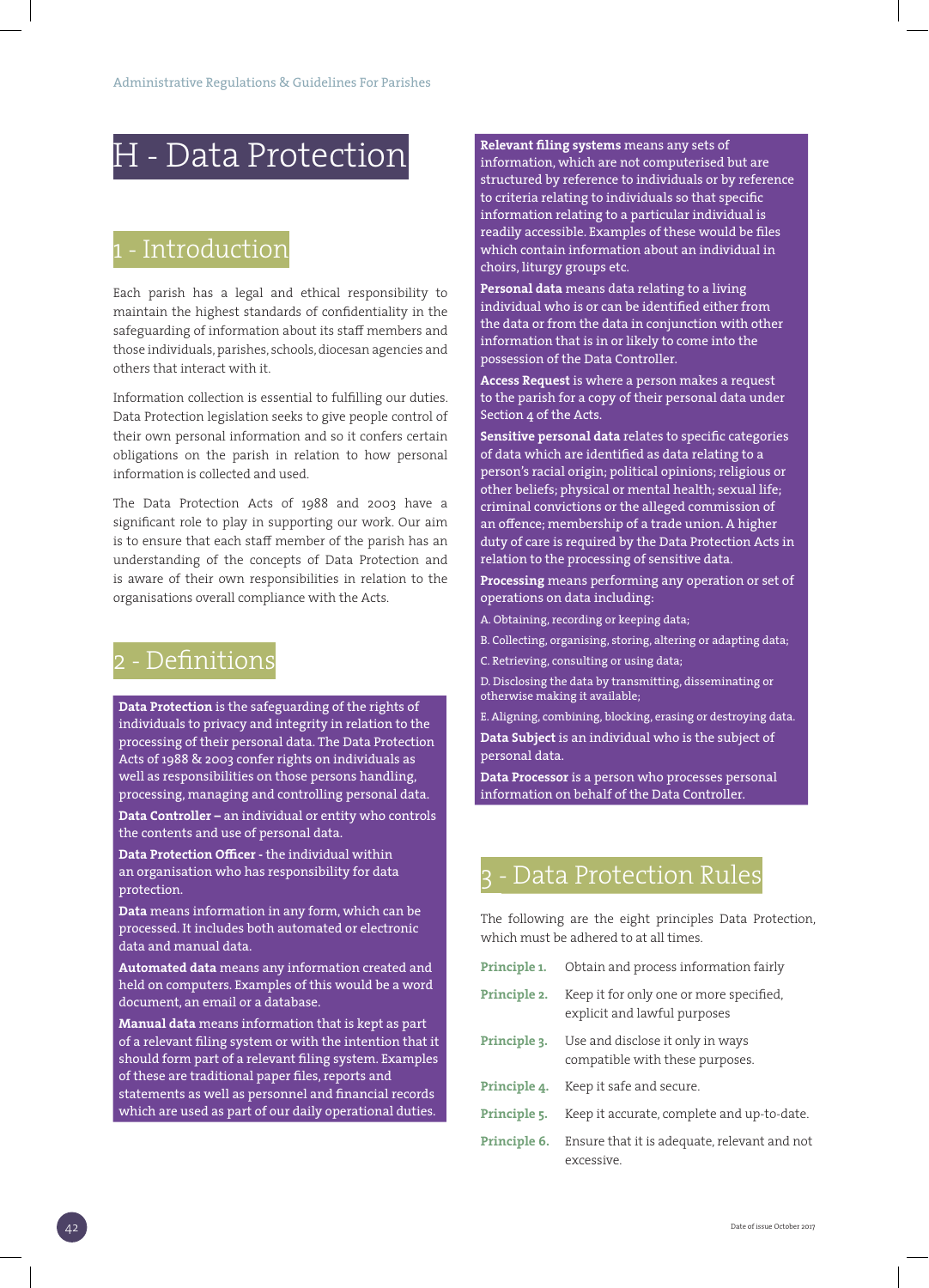# H - Data Protection

# - Introduction

Each parish has a legal and ethical responsibility to maintain the highest standards of confidentiality in the safeguarding of information about its staff members and those individuals, parishes, schools, diocesan agencies and others that interact with it.

Information collection is essential to fulfilling our duties. Data Protection legislation seeks to give people control of their own personal information and so it confers certain obligations on the parish in relation to how personal information is collected and used.

The Data Protection Acts of 1988 and 2003 have a significant role to play in supporting our work. Our aim is to ensure that each staff member of the parish has an understanding of the concepts of Data Protection and is aware of their own responsibilities in relation to the organisations overall compliance with the Acts.

## 2 - Definitions

**Data Protection** is the safeguarding of the rights of individuals to privacy and integrity in relation to the processing of their personal data. The Data Protection Acts of 1988 & 2003 confer rights on individuals as well as responsibilities on those persons handling, processing, managing and controlling personal data. **Data Controller –** an individual or entity who controls the contents and use of personal data.

**Data Protection Officer -** the individual within an organisation who has responsibility for data protection.

**Data** means information in any form, which can be processed. It includes both automated or electronic data and manual data.

**Automated data** means any information created and held on computers. Examples of this would be a word document, an email or a database.

**Manual data** means information that is kept as part of a relevant filing system or with the intention that it should form part of a relevant filing system. Examples of these are traditional paper files, reports and statements as well as personnel and financial records which are used as part of our daily operational duties.

#### **Relevant filing systems** means any sets of

information, which are not computerised but are structured by reference to individuals or by reference to criteria relating to individuals so that specific information relating to a particular individual is readily accessible. Examples of these would be files which contain information about an individual in choirs, liturgy groups etc.

**Personal data** means data relating to a living individual who is or can be identified either from the data or from the data in conjunction with other information that is in or likely to come into the possession of the Data Controller.

**Access Request** is where a person makes a request to the parish for a copy of their personal data under Section 4 of the Acts.

**Sensitive personal data** relates to specific categories of data which are identified as data relating to a person's racial origin; political opinions; religious or other beliefs; physical or mental health; sexual life; criminal convictions or the alleged commission of an offence; membership of a trade union. A higher duty of care is required by the Data Protection Acts in relation to the processing of sensitive data.

**Processing** means performing any operation or set of operations on data including:

A. Obtaining, recording or keeping data;

B. Collecting, organising, storing, altering or adapting data; C. Retrieving, consulting or using data;

D. Disclosing the data by transmitting, disseminating or otherwise making it available;

E. Aligning, combining, blocking, erasing or destroying data. **Data Subject** is an individual who is the subject of personal data.

**Data Processor** is a person who processes personal information on behalf of the Data Controller.

## Data Protection Rules

The following are the eight principles Data Protection, which must be adhered to at all times.

| Principle 1. | Obtain and process information fairly                                   |
|--------------|-------------------------------------------------------------------------|
| Principle 2. | Keep it for only one or more specified,<br>explicit and lawful purposes |
| Principle 3. | Use and disclose it only in ways<br>compatible with these purposes.     |
| Principle 4. | Keep it safe and secure.                                                |
| Principle 5. | Keep it accurate, complete and up-to-date.                              |
| Principle 6. | Ensure that it is adequate, relevant and not<br>excessive.              |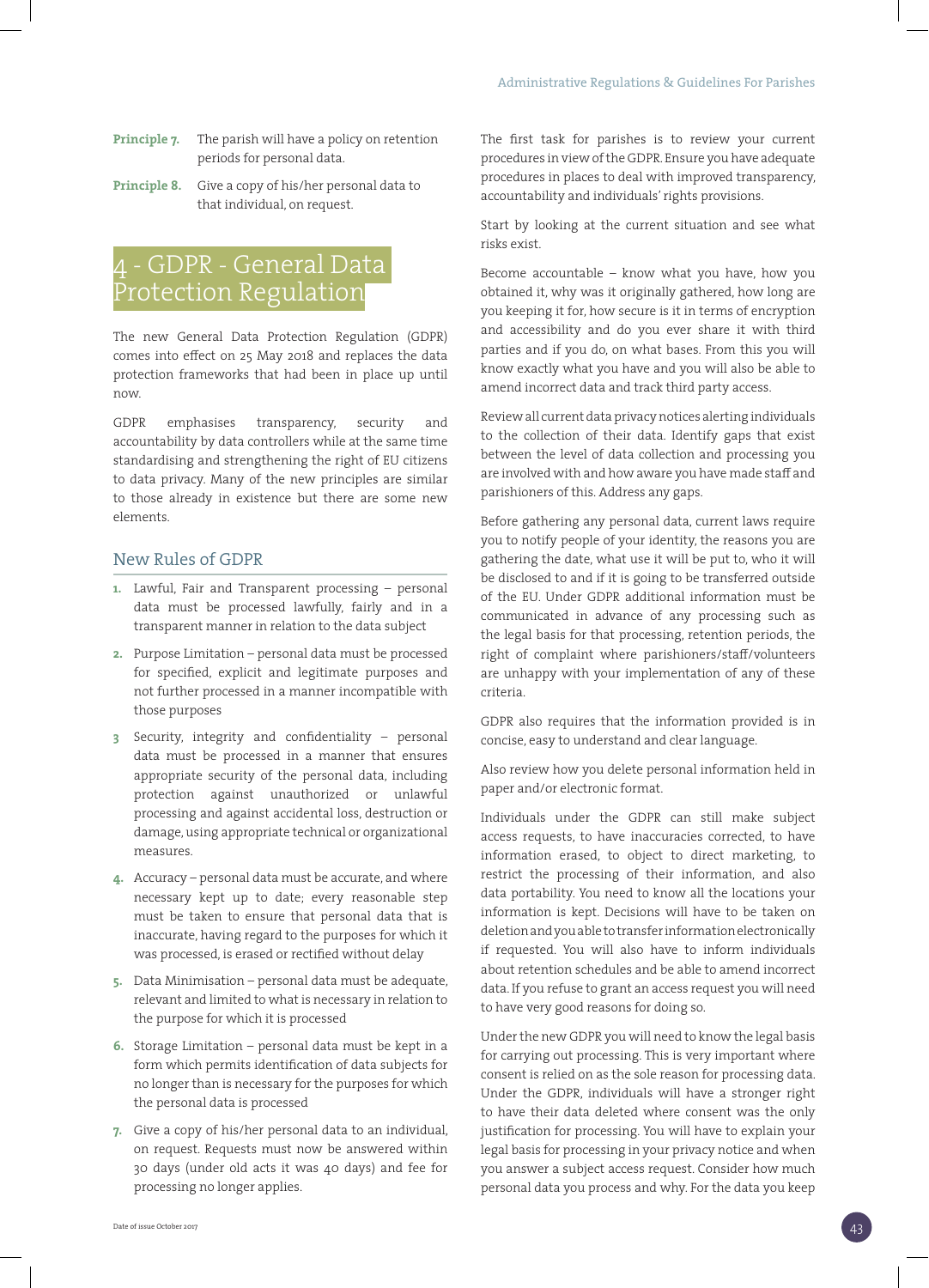- **Principle 7.** The parish will have a policy on retention periods for personal data.
- **Principle 8.** Give a copy of his/her personal data to that individual, on request.

# 4 - GDPR - General Data Protection Regulation

The new General Data Protection Regulation (GDPR) comes into effect on 25 May 2018 and replaces the data protection frameworks that had been in place up until now.

GDPR emphasises transparency, security and accountability by data controllers while at the same time standardising and strengthening the right of EU citizens to data privacy. Many of the new principles are similar to those already in existence but there are some new elements.

#### New Rules of GDPR

- **1.** Lawful, Fair and Transparent processing personal data must be processed lawfully, fairly and in a transparent manner in relation to the data subject
- **2.** Purpose Limitation personal data must be processed for specified, explicit and legitimate purposes and not further processed in a manner incompatible with those purposes
- **3** Security, integrity and confidentiality personal data must be processed in a manner that ensures appropriate security of the personal data, including protection against unauthorized or unlawful processing and against accidental loss, destruction or damage, using appropriate technical or organizational measures.
- **4.** Accuracy personal data must be accurate, and where necessary kept up to date; every reasonable step must be taken to ensure that personal data that is inaccurate, having regard to the purposes for which it was processed, is erased or rectified without delay
- **5.** Data Minimisation personal data must be adequate, relevant and limited to what is necessary in relation to the purpose for which it is processed
- **6.** Storage Limitation personal data must be kept in a form which permits identification of data subjects for no longer than is necessary for the purposes for which the personal data is processed
- **7.** Give a copy of his/her personal data to an individual, on request. Requests must now be answered within 30 days (under old acts it was 40 days) and fee for processing no longer applies.

The first task for parishes is to review your current procedures in view of the GDPR. Ensure you have adequate procedures in places to deal with improved transparency, accountability and individuals' rights provisions.

Start by looking at the current situation and see what risks exist.

Become accountable – know what you have, how you obtained it, why was it originally gathered, how long are you keeping it for, how secure is it in terms of encryption and accessibility and do you ever share it with third parties and if you do, on what bases. From this you will know exactly what you have and you will also be able to amend incorrect data and track third party access.

Review all current data privacy notices alerting individuals to the collection of their data. Identify gaps that exist between the level of data collection and processing you are involved with and how aware you have made staff and parishioners of this. Address any gaps.

Before gathering any personal data, current laws require you to notify people of your identity, the reasons you are gathering the date, what use it will be put to, who it will be disclosed to and if it is going to be transferred outside of the EU. Under GDPR additional information must be communicated in advance of any processing such as the legal basis for that processing, retention periods, the right of complaint where parishioners/staff/volunteers are unhappy with your implementation of any of these criteria.

GDPR also requires that the information provided is in concise, easy to understand and clear language.

Also review how you delete personal information held in paper and/or electronic format.

Individuals under the GDPR can still make subject access requests, to have inaccuracies corrected, to have information erased, to object to direct marketing, to restrict the processing of their information, and also data portability. You need to know all the locations your information is kept. Decisions will have to be taken on deletion and you able to transfer information electronically if requested. You will also have to inform individuals about retention schedules and be able to amend incorrect data. If you refuse to grant an access request you will need to have very good reasons for doing so.

Under the new GDPR you will need to know the legal basis for carrying out processing. This is very important where consent is relied on as the sole reason for processing data. Under the GDPR, individuals will have a stronger right to have their data deleted where consent was the only justification for processing. You will have to explain your legal basis for processing in your privacy notice and when you answer a subject access request. Consider how much personal data you process and why. For the data you keep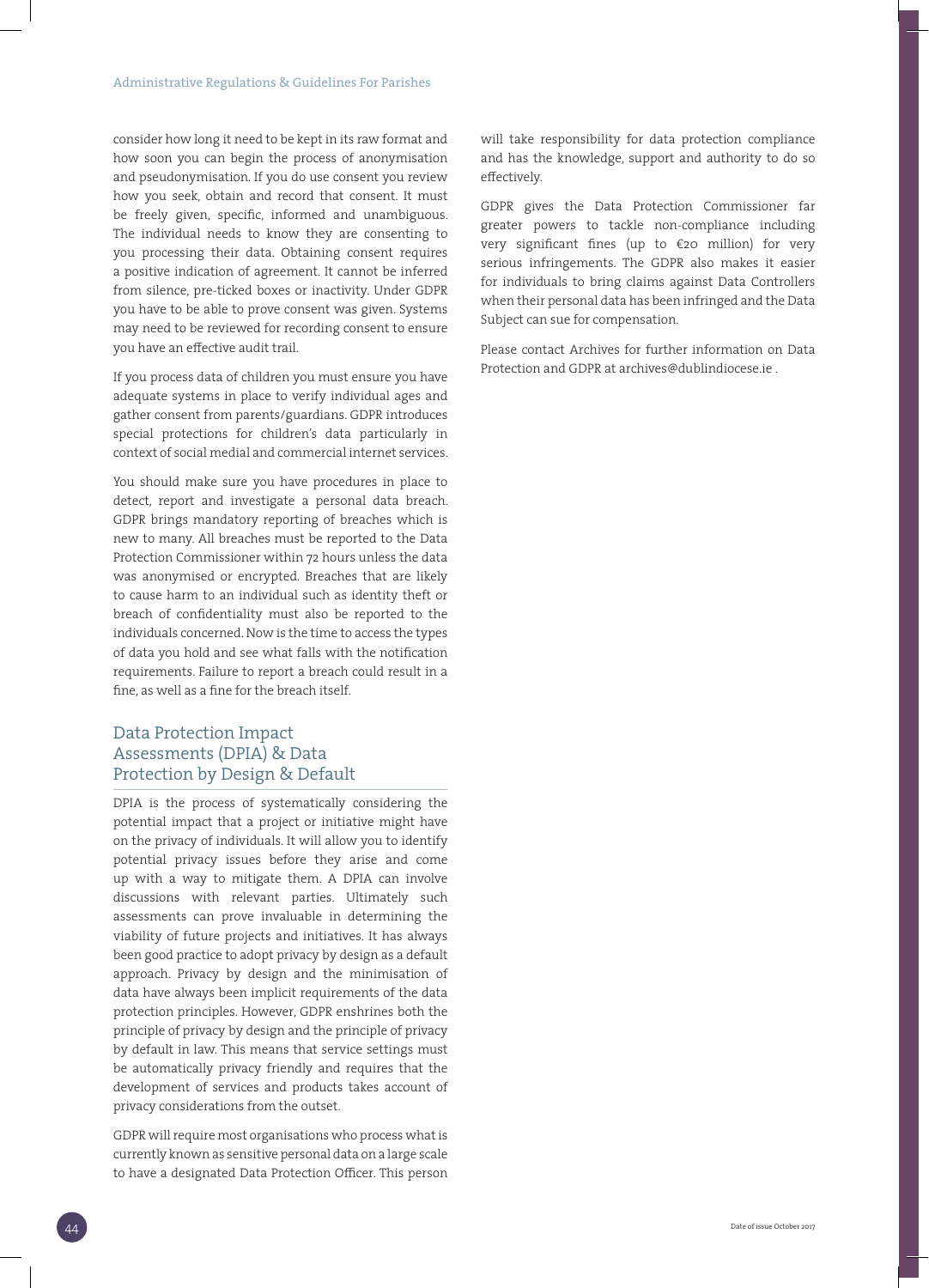consider how long it need to be kept in its raw format and how soon you can begin the process of anonymisation and pseudonymisation. If you do use consent you review how you seek, obtain and record that consent. It must be freely given, specific, informed and unambiguous. The individual needs to know they are consenting to you processing their data. Obtaining consent requires a positive indication of agreement. It cannot be inferred from silence, pre-ticked boxes or inactivity. Under GDPR you have to be able to prove consent was given. Systems may need to be reviewed for recording consent to ensure you have an effective audit trail.

If you process data of children you must ensure you have adequate systems in place to verify individual ages and gather consent from parents/guardians. GDPR introduces special protections for children's data particularly in context of social medial and commercial internet services.

You should make sure you have procedures in place to detect, report and investigate a personal data breach. GDPR brings mandatory reporting of breaches which is new to many. All breaches must be reported to the Data Protection Commissioner within 72 hours unless the data was anonymised or encrypted. Breaches that are likely to cause harm to an individual such as identity theft or breach of confidentiality must also be reported to the individuals concerned. Now is the time to access the types of data you hold and see what falls with the notification requirements. Failure to report a breach could result in a fine, as well as a fine for the breach itself.

#### Data Protection Impact Assessments (DPIA) & Data Protection by Design & Default

DPIA is the process of systematically considering the potential impact that a project or initiative might have on the privacy of individuals. It will allow you to identify potential privacy issues before they arise and come up with a way to mitigate them. A DPIA can involve discussions with relevant parties. Ultimately such assessments can prove invaluable in determining the viability of future projects and initiatives. It has always been good practice to adopt privacy by design as a default approach. Privacy by design and the minimisation of data have always been implicit requirements of the data protection principles. However, GDPR enshrines both the principle of privacy by design and the principle of privacy by default in law. This means that service settings must be automatically privacy friendly and requires that the development of services and products takes account of privacy considerations from the outset.

GDPR will require most organisations who process what is currently known as sensitive personal data on a large scale to have a designated Data Protection Officer. This person will take responsibility for data protection compliance and has the knowledge, support and authority to do so effectively.

GDPR gives the Data Protection Commissioner far greater powers to tackle non-compliance including very significant fines (up to €20 million) for very serious infringements. The GDPR also makes it easier for individuals to bring claims against Data Controllers when their personal data has been infringed and the Data Subject can sue for compensation.

Please contact Archives for further information on Data Protection and GDPR at archives@dublindiocese.ie .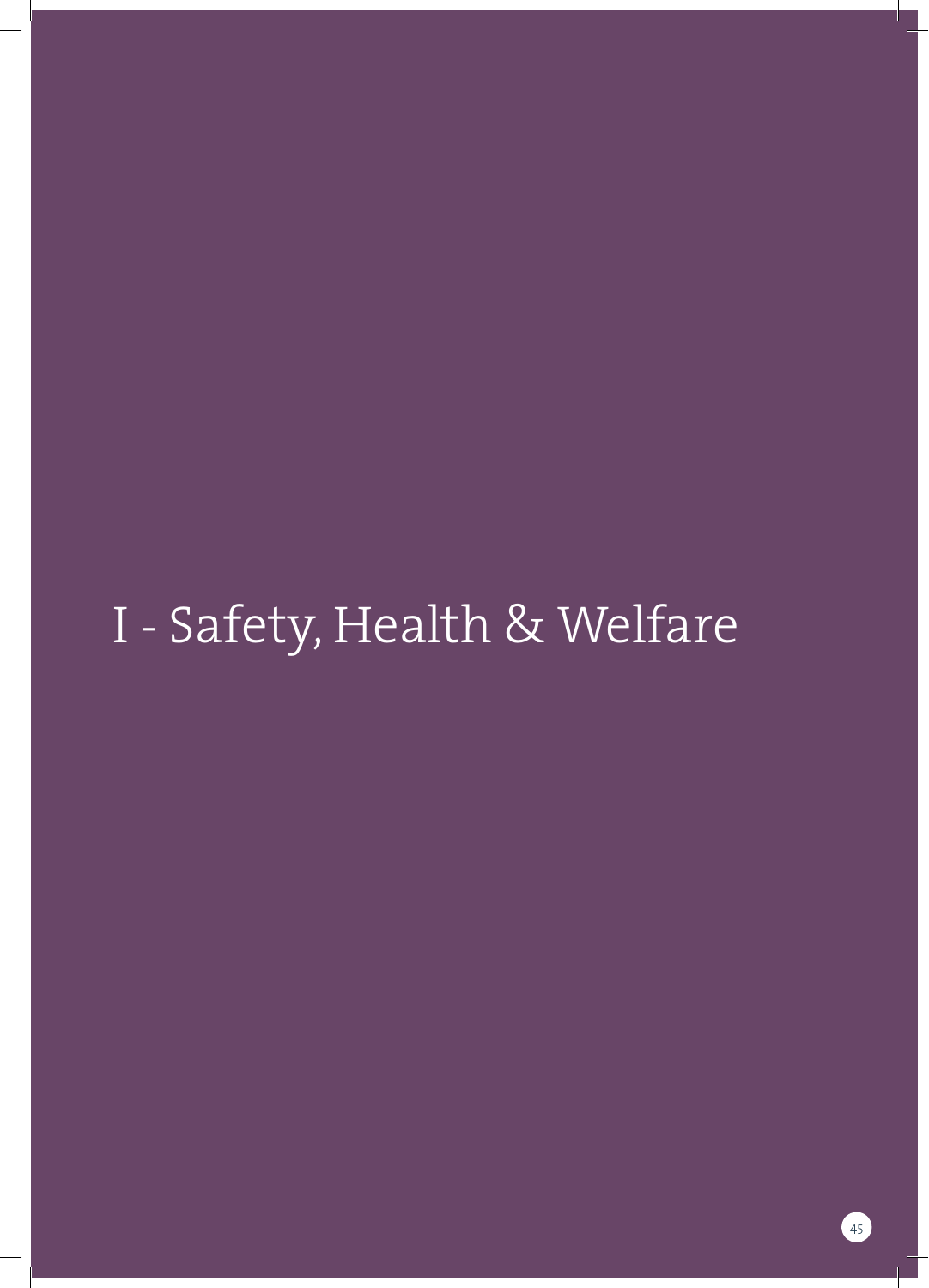# I - Safety, Health & Welfare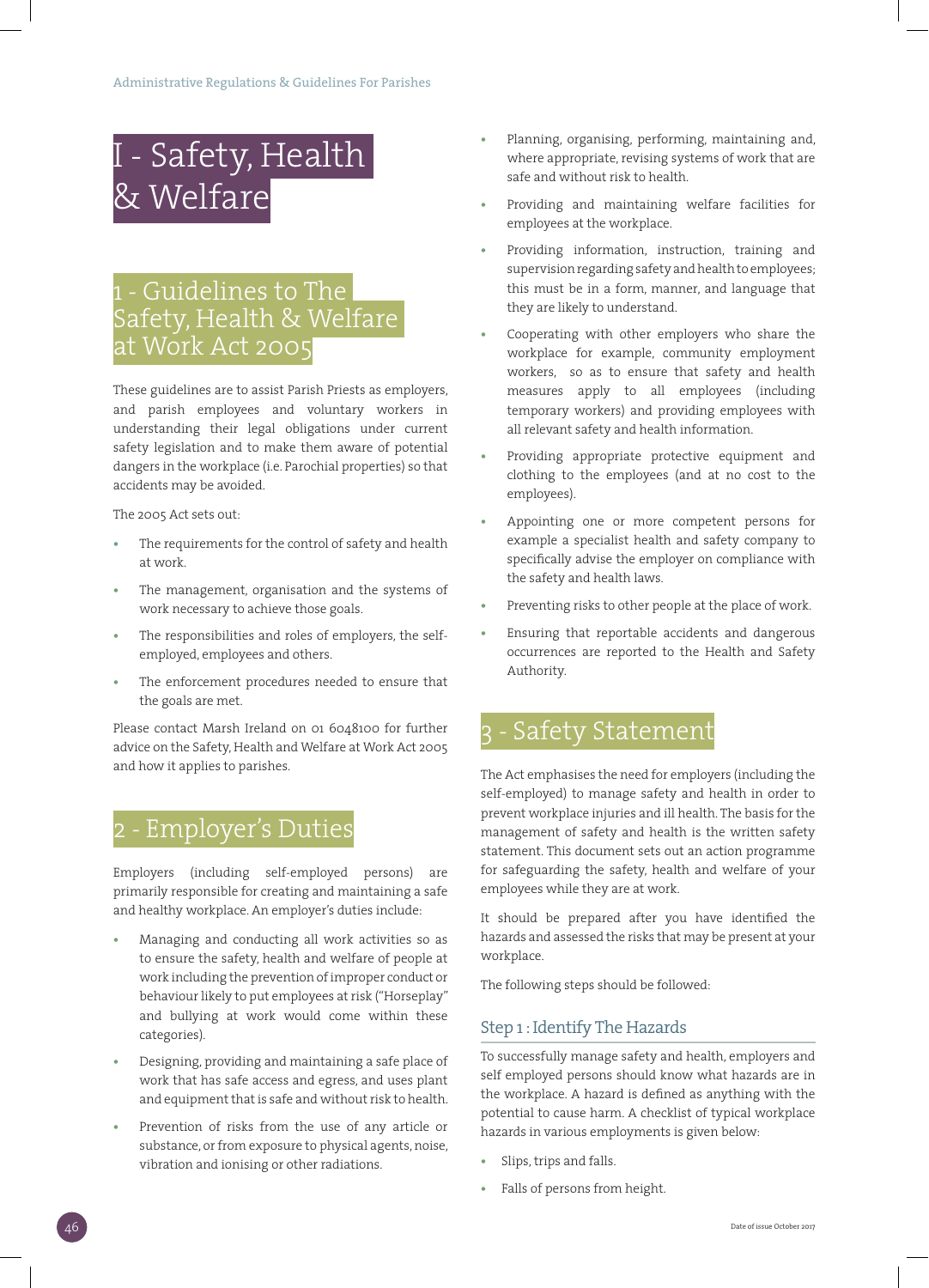# I - Safety, Health & Welfare

# - Guidelines to The Safety, Health & Welfare at Work Act 2005

These guidelines are to assist Parish Priests as employers, and parish employees and voluntary workers in understanding their legal obligations under current safety legislation and to make them aware of potential dangers in the workplace (i.e. Parochial properties) so that accidents may be avoided.

The 2005 Act sets out:

- **•** The requirements for the control of safety and health at work.
- **•** The management, organisation and the systems of work necessary to achieve those goals.
- **•** The responsibilities and roles of employers, the selfemployed, employees and others.
- **•** The enforcement procedures needed to ensure that the goals are met.

Please contact Marsh Ireland on 01 6048100 for further advice on the Safety, Health and Welfare at Work Act 2005 and how it applies to parishes.

# **Employer's Duties**

Employers (including self-employed persons) are primarily responsible for creating and maintaining a safe and healthy workplace. An employer's duties include:

- **•** Managing and conducting all work activities so as to ensure the safety, health and welfare of people at work including the prevention of improper conduct or behaviour likely to put employees at risk ("Horseplay" and bullying at work would come within these categories).
- **•** Designing, providing and maintaining a safe place of work that has safe access and egress, and uses plant and equipment that is safe and without risk to health.
- **•** Prevention of risks from the use of any article or substance, or from exposure to physical agents, noise, vibration and ionising or other radiations.
- **•** Planning, organising, performing, maintaining and, where appropriate, revising systems of work that are safe and without risk to health.
- **•** Providing and maintaining welfare facilities for employees at the workplace.
- **•** Providing information, instruction, training and supervision regarding safety and health to employees; this must be in a form, manner, and language that they are likely to understand.
- **•** Cooperating with other employers who share the workplace for example, community employment workers, so as to ensure that safety and health measures apply to all employees (including temporary workers) and providing employees with all relevant safety and health information.
- **•** Providing appropriate protective equipment and clothing to the employees (and at no cost to the employees).
- **•** Appointing one or more competent persons for example a specialist health and safety company to specifically advise the employer on compliance with the safety and health laws.
- **•** Preventing risks to other people at the place of work.
- **•** Ensuring that reportable accidents and dangerous occurrences are reported to the Health and Safety Authority.

### Safety Statement

The Act emphasises the need for employers (including the self-employed) to manage safety and health in order to prevent workplace injuries and ill health. The basis for the management of safety and health is the written safety statement. This document sets out an action programme for safeguarding the safety, health and welfare of your employees while they are at work.

It should be prepared after you have identified the hazards and assessed the risks that may be present at your workplace.

The following steps should be followed:

#### Step 1 : Identify The Hazards

To successfully manage safety and health, employers and self employed persons should know what hazards are in the workplace. A hazard is defined as anything with the potential to cause harm. A checklist of typical workplace hazards in various employments is given below:

- **•** Slips, trips and falls.
- **•** Falls of persons from height.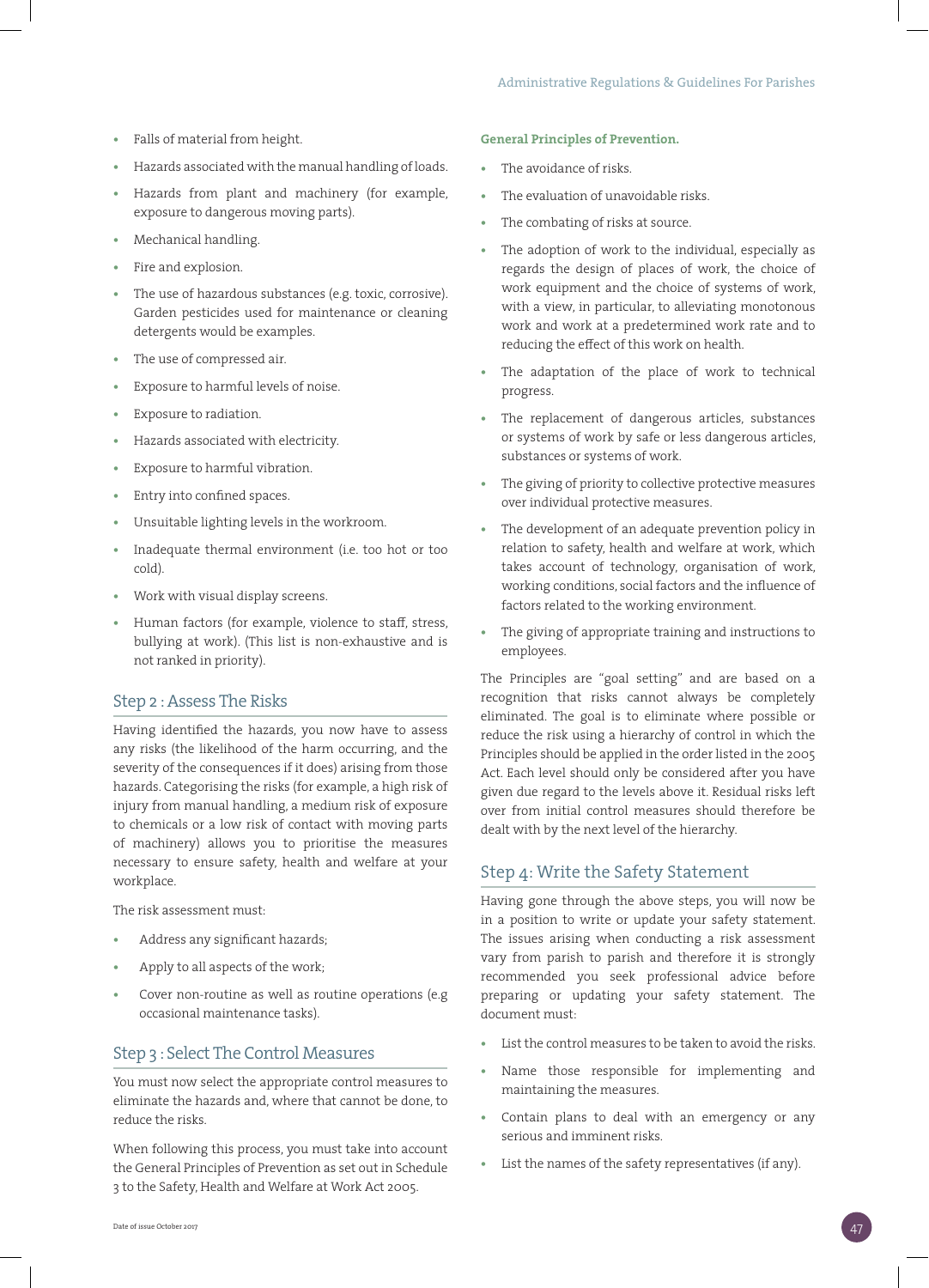- **•** Falls of material from height.
- **•** Hazards associated with the manual handling of loads.
- **•** Hazards from plant and machinery (for example, exposure to dangerous moving parts).
- **•** Mechanical handling.
- **•** Fire and explosion.
- **•** The use of hazardous substances (e.g. toxic, corrosive). Garden pesticides used for maintenance or cleaning detergents would be examples.
- **•** The use of compressed air.
- **•** Exposure to harmful levels of noise.
- **•** Exposure to radiation.
- **•** Hazards associated with electricity.
- **•** Exposure to harmful vibration.
- **•** Entry into confined spaces.
- **•** Unsuitable lighting levels in the workroom.
- **•** Inadequate thermal environment (i.e. too hot or too cold).
- **•** Work with visual display screens.
- **•** Human factors (for example, violence to staff, stress, bullying at work). (This list is non-exhaustive and is not ranked in priority).

#### Step 2 : Assess The Risks

Having identified the hazards, you now have to assess any risks (the likelihood of the harm occurring, and the severity of the consequences if it does) arising from those hazards. Categorising the risks (for example, a high risk of injury from manual handling, a medium risk of exposure to chemicals or a low risk of contact with moving parts of machinery) allows you to prioritise the measures necessary to ensure safety, health and welfare at your workplace.

The risk assessment must:

- **•** Address any significant hazards;
- **•** Apply to all aspects of the work;
- **•** Cover non-routine as well as routine operations (e.g occasional maintenance tasks).

#### Step 3 : Select The Control Measures

You must now select the appropriate control measures to eliminate the hazards and, where that cannot be done, to reduce the risks.

When following this process, you must take into account the General Principles of Prevention as set out in Schedule 3 to the Safety, Health and Welfare at Work Act 2005.

#### **General Principles of Prevention.**

- **•** The avoidance of risks.
- **•** The evaluation of unavoidable risks.
- **•** The combating of risks at source.
- **•** The adoption of work to the individual, especially as regards the design of places of work, the choice of work equipment and the choice of systems of work, with a view, in particular, to alleviating monotonous work and work at a predetermined work rate and to reducing the effect of this work on health.
- **•** The adaptation of the place of work to technical progress.
- **•** The replacement of dangerous articles, substances or systems of work by safe or less dangerous articles, substances or systems of work.
- **•** The giving of priority to collective protective measures over individual protective measures.
- **•** The development of an adequate prevention policy in relation to safety, health and welfare at work, which takes account of technology, organisation of work, working conditions, social factors and the influence of factors related to the working environment.
- **•** The giving of appropriate training and instructions to employees.

The Principles are "goal setting" and are based on a recognition that risks cannot always be completely eliminated. The goal is to eliminate where possible or reduce the risk using a hierarchy of control in which the Principles should be applied in the order listed in the 2005 Act. Each level should only be considered after you have given due regard to the levels above it. Residual risks left over from initial control measures should therefore be dealt with by the next level of the hierarchy.

#### Step 4: Write the Safety Statement

Having gone through the above steps, you will now be in a position to write or update your safety statement. The issues arising when conducting a risk assessment vary from parish to parish and therefore it is strongly recommended you seek professional advice before preparing or updating your safety statement. The document must:

- **•** List the control measures to be taken to avoid the risks.
- **•** Name those responsible for implementing and maintaining the measures.
- **•** Contain plans to deal with an emergency or any serious and imminent risks.
- **•** List the names of the safety representatives (if any).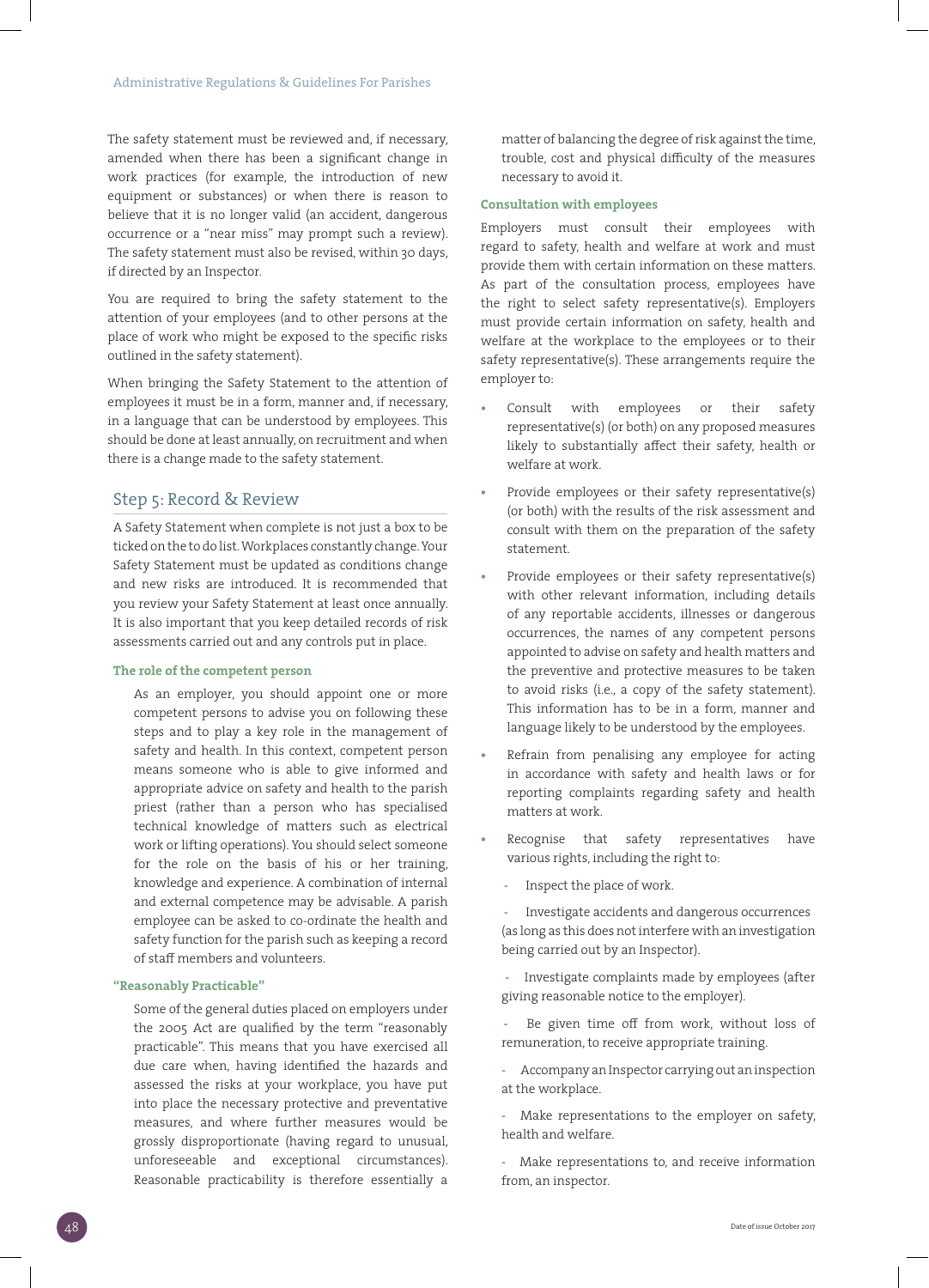The safety statement must be reviewed and, if necessary, amended when there has been a significant change in work practices (for example, the introduction of new equipment or substances) or when there is reason to believe that it is no longer valid (an accident, dangerous occurrence or a "near miss" may prompt such a review). The safety statement must also be revised, within 30 days, if directed by an Inspector.

You are required to bring the safety statement to the attention of your employees (and to other persons at the place of work who might be exposed to the specific risks outlined in the safety statement).

When bringing the Safety Statement to the attention of employees it must be in a form, manner and, if necessary, in a language that can be understood by employees. This should be done at least annually, on recruitment and when there is a change made to the safety statement.

#### Step 5: Record & Review

A Safety Statement when complete is not just a box to be ticked on the to do list. Workplaces constantly change. Your Safety Statement must be updated as conditions change and new risks are introduced. It is recommended that you review your Safety Statement at least once annually. It is also important that you keep detailed records of risk assessments carried out and any controls put in place.

#### **The role of the competent person**

As an employer, you should appoint one or more competent persons to advise you on following these steps and to play a key role in the management of safety and health. In this context, competent person means someone who is able to give informed and appropriate advice on safety and health to the parish priest (rather than a person who has specialised technical knowledge of matters such as electrical work or lifting operations). You should select someone for the role on the basis of his or her training, knowledge and experience. A combination of internal and external competence may be advisable. A parish employee can be asked to co-ordinate the health and safety function for the parish such as keeping a record of staff members and volunteers.

#### **"Reasonably Practicable"**

Some of the general duties placed on employers under the 2005 Act are qualified by the term "reasonably practicable". This means that you have exercised all due care when, having identified the hazards and assessed the risks at your workplace, you have put into place the necessary protective and preventative measures, and where further measures would be grossly disproportionate (having regard to unusual, unforeseeable and exceptional circumstances). Reasonable practicability is therefore essentially a matter of balancing the degree of risk against the time, trouble, cost and physical difficulty of the measures necessary to avoid it.

#### **Consultation with employees**

Employers must consult their employees with regard to safety, health and welfare at work and must provide them with certain information on these matters. As part of the consultation process, employees have the right to select safety representative(s). Employers must provide certain information on safety, health and welfare at the workplace to the employees or to their safety representative(s). These arrangements require the employer to:

- **•** Consult with employees or their safety representative(s) (or both) on any proposed measures likely to substantially affect their safety, health or welfare at work.
- **•** Provide employees or their safety representative(s) (or both) with the results of the risk assessment and consult with them on the preparation of the safety statement.
- **•** Provide employees or their safety representative(s) with other relevant information, including details of any reportable accidents, illnesses or dangerous occurrences, the names of any competent persons appointed to advise on safety and health matters and the preventive and protective measures to be taken to avoid risks (i.e., a copy of the safety statement). This information has to be in a form, manner and language likely to be understood by the employees.
- **•** Refrain from penalising any employee for acting in accordance with safety and health laws or for reporting complaints regarding safety and health matters at work.
- **•** Recognise that safety representatives have various rights, including the right to:

**-** Inspect the place of work.

 **-** Investigate accidents and dangerous occurrences (as long as this does not interfere with an investigation being carried out by an Inspector).

Investigate complaints made by employees (after giving reasonable notice to the employer).

 **-** Be given time off from work, without loss of remuneration, to receive appropriate training.

**-** Accompany an Inspector carrying out an inspection at the workplace.

**-** Make representations to the employer on safety, health and welfare.

**-** Make representations to, and receive information from, an inspector.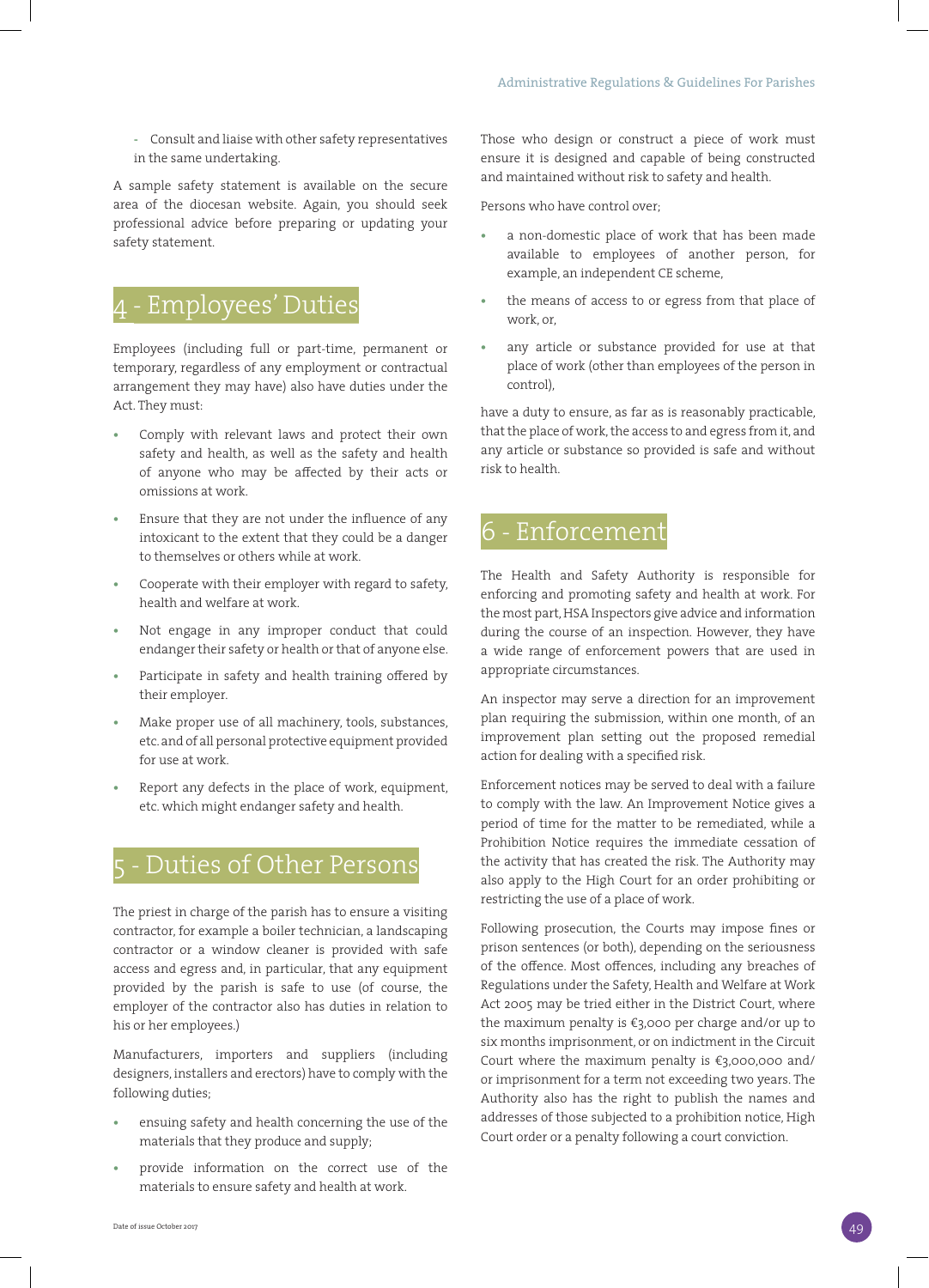#### **-** Consult and liaise with other safety representatives in the same undertaking.

A sample safety statement is available on the secure area of the diocesan website. Again, you should seek professional advice before preparing or updating your safety statement.

# Employees' Duties

Employees (including full or part-time, permanent or temporary, regardless of any employment or contractual arrangement they may have) also have duties under the Act. They must:

- **•** Comply with relevant laws and protect their own safety and health, as well as the safety and health of anyone who may be affected by their acts or omissions at work.
- **•** Ensure that they are not under the influence of any intoxicant to the extent that they could be a danger to themselves or others while at work.
- **•** Cooperate with their employer with regard to safety, health and welfare at work.
- **•** Not engage in any improper conduct that could endanger their safety or health or that of anyone else.
- **•** Participate in safety and health training offered by their employer.
- **•** Make proper use of all machinery, tools, substances, etc. and of all personal protective equipment provided for use at work.
- **•** Report any defects in the place of work, equipment, etc. which might endanger safety and health.

## 5 - Duties of Other Persons

The priest in charge of the parish has to ensure a visiting contractor, for example a boiler technician, a landscaping contractor or a window cleaner is provided with safe access and egress and, in particular, that any equipment provided by the parish is safe to use (of course, the employer of the contractor also has duties in relation to his or her employees.)

Manufacturers, importers and suppliers (including designers, installers and erectors) have to comply with the following duties;

- **•** ensuing safety and health concerning the use of the materials that they produce and supply;
- **•** provide information on the correct use of the materials to ensure safety and health at work.

Those who design or construct a piece of work must ensure it is designed and capable of being constructed and maintained without risk to safety and health.

Persons who have control over;

- **•** a non-domestic place of work that has been made available to employees of another person, for example, an independent CE scheme,
- **•** the means of access to or egress from that place of work, or,
- **•** any article or substance provided for use at that place of work (other than employees of the person in control),

have a duty to ensure, as far as is reasonably practicable, that the place of work, the access to and egress from it, and any article or substance so provided is safe and without risk to health.

### **Enforcement**

The Health and Safety Authority is responsible for enforcing and promoting safety and health at work. For the most part, HSA Inspectors give advice and information during the course of an inspection. However, they have a wide range of enforcement powers that are used in appropriate circumstances.

An inspector may serve a direction for an improvement plan requiring the submission, within one month, of an improvement plan setting out the proposed remedial action for dealing with a specified risk.

Enforcement notices may be served to deal with a failure to comply with the law. An Improvement Notice gives a period of time for the matter to be remediated, while a Prohibition Notice requires the immediate cessation of the activity that has created the risk. The Authority may also apply to the High Court for an order prohibiting or restricting the use of a place of work.

Following prosecution, the Courts may impose fines or prison sentences (or both), depending on the seriousness of the offence. Most offences, including any breaches of Regulations under the Safety, Health and Welfare at Work Act 2005 may be tried either in the District Court, where the maximum penalty is €3,000 per charge and/or up to six months imprisonment, or on indictment in the Circuit Court where the maximum penalty is €3,000,000 and/ or imprisonment for a term not exceeding two years. The Authority also has the right to publish the names and addresses of those subjected to a prohibition notice, High Court order or a penalty following a court conviction.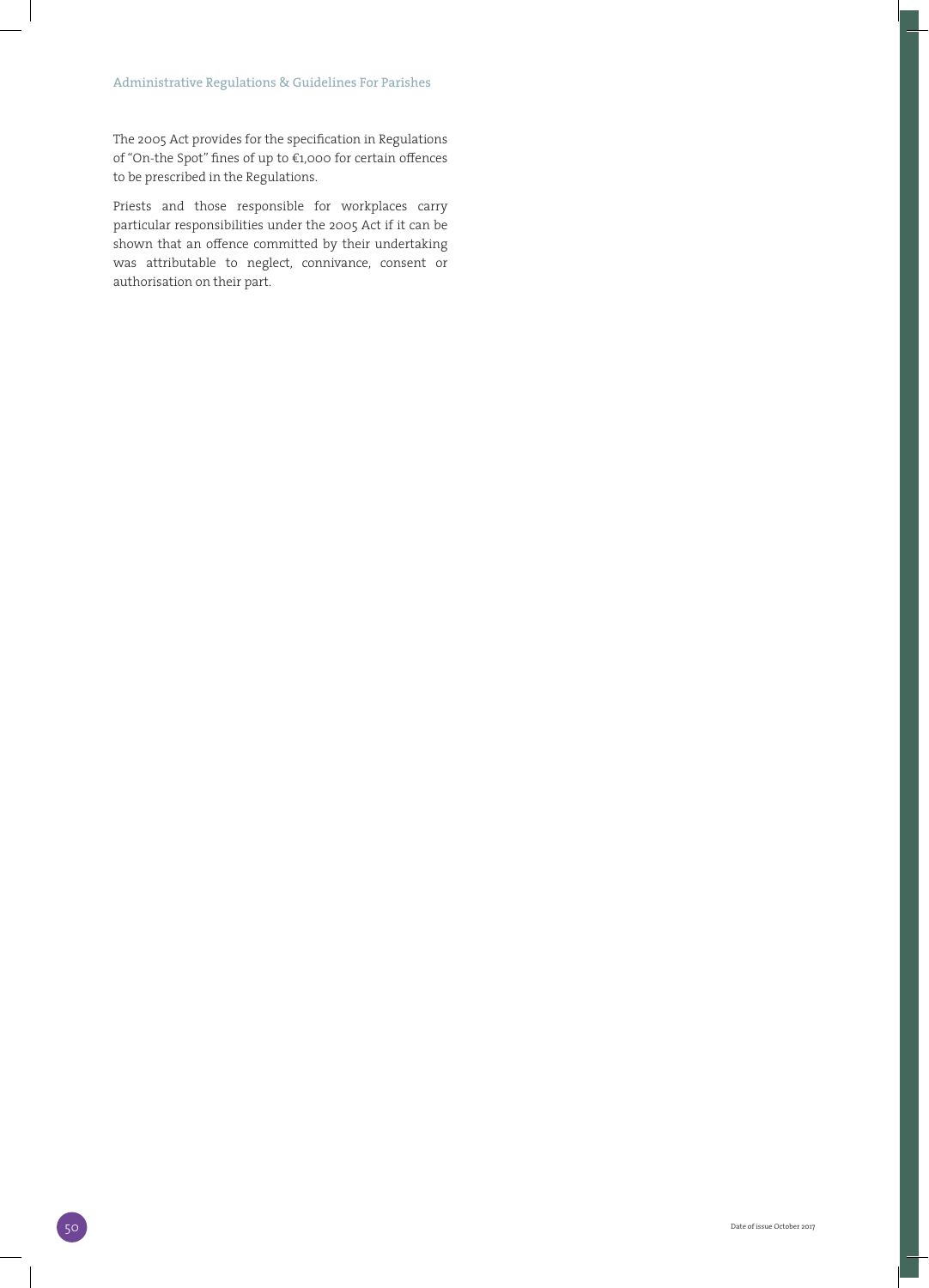#### Administrative Regulations & Guidelines For Parishes

The 2005 Act provides for the specification in Regulations of "On-the Spot" fines of up to €1,000 for certain offences to be prescribed in the Regulations.

Priests and those responsible for workplaces carry particular responsibilities under the 2005 Act if it can be shown that an offence committed by their undertaking was attributable to neglect, connivance, consent or authorisation on their part.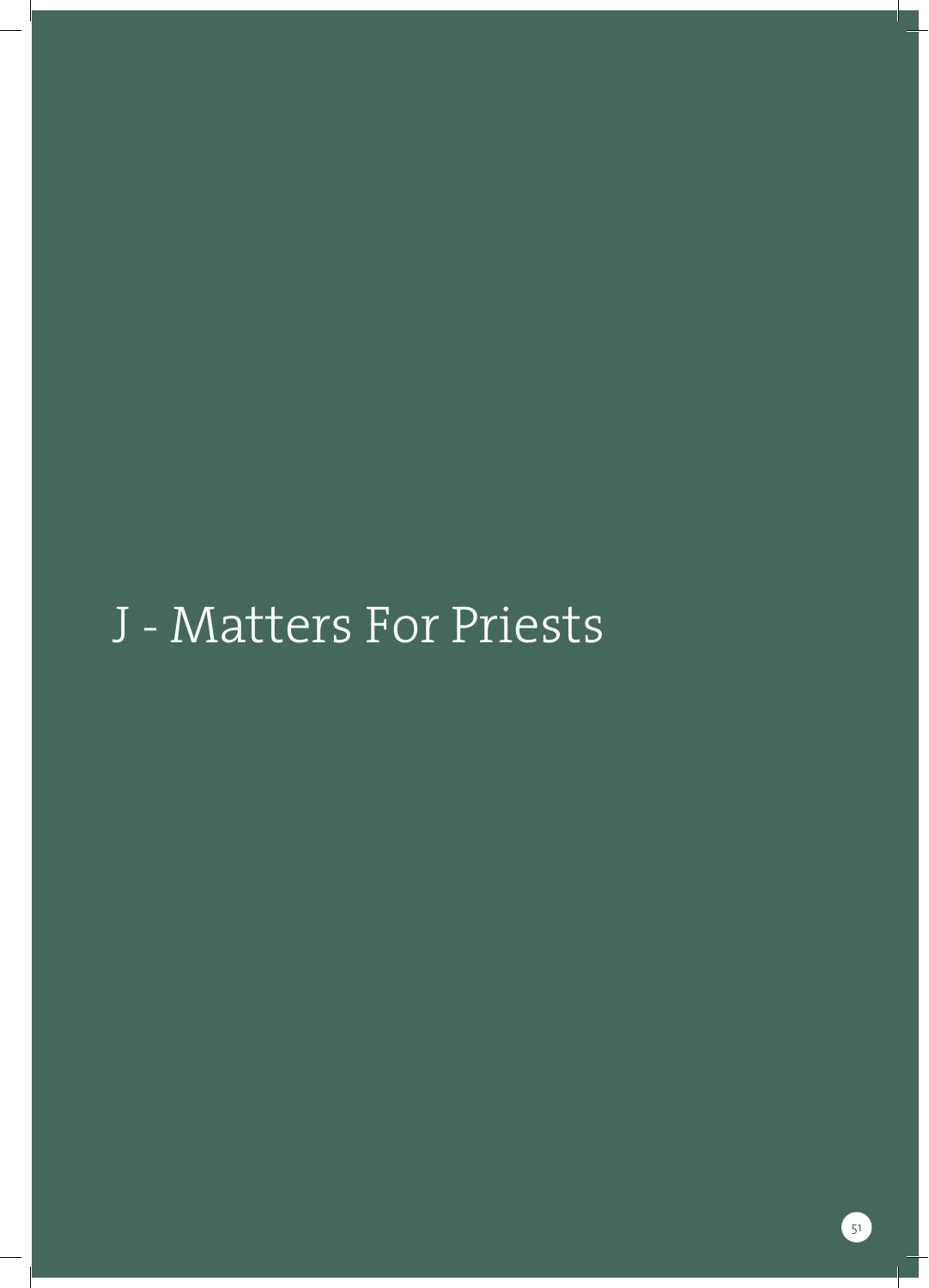# J - Matters For Priests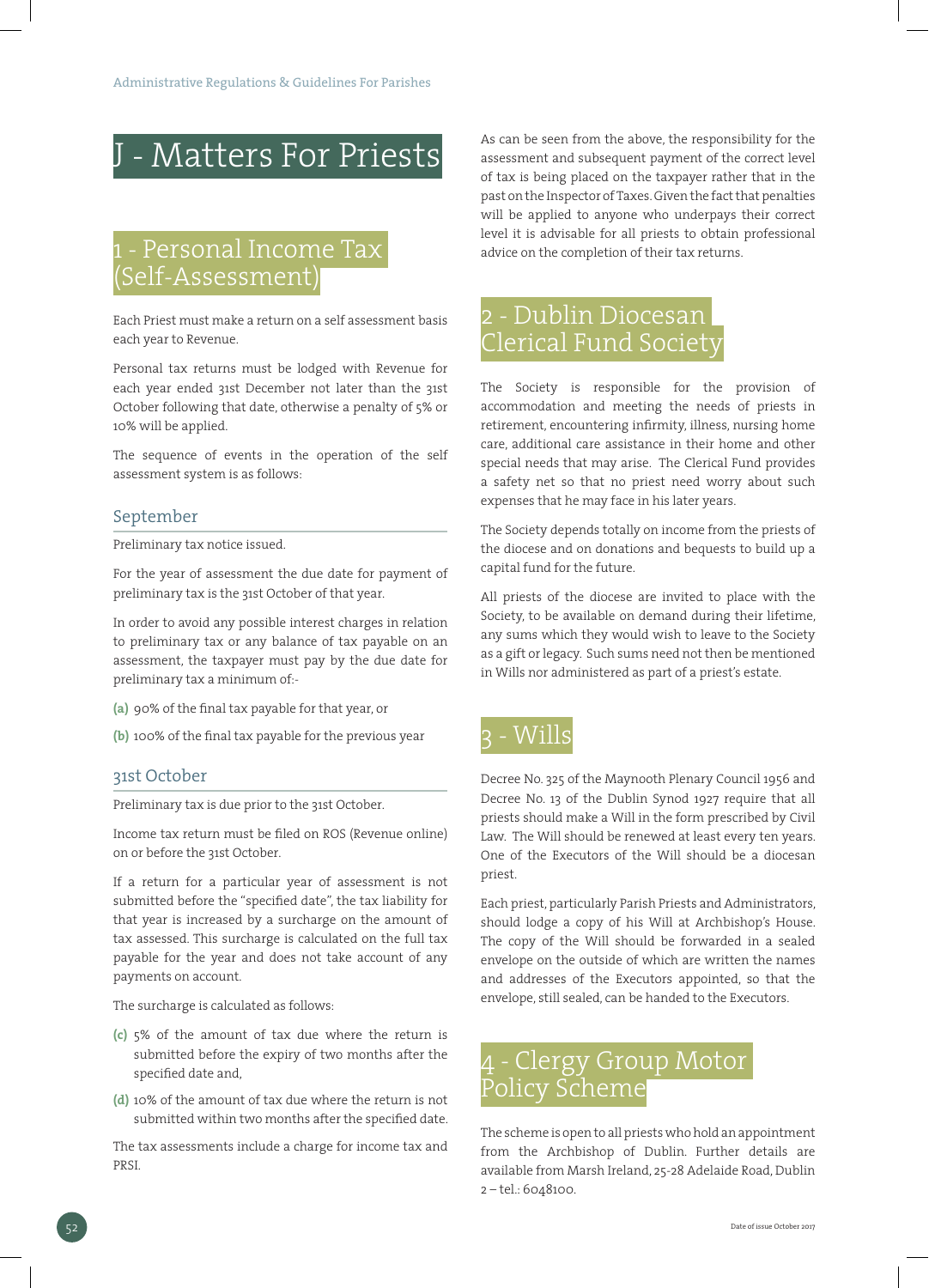# J - Matters For Priests

# 1 - Personal Income Tax (Self-Assessment)

Each Priest must make a return on a self assessment basis each year to Revenue.

Personal tax returns must be lodged with Revenue for each year ended 31st December not later than the 31st October following that date, otherwise a penalty of 5% or 10% will be applied.

The sequence of events in the operation of the self assessment system is as follows:

#### September

Preliminary tax notice issued.

For the year of assessment the due date for payment of preliminary tax is the 31st October of that year.

In order to avoid any possible interest charges in relation to preliminary tax or any balance of tax payable on an assessment, the taxpayer must pay by the due date for preliminary tax a minimum of:-

- **(a)** 90% of the final tax payable for that year, or
- **(b)** 100% of the final tax payable for the previous year

#### 31st October

Preliminary tax is due prior to the 31st October.

Income tax return must be filed on ROS (Revenue online) on or before the 31st October.

If a return for a particular year of assessment is not submitted before the "specified date", the tax liability for that year is increased by a surcharge on the amount of tax assessed. This surcharge is calculated on the full tax payable for the year and does not take account of any payments on account.

The surcharge is calculated as follows:

- **(c)** 5% of the amount of tax due where the return is submitted before the expiry of two months after the specified date and,
- **(d)** 10% of the amount of tax due where the return is not submitted within two months after the specified date.

The tax assessments include a charge for income tax and PRSI.

As can be seen from the above, the responsibility for the assessment and subsequent payment of the correct level of tax is being placed on the taxpayer rather that in the past on the Inspector of Taxes. Given the fact that penalties will be applied to anyone who underpays their correct level it is advisable for all priests to obtain professional advice on the completion of their tax returns.

## Dublin Diocesan erical Fund Societ

The Society is responsible for the provision of accommodation and meeting the needs of priests in retirement, encountering infirmity, illness, nursing home care, additional care assistance in their home and other special needs that may arise. The Clerical Fund provides a safety net so that no priest need worry about such expenses that he may face in his later years.

The Society depends totally on income from the priests of the diocese and on donations and bequests to build up a capital fund for the future.

All priests of the diocese are invited to place with the Society, to be available on demand during their lifetime, any sums which they would wish to leave to the Society as a gift or legacy. Such sums need not then be mentioned in Wills nor administered as part of a priest's estate.

# $Wi$

Decree No. 325 of the Maynooth Plenary Council 1956 and Decree No. 13 of the Dublin Synod 1927 require that all priests should make a Will in the form prescribed by Civil Law. The Will should be renewed at least every ten years. One of the Executors of the Will should be a diocesan priest.

Each priest, particularly Parish Priests and Administrators, should lodge a copy of his Will at Archbishop's House. The copy of the Will should be forwarded in a sealed envelope on the outside of which are written the names and addresses of the Executors appointed, so that the envelope, still sealed, can be handed to the Executors.

# ergy Group Motor Policy Scheme

The scheme is open to all priests who hold an appointment from the Archbishop of Dublin. Further details are available from Marsh Ireland, 25-28 Adelaide Road, Dublin 2 – tel.: 6048100.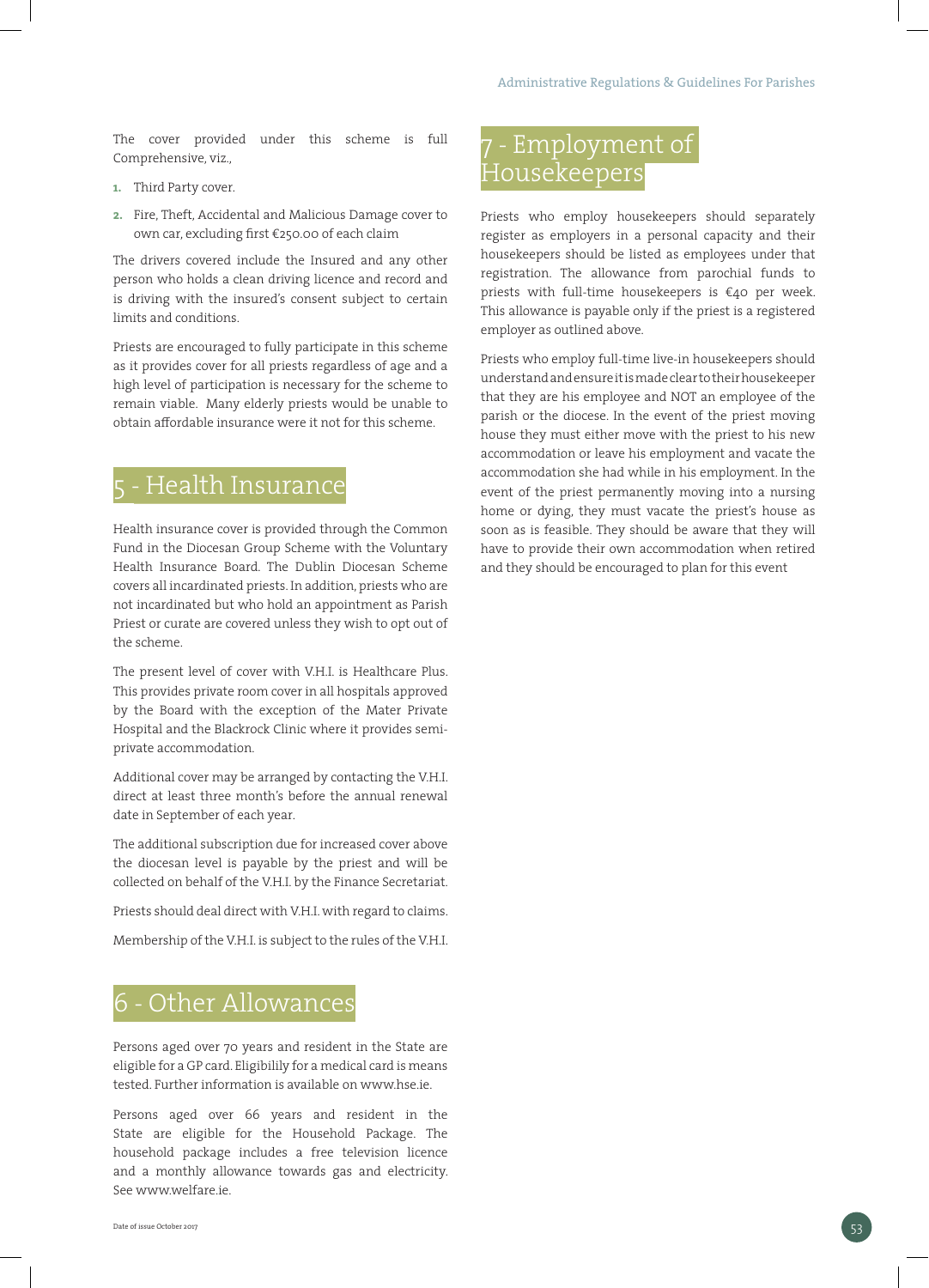The cover provided under this scheme is full Comprehensive, viz.,

- **1.** Third Party cover.
- **2.** Fire, Theft, Accidental and Malicious Damage cover to own car, excluding first €250.00 of each claim

The drivers covered include the Insured and any other person who holds a clean driving licence and record and is driving with the insured's consent subject to certain limits and conditions.

Priests are encouraged to fully participate in this scheme as it provides cover for all priests regardless of age and a high level of participation is necessary for the scheme to remain viable. Many elderly priests would be unable to obtain affordable insurance were it not for this scheme.

# Health Insurance

Health insurance cover is provided through the Common Fund in the Diocesan Group Scheme with the Voluntary Health Insurance Board. The Dublin Diocesan Scheme covers all incardinated priests. In addition, priests who are not incardinated but who hold an appointment as Parish Priest or curate are covered unless they wish to opt out of the scheme.

The present level of cover with V.H.I. is Healthcare Plus. This provides private room cover in all hospitals approved by the Board with the exception of the Mater Private Hospital and the Blackrock Clinic where it provides semiprivate accommodation.

Additional cover may be arranged by contacting the V.H.I. direct at least three month's before the annual renewal date in September of each year.

The additional subscription due for increased cover above the diocesan level is payable by the priest and will be collected on behalf of the V.H.I. by the Finance Secretariat.

Priests should deal direct with V.H.I. with regard to claims.

Membership of the V.H.I. is subject to the rules of the V.H.I.

# 6 - Other Allowances

Persons aged over 70 years and resident in the State are eligible for a GP card. Eligibilily for a medical card is means tested. Further information is available on www.hse.ie.

Persons aged over 66 years and resident in the State are eligible for the Household Package. The household package includes a free television licence and a monthly allowance towards gas and electricity. See www.welfare.ie.

# Employment of iousekeepers

Priests who employ housekeepers should separately register as employers in a personal capacity and their housekeepers should be listed as employees under that registration. The allowance from parochial funds to priests with full-time housekeepers is €40 per week. This allowance is payable only if the priest is a registered employer as outlined above.

Priests who employ full-time live-in housekeepers should understand and ensure it is made clear to their housekeeper that they are his employee and NOT an employee of the parish or the diocese. In the event of the priest moving house they must either move with the priest to his new accommodation or leave his employment and vacate the accommodation she had while in his employment. In the event of the priest permanently moving into a nursing home or dying, they must vacate the priest's house as soon as is feasible. They should be aware that they will have to provide their own accommodation when retired and they should be encouraged to plan for this event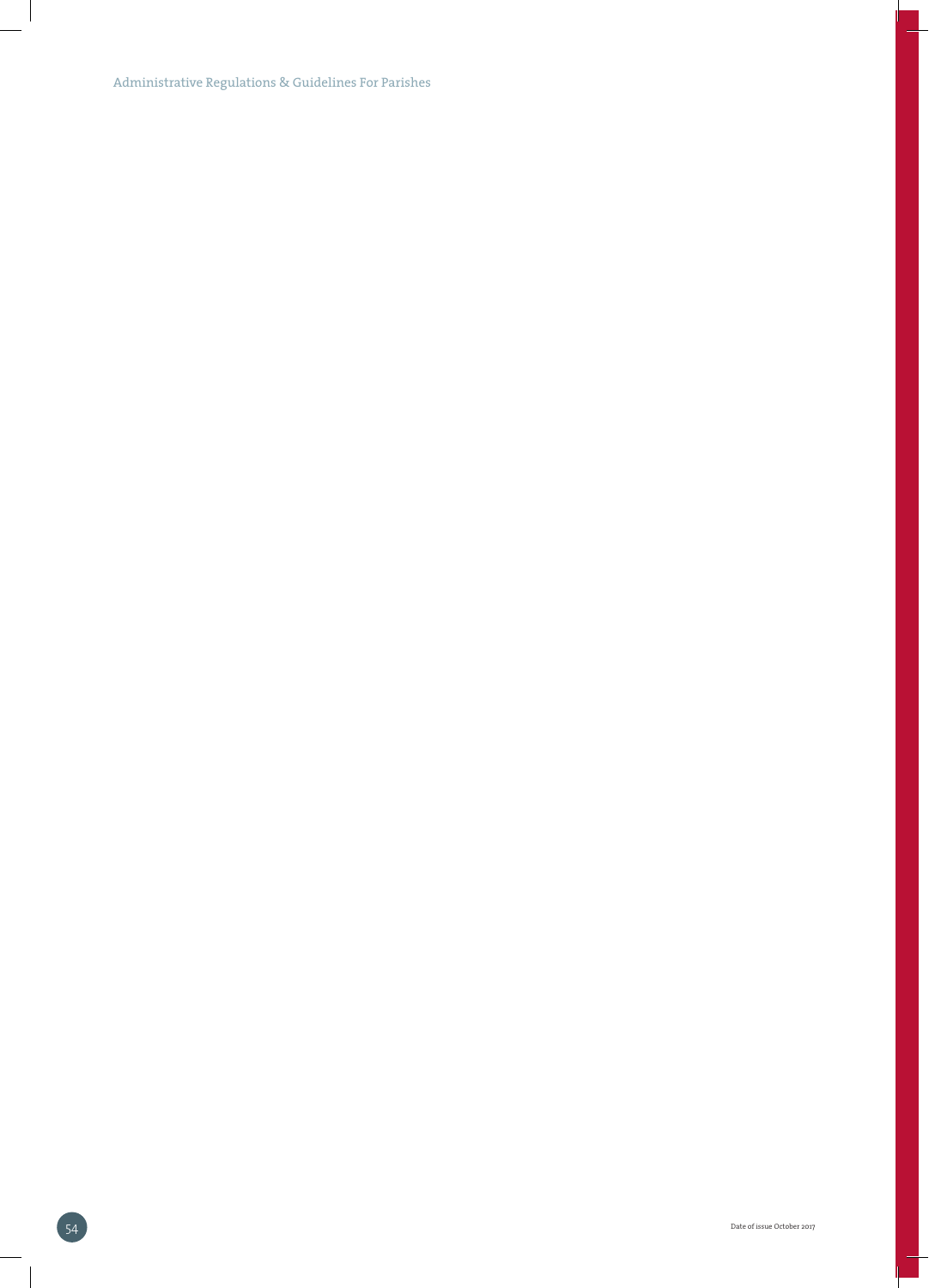Administrative Regulations & Guidelines For Parishes

 $\sim$  1